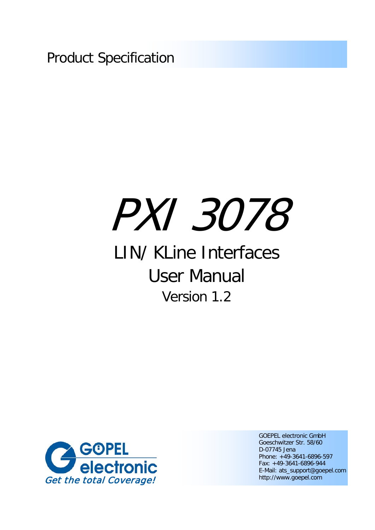Product Specification

# PXI 3078

## LIN/ KLine Interfaces User Manual Version 1.2



GOEPEL electronic GmbH Goeschwitzer Str. 58/60 D-07745 Jena Phone: +49-3641-6896-597 Fax: +49-3641-6896-944 E-Mail: ats\_support@goepel.com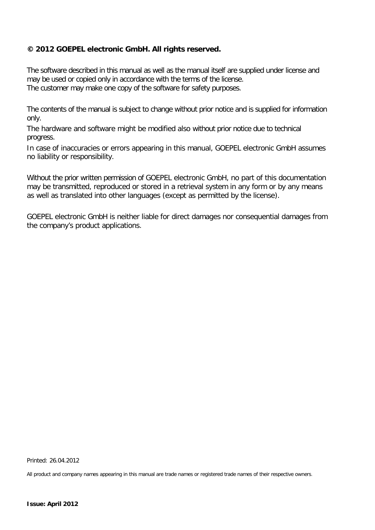#### **© 2012 GOEPEL electronic GmbH. All rights reserved.**

The software described in this manual as well as the manual itself are supplied under license and may be used or copied only in accordance with the terms of the license. The customer may make one copy of the software for safety purposes.

The contents of the manual is subject to change without prior notice and is supplied for information only.

The hardware and software might be modified also without prior notice due to technical progress.

In case of inaccuracies or errors appearing in this manual, GOEPEL electronic GmbH assumes no liability or responsibility.

Without the prior written permission of GOEPEL electronic GmbH, no part of this documentation may be transmitted, reproduced or stored in a retrieval system in any form or by any means as well as translated into other languages (except as permitted by the license).

GOEPEL electronic GmbH is neither liable for direct damages nor consequential damages from the company's product applications.

Printed: 26.04.2012

All product and company names appearing in this manual are trade names or registered trade names of their respective owners.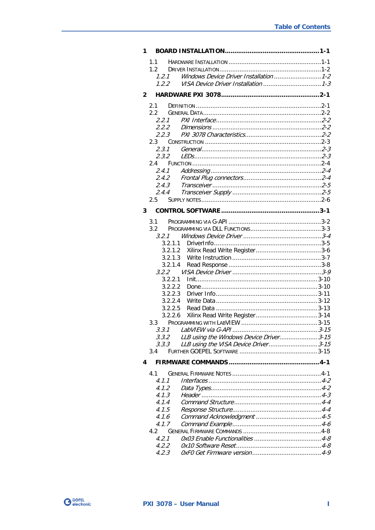| 1.1<br>1.2<br>1.2.1<br>1.2.2<br>$\mathbf{2}$<br>2.1<br>2.2<br>2.2.1<br>2.2.2<br>2.2.3<br>$2.3 -$<br>2.3.1<br>2.3.2<br>2.4<br>2.4.1<br>2.4.2<br>2.4.3<br>2.4.4<br>$2.5 -$<br>3<br>3.1<br>3.2<br>3.2.1<br>3.2.1.1<br>3.2.1.2<br>3.2.1.3<br>3.2.1.4<br>3.2.2<br>3.2.2.1<br>3.2.2.2<br>3.2.2.3<br>3.2.2.4<br>3.2.2.5<br>3.2.2.6<br>3.3<br>LLB using the Windows Device Driver 3-15<br>3.3.2<br>3.3.3<br>3.4<br>4<br>41<br>4.1.1 |       | Windows Device Driver Installation  1-2 |
|-----------------------------------------------------------------------------------------------------------------------------------------------------------------------------------------------------------------------------------------------------------------------------------------------------------------------------------------------------------------------------------------------------------------------------|-------|-----------------------------------------|
|                                                                                                                                                                                                                                                                                                                                                                                                                             |       |                                         |
|                                                                                                                                                                                                                                                                                                                                                                                                                             |       |                                         |
|                                                                                                                                                                                                                                                                                                                                                                                                                             |       |                                         |
|                                                                                                                                                                                                                                                                                                                                                                                                                             |       |                                         |
|                                                                                                                                                                                                                                                                                                                                                                                                                             |       |                                         |
|                                                                                                                                                                                                                                                                                                                                                                                                                             |       |                                         |
|                                                                                                                                                                                                                                                                                                                                                                                                                             |       |                                         |
|                                                                                                                                                                                                                                                                                                                                                                                                                             |       |                                         |
|                                                                                                                                                                                                                                                                                                                                                                                                                             |       |                                         |
|                                                                                                                                                                                                                                                                                                                                                                                                                             |       |                                         |
|                                                                                                                                                                                                                                                                                                                                                                                                                             |       |                                         |
|                                                                                                                                                                                                                                                                                                                                                                                                                             |       |                                         |
|                                                                                                                                                                                                                                                                                                                                                                                                                             |       |                                         |
|                                                                                                                                                                                                                                                                                                                                                                                                                             |       |                                         |
|                                                                                                                                                                                                                                                                                                                                                                                                                             |       |                                         |
|                                                                                                                                                                                                                                                                                                                                                                                                                             |       |                                         |
|                                                                                                                                                                                                                                                                                                                                                                                                                             |       |                                         |
|                                                                                                                                                                                                                                                                                                                                                                                                                             |       |                                         |
|                                                                                                                                                                                                                                                                                                                                                                                                                             |       |                                         |
|                                                                                                                                                                                                                                                                                                                                                                                                                             |       |                                         |
|                                                                                                                                                                                                                                                                                                                                                                                                                             |       |                                         |
|                                                                                                                                                                                                                                                                                                                                                                                                                             |       |                                         |
|                                                                                                                                                                                                                                                                                                                                                                                                                             |       |                                         |
|                                                                                                                                                                                                                                                                                                                                                                                                                             |       |                                         |
|                                                                                                                                                                                                                                                                                                                                                                                                                             |       |                                         |
|                                                                                                                                                                                                                                                                                                                                                                                                                             |       |                                         |
|                                                                                                                                                                                                                                                                                                                                                                                                                             |       |                                         |
|                                                                                                                                                                                                                                                                                                                                                                                                                             |       |                                         |
|                                                                                                                                                                                                                                                                                                                                                                                                                             |       |                                         |
|                                                                                                                                                                                                                                                                                                                                                                                                                             |       |                                         |
|                                                                                                                                                                                                                                                                                                                                                                                                                             |       |                                         |
|                                                                                                                                                                                                                                                                                                                                                                                                                             |       |                                         |
|                                                                                                                                                                                                                                                                                                                                                                                                                             |       |                                         |
|                                                                                                                                                                                                                                                                                                                                                                                                                             |       |                                         |
|                                                                                                                                                                                                                                                                                                                                                                                                                             |       |                                         |
|                                                                                                                                                                                                                                                                                                                                                                                                                             |       |                                         |
|                                                                                                                                                                                                                                                                                                                                                                                                                             |       |                                         |
|                                                                                                                                                                                                                                                                                                                                                                                                                             |       |                                         |
|                                                                                                                                                                                                                                                                                                                                                                                                                             |       | LLB using the VISA Device Driver 3-15   |
|                                                                                                                                                                                                                                                                                                                                                                                                                             |       |                                         |
|                                                                                                                                                                                                                                                                                                                                                                                                                             |       |                                         |
|                                                                                                                                                                                                                                                                                                                                                                                                                             |       |                                         |
| 4.1.2                                                                                                                                                                                                                                                                                                                                                                                                                       |       |                                         |
| 4.1.3                                                                                                                                                                                                                                                                                                                                                                                                                       |       |                                         |
|                                                                                                                                                                                                                                                                                                                                                                                                                             |       |                                         |
|                                                                                                                                                                                                                                                                                                                                                                                                                             | 4.1.4 |                                         |
|                                                                                                                                                                                                                                                                                                                                                                                                                             | 4.1.5 |                                         |
| 4.1.6                                                                                                                                                                                                                                                                                                                                                                                                                       |       |                                         |
| 4.1.7                                                                                                                                                                                                                                                                                                                                                                                                                       |       |                                         |
| 4.2                                                                                                                                                                                                                                                                                                                                                                                                                         |       |                                         |
| 4.2.1<br>4.2.2                                                                                                                                                                                                                                                                                                                                                                                                              |       |                                         |
|                                                                                                                                                                                                                                                                                                                                                                                                                             |       |                                         |
|                                                                                                                                                                                                                                                                                                                                                                                                                             |       |                                         |
|                                                                                                                                                                                                                                                                                                                                                                                                                             |       |                                         |
|                                                                                                                                                                                                                                                                                                                                                                                                                             |       |                                         |
|                                                                                                                                                                                                                                                                                                                                                                                                                             |       |                                         |
|                                                                                                                                                                                                                                                                                                                                                                                                                             |       |                                         |
|                                                                                                                                                                                                                                                                                                                                                                                                                             |       |                                         |
|                                                                                                                                                                                                                                                                                                                                                                                                                             |       |                                         |
|                                                                                                                                                                                                                                                                                                                                                                                                                             |       |                                         |
|                                                                                                                                                                                                                                                                                                                                                                                                                             |       |                                         |
|                                                                                                                                                                                                                                                                                                                                                                                                                             |       |                                         |
|                                                                                                                                                                                                                                                                                                                                                                                                                             |       |                                         |
|                                                                                                                                                                                                                                                                                                                                                                                                                             |       |                                         |
|                                                                                                                                                                                                                                                                                                                                                                                                                             |       |                                         |
|                                                                                                                                                                                                                                                                                                                                                                                                                             |       |                                         |
|                                                                                                                                                                                                                                                                                                                                                                                                                             |       |                                         |
|                                                                                                                                                                                                                                                                                                                                                                                                                             |       |                                         |
|                                                                                                                                                                                                                                                                                                                                                                                                                             |       |                                         |
|                                                                                                                                                                                                                                                                                                                                                                                                                             |       |                                         |
|                                                                                                                                                                                                                                                                                                                                                                                                                             |       |                                         |
|                                                                                                                                                                                                                                                                                                                                                                                                                             |       |                                         |
|                                                                                                                                                                                                                                                                                                                                                                                                                             |       |                                         |
|                                                                                                                                                                                                                                                                                                                                                                                                                             |       |                                         |
|                                                                                                                                                                                                                                                                                                                                                                                                                             |       |                                         |
|                                                                                                                                                                                                                                                                                                                                                                                                                             |       |                                         |
|                                                                                                                                                                                                                                                                                                                                                                                                                             |       |                                         |
|                                                                                                                                                                                                                                                                                                                                                                                                                             |       |                                         |
|                                                                                                                                                                                                                                                                                                                                                                                                                             |       |                                         |
|                                                                                                                                                                                                                                                                                                                                                                                                                             |       |                                         |
|                                                                                                                                                                                                                                                                                                                                                                                                                             |       |                                         |
|                                                                                                                                                                                                                                                                                                                                                                                                                             |       |                                         |
|                                                                                                                                                                                                                                                                                                                                                                                                                             |       |                                         |
|                                                                                                                                                                                                                                                                                                                                                                                                                             |       |                                         |
|                                                                                                                                                                                                                                                                                                                                                                                                                             |       |                                         |
|                                                                                                                                                                                                                                                                                                                                                                                                                             |       |                                         |
|                                                                                                                                                                                                                                                                                                                                                                                                                             |       |                                         |
|                                                                                                                                                                                                                                                                                                                                                                                                                             |       |                                         |
|                                                                                                                                                                                                                                                                                                                                                                                                                             |       |                                         |
|                                                                                                                                                                                                                                                                                                                                                                                                                             |       |                                         |
|                                                                                                                                                                                                                                                                                                                                                                                                                             |       |                                         |
|                                                                                                                                                                                                                                                                                                                                                                                                                             |       |                                         |
|                                                                                                                                                                                                                                                                                                                                                                                                                             |       |                                         |
|                                                                                                                                                                                                                                                                                                                                                                                                                             |       |                                         |
|                                                                                                                                                                                                                                                                                                                                                                                                                             |       |                                         |
|                                                                                                                                                                                                                                                                                                                                                                                                                             |       |                                         |
|                                                                                                                                                                                                                                                                                                                                                                                                                             |       |                                         |
|                                                                                                                                                                                                                                                                                                                                                                                                                             |       |                                         |
|                                                                                                                                                                                                                                                                                                                                                                                                                             |       |                                         |
|                                                                                                                                                                                                                                                                                                                                                                                                                             |       |                                         |
|                                                                                                                                                                                                                                                                                                                                                                                                                             |       |                                         |
|                                                                                                                                                                                                                                                                                                                                                                                                                             |       |                                         |
|                                                                                                                                                                                                                                                                                                                                                                                                                             |       |                                         |
|                                                                                                                                                                                                                                                                                                                                                                                                                             |       |                                         |
|                                                                                                                                                                                                                                                                                                                                                                                                                             |       |                                         |
|                                                                                                                                                                                                                                                                                                                                                                                                                             |       |                                         |
|                                                                                                                                                                                                                                                                                                                                                                                                                             |       |                                         |
|                                                                                                                                                                                                                                                                                                                                                                                                                             |       |                                         |
|                                                                                                                                                                                                                                                                                                                                                                                                                             |       |                                         |
|                                                                                                                                                                                                                                                                                                                                                                                                                             |       |                                         |
|                                                                                                                                                                                                                                                                                                                                                                                                                             |       |                                         |
|                                                                                                                                                                                                                                                                                                                                                                                                                             |       |                                         |
|                                                                                                                                                                                                                                                                                                                                                                                                                             |       |                                         |
|                                                                                                                                                                                                                                                                                                                                                                                                                             |       |                                         |
|                                                                                                                                                                                                                                                                                                                                                                                                                             |       |                                         |
|                                                                                                                                                                                                                                                                                                                                                                                                                             |       |                                         |
|                                                                                                                                                                                                                                                                                                                                                                                                                             |       |                                         |
|                                                                                                                                                                                                                                                                                                                                                                                                                             |       |                                         |
|                                                                                                                                                                                                                                                                                                                                                                                                                             |       |                                         |
|                                                                                                                                                                                                                                                                                                                                                                                                                             |       |                                         |
|                                                                                                                                                                                                                                                                                                                                                                                                                             |       |                                         |
|                                                                                                                                                                                                                                                                                                                                                                                                                             |       |                                         |
|                                                                                                                                                                                                                                                                                                                                                                                                                             |       |                                         |
|                                                                                                                                                                                                                                                                                                                                                                                                                             |       |                                         |
|                                                                                                                                                                                                                                                                                                                                                                                                                             |       |                                         |
|                                                                                                                                                                                                                                                                                                                                                                                                                             |       |                                         |
|                                                                                                                                                                                                                                                                                                                                                                                                                             |       |                                         |
|                                                                                                                                                                                                                                                                                                                                                                                                                             |       |                                         |
|                                                                                                                                                                                                                                                                                                                                                                                                                             |       |                                         |
|                                                                                                                                                                                                                                                                                                                                                                                                                             |       |                                         |
|                                                                                                                                                                                                                                                                                                                                                                                                                             |       |                                         |
|                                                                                                                                                                                                                                                                                                                                                                                                                             |       |                                         |
|                                                                                                                                                                                                                                                                                                                                                                                                                             |       |                                         |
|                                                                                                                                                                                                                                                                                                                                                                                                                             |       |                                         |
|                                                                                                                                                                                                                                                                                                                                                                                                                             |       |                                         |
|                                                                                                                                                                                                                                                                                                                                                                                                                             |       |                                         |
|                                                                                                                                                                                                                                                                                                                                                                                                                             |       |                                         |
|                                                                                                                                                                                                                                                                                                                                                                                                                             |       |                                         |
|                                                                                                                                                                                                                                                                                                                                                                                                                             |       |                                         |
|                                                                                                                                                                                                                                                                                                                                                                                                                             |       |                                         |
|                                                                                                                                                                                                                                                                                                                                                                                                                             |       |                                         |
|                                                                                                                                                                                                                                                                                                                                                                                                                             |       |                                         |
|                                                                                                                                                                                                                                                                                                                                                                                                                             |       |                                         |
|                                                                                                                                                                                                                                                                                                                                                                                                                             |       |                                         |

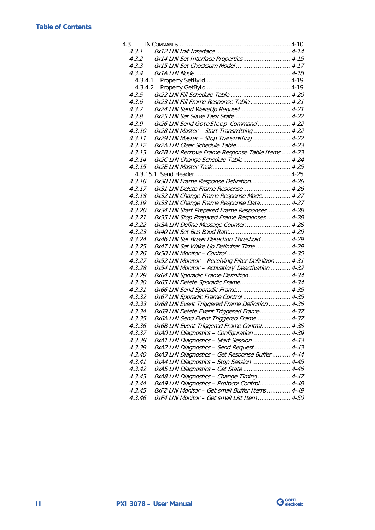| 4.3 |         |                                                     |  |
|-----|---------|-----------------------------------------------------|--|
|     | 4.3.1   |                                                     |  |
|     | 4.3.2   | 0x14 LIN Set Interface Properties 4-15              |  |
|     | 4.3.3   | 0x15 LIN Set Checksum Model  4-17                   |  |
|     | 4.3.4   |                                                     |  |
|     | 4.3.4.1 |                                                     |  |
|     |         |                                                     |  |
|     | 4.3.5   |                                                     |  |
|     | 4.3.6   | 0x23 LIN Fill Frame Response Table  4-21            |  |
|     | 4.3.7   | 0x24 LIN Send WakeUp Request  4-21                  |  |
|     | 4.3.8   | 0x25 LIN Set Slave Task State 4-22                  |  |
|     | 4.3.9   | 0x26 LIN Send GotoSleep Command  4-22               |  |
|     | 4.3.10  | 0x28 LIN Master - Start Transmitting 4-22           |  |
|     | 4.3.11  | 0x29 LIN Master - Stop Transmitting 4-22            |  |
|     | 4.3.12  | 0x2A LIN Clear Schedule Table 4-23                  |  |
|     | 4.3.13  | Ox2B LIN Remove Frame Response Table Items  4-23    |  |
|     | 4.3.14  | 0x2C LIN Change Schedule Table  4-24                |  |
|     | 4.3.15  |                                                     |  |
|     |         |                                                     |  |
|     | 4.3.16  | 0x30 LIN Frame Response Definition 4-26             |  |
|     | 4.3.17  | 0x31 LIN Delete Frame Response  4-26                |  |
|     | 4.3.18  | 0x32 LIN Change Frame Response Mode 4-27            |  |
|     | 4.3.19  | 0x33 LIN Change Frame Response Data 4-27            |  |
|     | 4.3.20  | 0x34 LIN Start Prepared Frame Responses 4-28        |  |
|     | 4.3.21  | 0x35 LIN Stop Prepared Frame Responses  4-28        |  |
|     | 4.3.22  | 0x3A LIN Define Message Counter 4-28                |  |
|     | 4.3.23  |                                                     |  |
|     | 4.3.24  | 0x46 LIN Set Break Detection Threshold  4-29        |  |
|     | 4.3.25  | 0x47 LIN Set Wake Up Delimiter Time  4-29           |  |
|     | 4.3.26  |                                                     |  |
|     | 4.3.27  | 0x52 LIN Monitor - Receiving Filter Definition 4-31 |  |
|     | 4.3.28  | Ox54 LIN Monitor - Activation/ Deactivation  4-32   |  |
|     | 4.3.29  | 0x64 LIN Sporadic Frame Definition 4-34             |  |
|     | 4.3.30  | 0x65 LIN Delete Sporadic Frame 4-34                 |  |
|     | 4.3.31  | 0x66 LIN Send Sporadic Frame 4-35                   |  |
|     | 4.3.32  | 0x67 LIN Sporadic Frame Control  4-35               |  |
|     | 4.3.33  | 0x68 LIN Event Triggered Frame Definition  4-36     |  |
|     | 4.3.34  | 0x69 LIN Delete Event Triggered Frame 4-37          |  |
|     | 4.3.35  | 0x6A LIN Send Event Triggered Frame 4-37            |  |
|     | 4.3.36  | Ox6B LIN Event Triggered Frame Control 4-38         |  |
|     | 4.3.37  | 0xA0 LIN Diagnostics - Configuration  4-39          |  |
|     | 4.3.38  | OxA1 LIN Diagnostics - Start Session  4-43          |  |
|     | 4.3.39  | OxA2 LIN Diagnostics - Send Request 4-43            |  |
|     | 4.3.40  | OxA3 LIN Diagnostics - Get Response Buffer  4-44    |  |
|     | 4.3.41  | 0xA4 LIN Diagnostics - Stop Session  4-45           |  |
|     | 4.3.42  | 0xA5 LIN Diagnostics - Get State  4-46              |  |
|     | 4.3.43  | 0xA8 LIN Diagnostics - Change Timing 4-47           |  |
|     | 4.3.44  | 0xA9 LIN Diagnostics - Protocol Control 4-48        |  |
|     | 4.3.45  | OxF2 LIN Monitor - Get small Buffer Items 4-49      |  |
|     | 4.3.46  | OxF4 LIN Monitor - Get small List Item  4-50        |  |

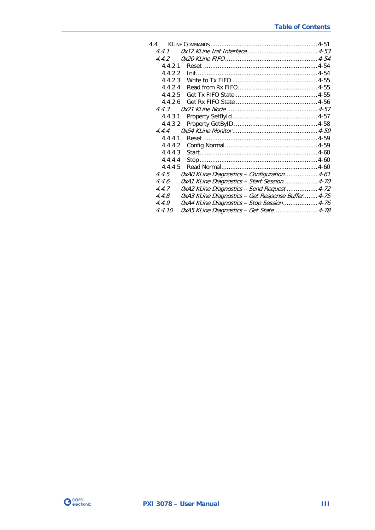| 44                                                         |  |
|------------------------------------------------------------|--|
| 4.4.1                                                      |  |
| 4.4.2                                                      |  |
| 4.4.2.1                                                    |  |
| 4.4.2.2                                                    |  |
| 4.4.2.3                                                    |  |
| 4.4.2.4                                                    |  |
| 4.4.2.5                                                    |  |
| 4.4.2.6                                                    |  |
| 4.4.3                                                      |  |
| 4.4.3.1                                                    |  |
| 4.4.3.2                                                    |  |
| 444                                                        |  |
| 4.4.4.1                                                    |  |
| 4.4.4.2                                                    |  |
| 4.4.4.3                                                    |  |
| 4.4.4.4                                                    |  |
| 4.4.4.5                                                    |  |
| OxAO KLine Diagnostics - Configuration 4-61<br>4.4.5       |  |
| 0xA1 KLine Diagnostics - Start Session 4-70<br>4.4.6       |  |
| OxA2 KLine Diagnostics - Send Request  4-72<br>4.4.7       |  |
| 4.4.8<br>OxA3 KLine Diagnostics - Get Response Buffer 4-75 |  |
| 0xA4 KLine Diagnostics - Stop Session 4-76<br>4.4.9        |  |
| 0xA5 KLine Diagnostics - Get State 4-78<br>4.4.10          |  |

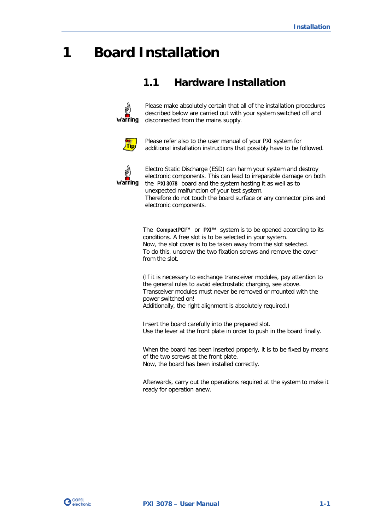## <span id="page-6-0"></span>**1 Board Installation**

## <span id="page-6-1"></span>**1.1 Hardware Installation**



Please make absolutely certain that all of the installation procedures described below are carried out with your system switched off and disconnected from the mains supply.



Please refer also to the user manual of your PXI system for additional installation instructions that possibly have to be followed.



Electro Static Discharge (ESD) can harm your system and destroy electronic components. This can lead to irreparable damage on both the **PXI 3078** board and the system hosting it as well as to unexpected malfunction of your test system. Therefore do not touch the board surface or any connector pins and electronic components.

The **CompactPCI™** or **PXI™** system is to be opened according to its conditions. A free slot is to be selected in your system. Now, the slot cover is to be taken away from the slot selected. To do this, unscrew the two fixation screws and remove the cover from the slot.

(If it is necessary to exchange transceiver modules, pay attention to the general rules to avoid electrostatic charging, see above. Transceiver modules must never be removed or mounted with the power switched on! Additionally, the right alignment is absolutely required.)

Insert the board carefully into the prepared slot. Use the lever at the front plate in order to push in the board finally.

When the board has been inserted properly, it is to be fixed by means of the two screws at the front plate. Now, the board has been installed correctly.

Afterwards, carry out the operations required at the system to make it ready for operation anew.

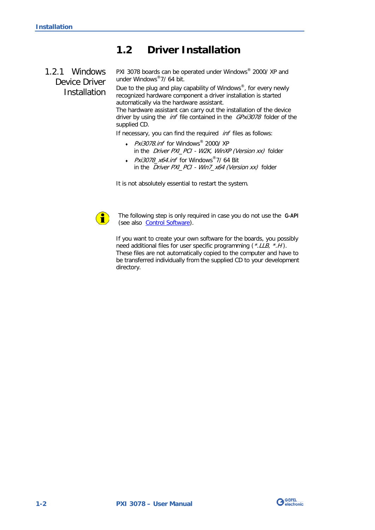## <span id="page-7-0"></span>**1.2 Driver Installation**

<span id="page-7-1"></span>1.2.1 Windows Device Driver Installation PXI 3078 boards can be operated under Windows® 2000/ XP and under Windows®7/ 64 bit.

Due to the plug and play capability of Windows®, for every newly recognized hardware component a driver installation is started automatically via the hardware assistant.

The hardware assistant can carry out the installation of the device driver by using the *inf* file contained in the GPxi3078 folder of the supplied CD.

If necessary, you can find the required *inf* files as follows:

- Pxi3078.inf for Windows® 2000/ XP in the *Driver PXI\_PCI - W2K, WinXP (Version xx)* folder
- Pxi3078\_x64.inf for Windows®7/ 64 Bit in the Driver PXI\_PCI - Win7\_x64 (Version xx) folder

It is not absolutely essential to restart the system.



The following step is only required in case you do not use the **G-API** (see also [Control Software\)](#page-18-0).

If you want to create your own software for the boards, you possibly need additional files for user specific programming (\*.LLB, \*.H). These files are not automatically copied to the computer and have to be transferred individually from the supplied CD to your development directory.

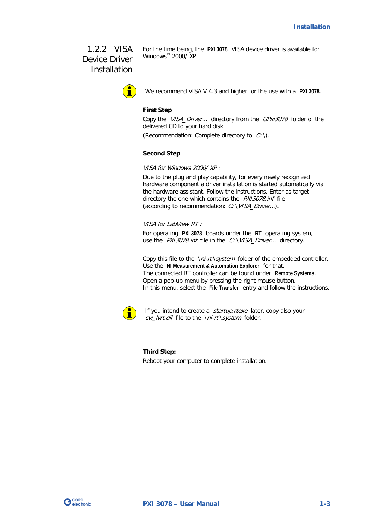### <span id="page-8-0"></span>1.2.2 VISA Device Driver **Installation**

For the time being, the **PXI 3078** VISA device driver is available for Windows® 2000/ XP.

We recommend VISA V 4.3 and higher for the use with a **PXI 3078**.

#### **First Step**

Copy the VISA\_Driver... directory from the GPxi3078 folder of the delivered CD to your hard disk

(Recommendation: Complete directory to  $C: \mathcal{C}$ ).

#### **Second Step**

VISA for Windows 2000/ XP :

Due to the plug and play capability, for every newly recognized hardware component a driver installation is started automatically via the hardware assistant. Follow the instructions. Enter as target directory the one which contains the PX13078.inf file (according to recommendation:  $C: VISA_Driver...$ ).

#### VISA for LabView RT :

For operating **PXI 3078** boards under the **RT** operating system, use the PX13078.inf file in the C: \VISA\_Driver... directory.

Copy this file to the \ni-rt\system folder of the embedded controller. Use the **NI Measurement & Automation Explorer** for that. The connected RT controller can be found under **Remote Systems**. Open a pop-up menu by pressing the right mouse button. In this menu, select the **File Transfer** entry and follow the instructions.



If you intend to create a *startup.rtexe* later, copy also your cvi\_lvrt.dll file to the \ni-rt\system folder.

#### **Third Step:**

Reboot your computer to complete installation.

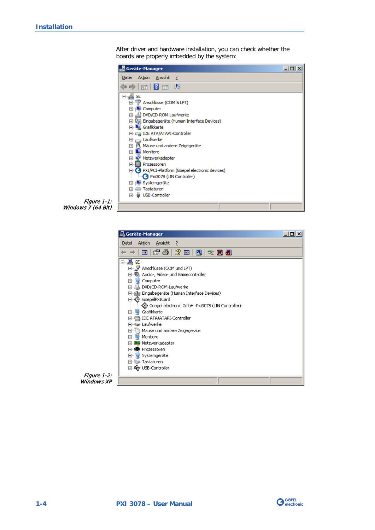After driver and hardware installation, you can check whether the boards are properly imbedded by the system:

| Geräte-Manager                                                                      | $-1$ ol |
|-------------------------------------------------------------------------------------|---------|
| Aktion Ansicht ?<br>Datei                                                           |         |
| $\mathbb{E} \setminus \mathbb{R}$<br>$\Rightarrow$                                  |         |
| ⊟⊸∰ GE<br>由 View Anschlüsse (COM & LPT)<br><b>⊞</b> Computer                        |         |
| DVD/CD-ROM-Laufwerke<br>田 『 『 Eingabegeräte (Human Interface Devices)               |         |
| <b>EL Grafikkarte</b><br>IDE ATA/ATAPI-Controller                                   |         |
| Laufwerke<br>由…川 Mäuse und andere Zeigegeräte<br><b>Fig. 1.</b> Monitore            |         |
| H. D. Netzwerkadapter<br><b>Fi</b> - <b>Prozessoren</b>                             |         |
| <b>E-G</b> PXI/PCI-Platform (Goepel electronic devices)<br>Pxi3078 (LIN Controller) |         |
| E-1- Systemgeräte<br>Fi- Tastaturen<br><b>E</b> USB-Controller                      |         |
|                                                                                     |         |



| <u> 鳥</u> Geräte-Manager                                              |  |
|-----------------------------------------------------------------------|--|
| Aktion<br>Ansicht<br>Datei<br>- ?                                     |  |
| 四 6 4 6 8 7 2 3 2                                                     |  |
| ⊟…∭ace<br>由… y Anschlüsse (COM und LPT)                               |  |
| W. Audio-, Video- und Gamecontroller<br>$\overline{+}$                |  |
| Computer<br>Ėŀ<br>由 2 DVD/CD-ROM-Laufwerke                            |  |
| 田·噶爾 Eingabegeräte (Human Interface Devices)  <br>白 - 《 GoepelPXICard |  |
| --《金 Goepel electronic GmbH -Pxi3078 (LIN Controller)-                |  |
| ⊡… <mark>De</mark> l Grafikkarte<br>급 IDE ATA/ATAPI-Controller<br>ஈ   |  |
| मे∾‱ Laufwerkel                                                       |  |
| ) Mäuse und andere Zeigegeräte<br>[∓]…<br>Monitore<br>F               |  |
| 由 脚 Netzwerkadapter<br>中 <b>* * *</b> Prozessoren                     |  |
| 田 Systemgeräte                                                        |  |
| 中··········· Tastaturen<br>由 <del>哦</del> USB-Controller              |  |
|                                                                       |  |
|                                                                       |  |



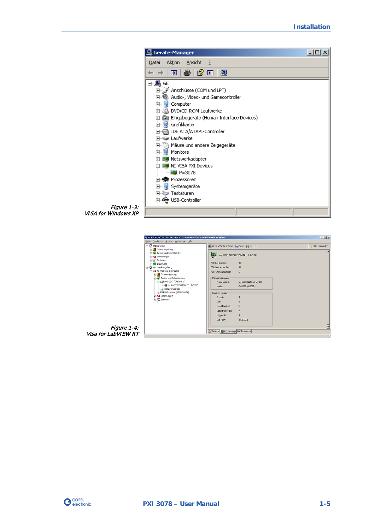

Figure 1-3: VISA for Windows XP



Figure 1-4: Visa for LabVIEW RT

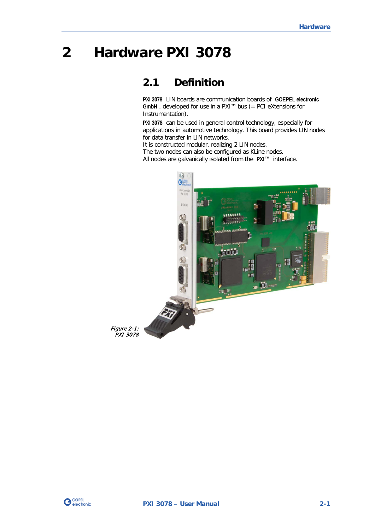## <span id="page-12-0"></span>**2 Hardware PXI 3078**

## <span id="page-12-1"></span>**2.1 Definition**

**PXI 3078** LIN boards are communication boards of **GOEPEL electronic GmbH** , developed for use in a PXI™ bus (= PCI eXtensions for Instrumentation).

**PXI 3078** can be used in general control technology, especially for applications in automotive technology. This board provides LIN nodes for data transfer in LIN networks.

It is constructed modular, realizing 2 LIN nodes. The two nodes can also be configured as KLine nodes. All nodes are galvanically isolated from the **PXI™** interface.



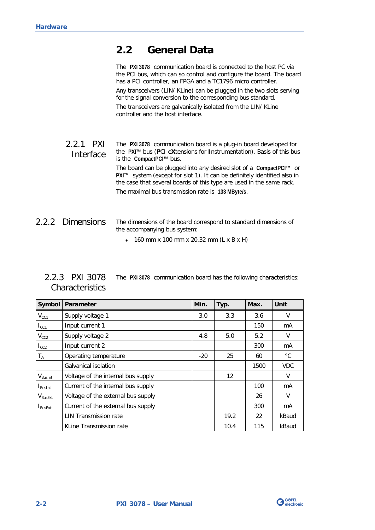## <span id="page-13-0"></span>**2.2 General Data**

The **PXI 3078** communication board is connected to the host PC via the PCI bus, which can so control and configure the board. The board has a PCI controller, an FPGA and a TC1796 micro controller.

Any transceivers (LIN/ KLine) can be plugged in the two slots serving for the signal conversion to the corresponding bus standard.

The transceivers are galvanically isolated from the LIN/ KLine controller and the host interface.

#### <span id="page-13-1"></span>The **PXI 3078** communication board is a plug-in board developed for the **PXI™** bus (**P**CI e**X**tensions for **I**nstrumentation). Basis of this bus is the **CompactPCI™** bus. The board can be plugged into any desired slot of a **CompactPCI™** or **PXI™** system (except for slot 1). It can be definitely identified also in the case that several boards of this type are used in the same rack. The maximal bus transmission rate is **133 MByte/s**. 2.2.1 PXI Interface

#### <span id="page-13-2"></span>The dimensions of the board correspond to standard dimensions of the accompanying bus system: 2.2.2 Dimensions

♦ 160 mm x 100 mm x 20.32 mm (L x B x H)

<span id="page-13-3"></span>

| 2.2.3 PXI 3078  | The PXI 3078 communication board has the following characteristics: |  |  |
|-----------------|---------------------------------------------------------------------|--|--|
| Characteristics |                                                                     |  |  |

| Symbol                  | <b>Parameter</b>                   | Min.  | Typ. | Max. | Unit       |
|-------------------------|------------------------------------|-------|------|------|------------|
| $V_{CC1}$               | Supply voltage 1                   | 3.0   | 3.3  | 3.6  | V          |
| $I_{\rm CC1}$           | Input current 1                    |       |      | 150  | mA         |
| $V_{CC2}$               | Supply voltage 2                   | 4.8   | 5.0  | 5.2  | V          |
| $I_{CC2}$               | Input current 2                    |       |      | 300  | mA         |
| $\mathsf{T}_\mathsf{A}$ | Operating temperature              | $-20$ | 25   | 60   | °C         |
|                         | Galvanical isolation               |       |      | 1500 | <b>VDC</b> |
| $V_{\text{BusInt}}$     | Voltage of the internal bus supply |       | 12   |      | V          |
| <b>Busint</b>           | Current of the internal bus supply |       |      | 100  | mA         |
| $V_{\mathsf{BusExt}}$   | Voltage of the external bus supply |       |      | 26   | $\vee$     |
| <b>BusExt</b>           | Current of the external bus supply |       |      | 300  | mA         |
|                         | <b>LIN Transmission rate</b>       |       | 19.2 | 22   | kBaud      |
|                         | KLine Transmission rate            |       | 10.4 | 115  | kBaud      |

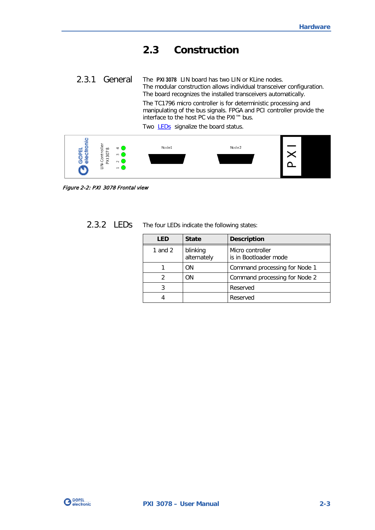## <span id="page-14-0"></span>**2.3 Construction**

<span id="page-14-1"></span>The **PXI 3078** LIN board has two LIN or KLine nodes. The modular construction allows individual transceiver configuration. The board recognizes the installed transceivers automatically. The TC1796 micro controller is for deterministic processing and 2.3.1 General

manipulating of the bus signals. FPGA and PCI controller provide the interface to the host PC via the PXI™ bus.

Two **LEDs** signalize the board status.



Figure 2-2: PXI 3078 Frontal view

<span id="page-14-2"></span>

| 2.3.2 LEDS |  | The four LEDs indicate the following states: |  |  |
|------------|--|----------------------------------------------|--|--|
|------------|--|----------------------------------------------|--|--|

| LED       | <b>State</b>            | <b>Description</b>                        |
|-----------|-------------------------|-------------------------------------------|
| 1 and $2$ | blinking<br>alternately | Micro controller<br>is in Bootloader mode |
|           | ΩN                      | Command processing for Node 1             |
|           | ΩN                      | Command processing for Node 2             |
|           |                         | Reserved                                  |
|           |                         | Reserved                                  |

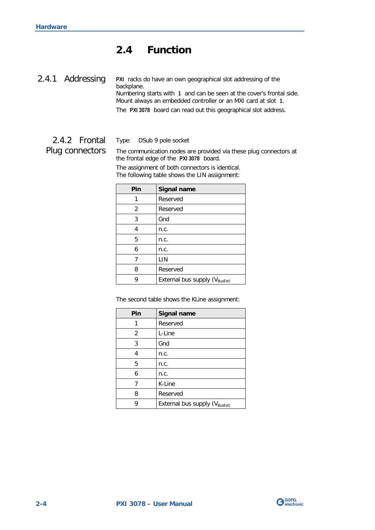## <span id="page-15-0"></span>**2.4 Function**

<span id="page-15-1"></span>**PXI** racks do have an own geographical slot addressing of the backplane. Numbering starts with **1** and can be seen at the cover's frontal side. Mount always an embedded controller or an MXI card at slot **1**. The **PXI 3078** board can read out this geographical slot address. 2.4.1 Addressing

#### <span id="page-15-2"></span>Type: DSub 9 pole socket 2.4.2 Frontal

The communication nodes are provided via these plug connectors at the frontal edge of the **PXI 3078** board. Plug connectors

> The assignment of both connectors is identical. The following table shows the LIN assignment:

| Pin | Signal name                               |
|-----|-------------------------------------------|
|     | Reserved                                  |
| 2   | Reserved                                  |
| 3   | Gnd                                       |
| 4   | n.c.                                      |
| 5   | n.c.                                      |
| 6   | n.c.                                      |
|     | LIN                                       |
| 8   | Reserved                                  |
|     | External bus supply (V <sub>BusExt)</sub> |

The second table shows the KLine assignment:

| Pin | Signal name                               |
|-----|-------------------------------------------|
| 1   | Reserved                                  |
| 2   | L-Line                                    |
| 3   | Gnd                                       |
| 4   | n.c.                                      |
| 5   | n.c.                                      |
| 6   | n.c.                                      |
|     | K-Line                                    |
| 8   | Reserved                                  |
| g   | External bus supply (V <sub>BusExt)</sub> |

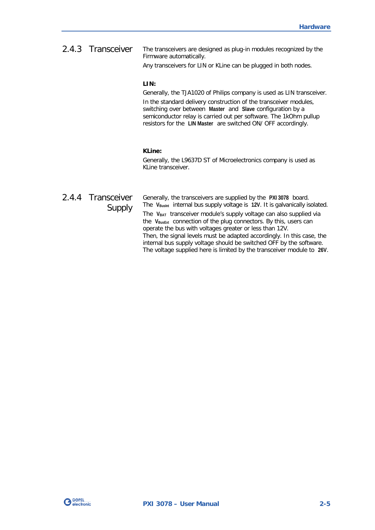<span id="page-16-0"></span>The transceivers are designed as plug-in modules recognized by the Firmware automatically. 2.4.3 Transceiver

Any transceivers for LIN or KLine can be plugged in both nodes.

#### **LIN:**

Generally, the TJA1020 of Philips company is used as LIN transceiver.

In the standard delivery construction of the transceiver modules, switching over between **Master** and **Slave** configuration by a semiconductor relay is carried out per software. The 1kOhm pullup resistors for the **LIN Master** are switched ON/ OFF accordingly.

#### **KLine:**

Generally, the L9637D ST of Microelectronics company is used as KLine transceiver.

## <span id="page-16-1"></span>2.4.4 Transceiver Supply

Generally, the transceivers are supplied by the **PXI 3078** board. The V<sub>BusInt</sub> internal bus supply voltage is 12V. It is galvanically isolated. The **VBAT** transceiver module's supply voltage can also supplied via the **VBusExt** connection of the plug connectors. By this, users can operate the bus with voltages greater or less than 12V. Then, the signal levels must be adapted accordingly. In this case, the internal bus supply voltage should be switched OFF by the software. The voltage supplied here is limited by the transceiver module to **26V**.

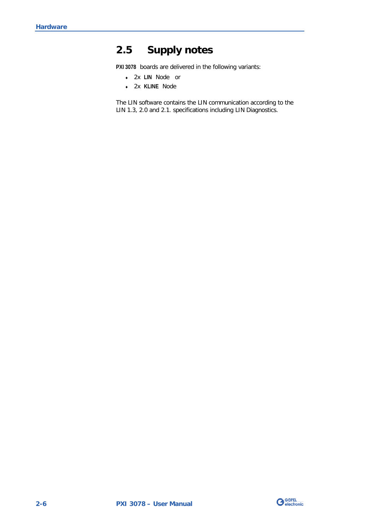## <span id="page-17-0"></span>**2.5 Supply notes**

**PXI 3078** boards are delivered in the following variants:

- ♦ 2x **LIN** Node or
- ♦ 2x **KLINE** Node

The LIN software contains the LIN communication according to the LIN 1.3, 2.0 and 2.1. specifications including LIN Diagnostics.

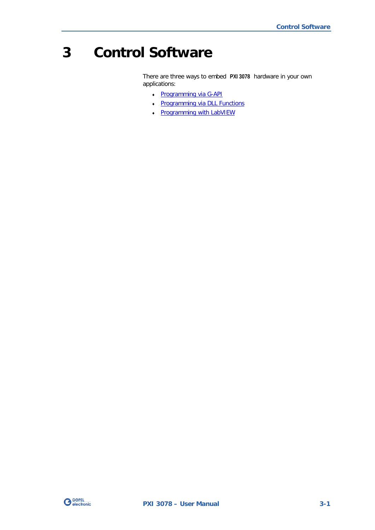## <span id="page-18-0"></span>**3 Control Software**

There are three ways to embed **PXI 3078** hardware in your own applications:

- ♦ [Programming via G-API](#page-19-0)
- ♦ [Programming via DLL Functions](#page-20-0)
- ♦ [Programming with LabVIEW](#page-32-0)

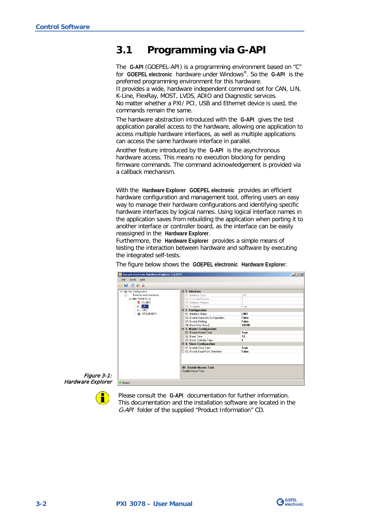## <span id="page-19-0"></span>**3.1 Programming via G-API**

The **G-API** (GOEPEL-API) is a programming environment based on "C" for **GOEPEL electronic** hardware under Windows®. So the **G-API** is the preferred programming environment for this hardware. It provides a wide, hardware independent command set for CAN, LIN, K-Line, FlexRay, MOST, LVDS, ADIO and Diagnostic services. No matter whether a PXI/ PCI, USB and Ethernet device is used, the

commands remain the same.

The hardware abstraction introduced with the **G-API** gives the test application parallel access to the hardware, allowing one application to access multiple hardware interfaces, as well as multiple applications can access the same hardware interface in parallel.

Another feature introduced by the **G-API** is the asynchronous hardware access. This means no execution blocking for pending firmware commands. The command acknowledgement is provided via a callback mechanism.

With the **Hardware Explorer GOEPEL electronic** provides an efficient hardware configuration and management tool, offering users an easy way to manage their hardware configurations and identifying specific hardware interfaces by logical names. Using logical interface names in the application saves from rebuilding the application when porting it to another interface or controller board, as the interface can be easily reassigned in the **Hardware Explorer**.

Furthermore, the **Hardware Explorer** provides a simple means of testing the interaction between hardware and software by executing the integrated self-tests.

The figure below shows the **GOEPEL electronic Hardware Explorer**:

| My Configuration<br>Ξ        | $\boxminus$ 1. Interface                    |       |  |
|------------------------------|---------------------------------------------|-------|--|
| Devices and Interfaces<br>Ėŀ | 01. Interface Type                          | LIN   |  |
| E-PXI PXI3078 (2)            | 02. Controller Number                       |       |  |
| $K$ kline1                   | 03 Interface Number                         | 3     |  |
| $\mathcal{L}_{in}$ LIN1      | 04 Available                                | True  |  |
| $\frac{1}{2}$ LIN2           | $\boxminus$ 2. Configuration                |       |  |
| SEQUENCE1                    | 01. Interface Name                          | LIN1  |  |
|                              | 02. Enable Automatic Configuration          | False |  |
|                              | 03. Enable Blinking                         | False |  |
|                              | 04. Baud Rate [baud]                        | 19200 |  |
|                              | $\boxdot$ 3. Master Configuration           |       |  |
|                              | 01. Enable Master Task                      | True  |  |
|                              | 02. Break Time                              | 13    |  |
|                              | 03 Break Delimiter Time                     | 1     |  |
|                              | $\boxminus$ 4. Slave Configuration          |       |  |
|                              | 01 Enable Slave Task                        | True  |  |
|                              | 02 Enable Baud Bate Detection               | False |  |
|                              | 01 Enable Master Task<br>Enable Master Task |       |  |

Figure 3-Hardware Explor

т

Please consult the **G-API** documentation for further information. This documentation and the installation software are located in the G-API folder of the supplied "Product Information" CD.

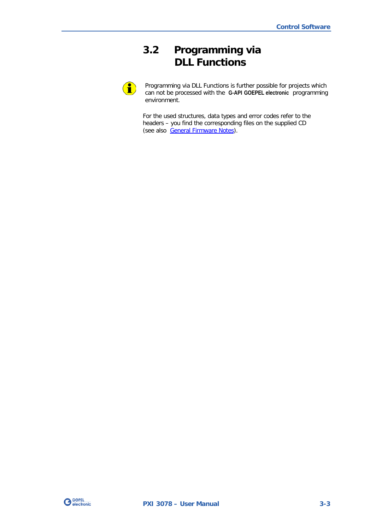## <span id="page-20-0"></span>**3.2 Programming via DLL Functions**

 $\textcolor{red}{\bullet}$ 

Programming via DLL Functions is further possible for projects which can not be processed with the **G-API GOEPEL electronic** programming environment.

For the used structures, data types and error codes refer to the headers – you find the corresponding files on the supplied CD (see also [General Firmware Notes\)](#page-34-1).

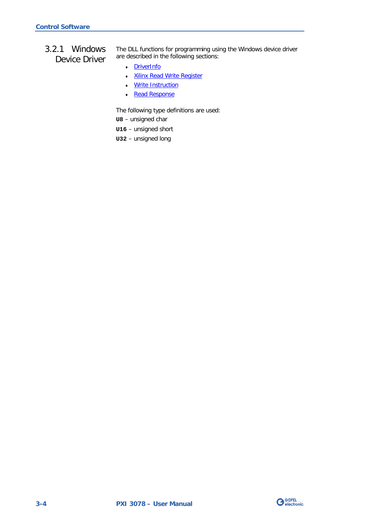#### <span id="page-21-0"></span>3.2.1 Windows Device Driver

The DLL functions for programming using the Windows device driver are described in the following sections:

- ♦ [DriverInfo](#page-22-0)
- ♦ [Xilinx Read Write Register](#page-23-1)
- ♦ [Write Instruction](#page-24-0)
- Read Response

The following type definitions are used:

**U8** – unsigned char

- **U16** unsigned short
- **U32** unsigned long

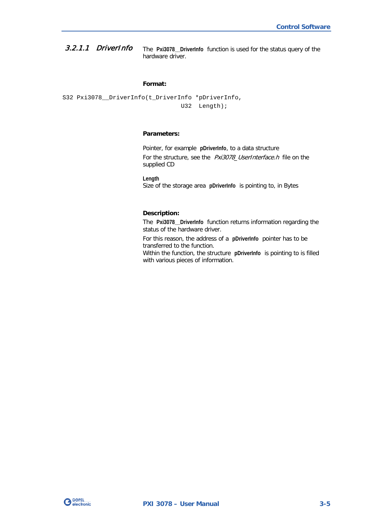<span id="page-22-0"></span>The **Pxi3078\_\_DriverInfo** function is used for the status query of the hardware driver. 3.2.1.1 DriverInfo

#### **Format:**

S32 Pxi3078\_\_DriverInfo(t\_DriverInfo \*pDriverInfo, U32 Length);

#### **Parameters:**

Pointer, for example **pDriverInfo**, to a data structure For the structure, see the Pxi3078\_UserInterface.h file on the supplied CD

**Length** Size of the storage area **pDriverInfo** is pointing to, in Bytes

#### **Description:**

The **Pxi3078\_\_DriverInfo** function returns information regarding the status of the hardware driver.

For this reason, the address of a **pDriverInfo** pointer has to be transferred to the function.

Within the function, the structure **pDriverInfo** is pointing to is filled with various pieces of information.

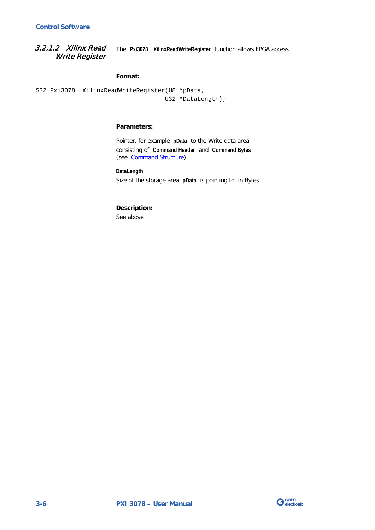<span id="page-23-1"></span><span id="page-23-0"></span>The **Pxi3078\_\_XilinxReadWriteRegister** function allows FPGA access. 3.2.1.2 Xilinx Read Write Register

#### **Format:**

S32 Pxi3078\_\_XilinxReadWriteRegister(U8 \*pData, U32 \*DataLength);

#### **Parameters:**

Pointer, for example **pData**, to the Write data area, consisting of **Command Header** and **Command Bytes** (see [Command Structure\)](#page-37-0)

**DataLength** Size of the storage area **pData** is pointing to, in Bytes

## **Description:**

See above

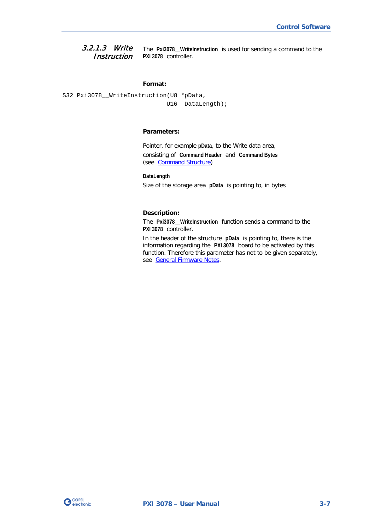<span id="page-24-0"></span>The **Pxi3078\_\_WriteInstruction** is used for sending a command to the **PXI 3078** controller. 3.2.1.3 Write **Instruction** 

#### **Format:**

S32 Pxi3078\_\_WriteInstruction(U8 \*pData, U16 DataLength);

#### **Parameters:**

Pointer, for example **pData**, to the Write data area, consisting of **Command Header** and **Command Bytes** (see [Command Structure\)](#page-37-0)

**DataLength** Size of the storage area **pData** is pointing to, in bytes

#### **Description:**

The **Pxi3078\_\_WriteInstruction** function sends a command to the **PXI 3078** controller.

In the header of the structure **pData** is pointing to, there is the information regarding the **PXI 3078** board to be activated by this function. Therefore this parameter has not to be given separately, see [General Firmware Notes.](#page-34-1)

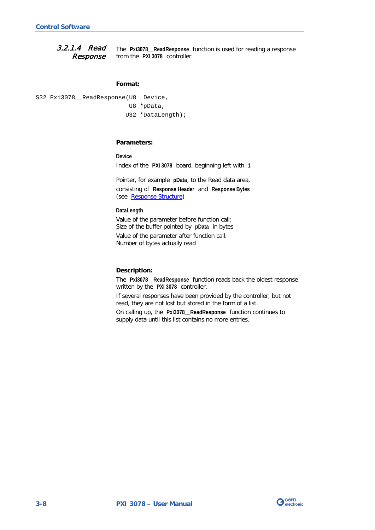<span id="page-25-0"></span>The **Pxi3078\_\_ReadResponse** function is used for reading a response from the **PXI 3078** controller. 3.2.1.4 Read Response

#### **Format:**

```
S32 Pxi3078__ReadResponse(U8 Device,
               U8 *pData,
               U32 *DataLength);
```
#### **Parameters:**

**Device** Index of the **PXI 3078** board, beginning left with **1**

Pointer, for example **pData**, to the Read data area, consisting of **Response Header** and **Response Bytes** (see [Response Structure\)](#page-37-1)

#### **DataLength**

Value of the parameter before function call: Size of the buffer pointed by **pData** in bytes

Value of the parameter after function call: Number of bytes actually read

#### **Description:**

The **Pxi3078\_\_ReadResponse** function reads back the oldest response written by the **PXI 3078** controller.

If several responses have been provided by the controller, but not read, they are not lost but stored in the form of a list.

On calling up, the **Pxi3078\_\_ReadResponse** function continues to supply data until this list contains no more entries.

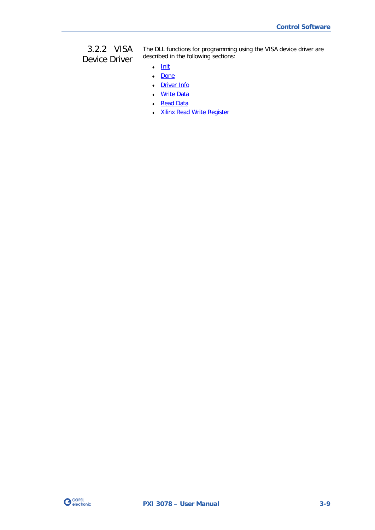#### <span id="page-26-0"></span>3.2.2 VISA Device Driver

The DLL functions for programming using the VISA device driver are described in the following sections:

- ♦ [Init](#page-27-2)
- ♦ [Done](#page-27-2)
- ♦ [Driver Info](#page-28-1)
- ♦ [Write Data](#page-29-1)
- ♦ [Read Data](#page-30-1)
- ♦ Xilinx [Read Write Register](#page-31-1)

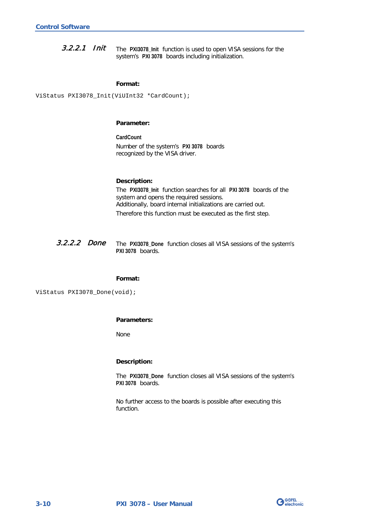<span id="page-27-2"></span><span id="page-27-0"></span>The **PXI3078\_Init** function is used to open VISA sessions for the system's **PXI 3078** boards including initialization. 3.2.2.1 Init

#### **Format:**

ViStatus PXI3078\_Init(ViUInt32 \*CardCount);

#### **Parameter:**

**CardCount** Number of the system's **PXI 3078** boards recognized by the VISA driver.

#### **Description:**

The **PXI3078\_Init** function searches for all **PXI 3078** boards of the system and opens the required sessions. Additionally, board internal initializations are carried out. Therefore this function must be executed as the first step.

<span id="page-27-1"></span>The **PXI3078\_Done** function closes all VISA sessions of the system's **PXI 3078** boards. 3.2.2.2 Done

#### **Format:**

ViStatus PXI3078\_Done(void);

#### **Parameters:**

None

#### **Description:**

The **PXI3078\_Done** function closes all VISA sessions of the system's **PXI 3078** boards.

No further access to the boards is possible after executing this function.

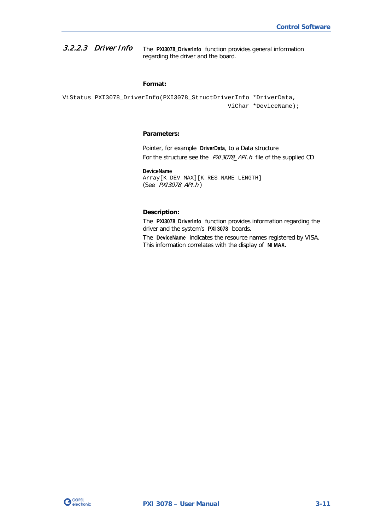<span id="page-28-1"></span><span id="page-28-0"></span>The **PXI3078\_DriverInfo** function provides general information regarding the driver and the board. 3.2.2.3 Driver Info

#### **Format:**

```
ViStatus PXI3078_DriverInfo(PXI3078_StructDriverInfo *DriverData,
                                   ViChar *DeviceName);
```
#### **Parameters:**

Pointer, for example **DriverData**, to a Data structure For the structure see the PXI3078\_API.h file of the supplied CD

**DeviceName** Array[K\_DEV\_MAX][K\_RES\_NAME\_LENGTH] (See PXI3078\_API.h )

#### **Description:**

The **PXI3078\_DriverInfo** function provides information regarding the driver and the system's **PXI 3078** boards.

The **DeviceName** indicates the resource names registered by VISA. This information correlates with the display of **NI MAX**.

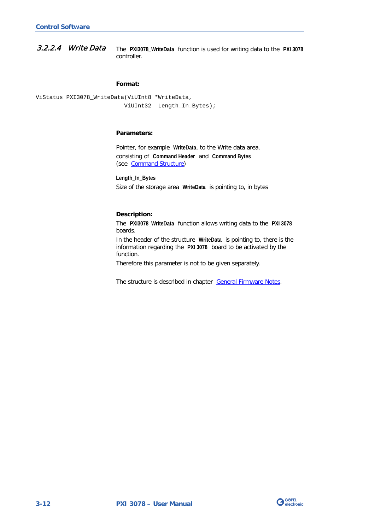<span id="page-29-1"></span><span id="page-29-0"></span>The **PXI3078\_WriteData** function is used for writing data to the **PXI 3078** controller. 3.2.2.4 Write Data

#### **Format:**

```
ViStatus PXI3078_WriteData(ViUInt8 *WriteData,
               ViUInt32 Length_In_Bytes);
```
#### **Parameters:**

Pointer, for example **WriteData**, to the Write data area, consisting of **Command Header** and **Command Bytes** (see [Command Structure\)](#page-37-0)

**Length\_In\_Bytes** Size of the storage area **WriteData** is pointing to, in bytes

#### **Description:**

The **PXI3078\_WriteData** function allows writing data to the **PXI 3078** boards.

In the header of the structure **WriteData** is pointing to, there is the information regarding the **PXI 3078** board to be activated by the function.

Therefore this parameter is not to be given separately.

The structure is described in chapter [General Firmware Notes.](#page-34-1)

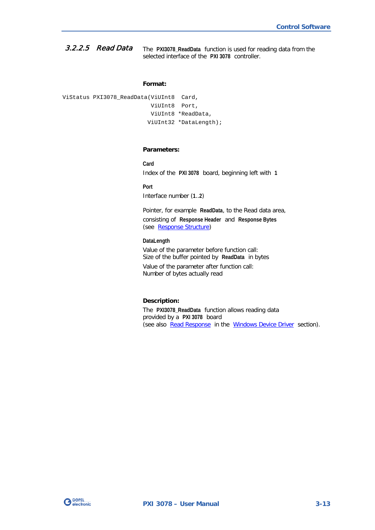<span id="page-30-1"></span><span id="page-30-0"></span>The **PXI3078\_ReadData** function is used for reading data from the selected interface of the **PXI 3078** controller. 3.2.2.5 Read Data

#### **Format:**

ViStatus PXI3078\_ReadData(ViUInt8 Card, ViUInt8 Port, ViUInt8 \*ReadData, ViUInt32 \*DataLength);

#### **Parameters:**

Index of the **PXI 3078** board, beginning left with **1**

**Port**

**Card**

Interface number (**1**..**2**)

Pointer, for example **ReadData**, to the Read data area, consisting of **Response Header** and **Response Bytes** (see [Response Structure\)](#page-37-1)

#### **DataLength**

Value of the parameter before function call: Size of the buffer pointed by **ReadData** in bytes Value of the parameter after function call: Number of bytes actually read

#### **Description:**

The **PXI3078\_ReadData** function allows reading data provided by a **PXI 3078** board (see also [Read Response](#page-25-0) in the [Windows Device Driver](#page-21-0) section).

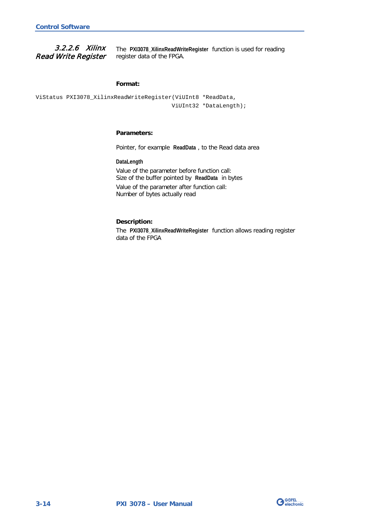<span id="page-31-1"></span>3.2.2.6 Xilinx Read Write Register

<span id="page-31-0"></span>The **PXI3078\_XilinxReadWriteRegister** function is used for reading register data of the FPGA.

#### **Format:**

ViStatus PXI3078\_XilinxReadWriteRegister(ViUInt8 \*ReadData, ViUInt32 \*DataLength);

#### **Parameters:**

Pointer, for example **ReadData** , to the Read data area

**DataLength**

Value of the parameter before function call: Size of the buffer pointed by **ReadData** in bytes Value of the parameter after function call: Number of bytes actually read

#### **Description:**

The **PXI3078\_XilinxReadWriteRegister** function allows reading register data of the FPGA

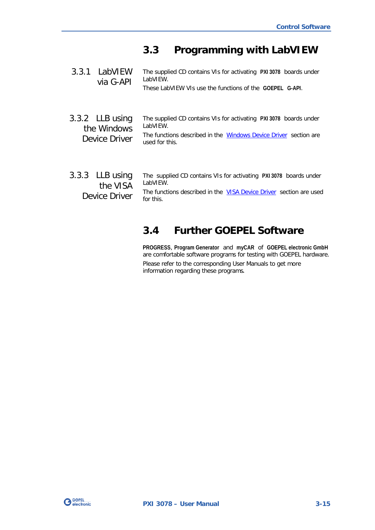## <span id="page-32-0"></span>**3.3 Programming with LabVIEW**

<span id="page-32-2"></span><span id="page-32-1"></span>

| 3.3.1 LabVIEW<br>via G-API                      | The supplied CD contains VIs for activating PXI 3078 boards under<br>LabVIEW.<br>These LabVIEW VIs use the functions of the GOEPEL G-API.                           |
|-------------------------------------------------|---------------------------------------------------------------------------------------------------------------------------------------------------------------------|
| 3.3.2 LLB using<br>the Windows<br>Device Driver | The supplied CD contains VIs for activating PXI 3078 boards under<br>LabVIFW.<br>The functions described in the Windows Device Driver section are<br>used for this. |
| 3.3.3 LLB using<br>the VISA<br>Device Driver    | The supplied CD contains VIs for activating PXI 3078 boards under<br>LabVIEW.<br>The functions described in the VISA Device Driver section are used<br>for this.    |

## <span id="page-32-4"></span><span id="page-32-3"></span>**3.4 Further GOEPEL Software**

**PROGRESS**, **Program Generator** and **myCAR** of **GOEPEL electronic GmbH** are comfortable software programs for testing with GOEPEL hardware. Please refer to the corresponding User Manuals to get more information regarding these programs**.**

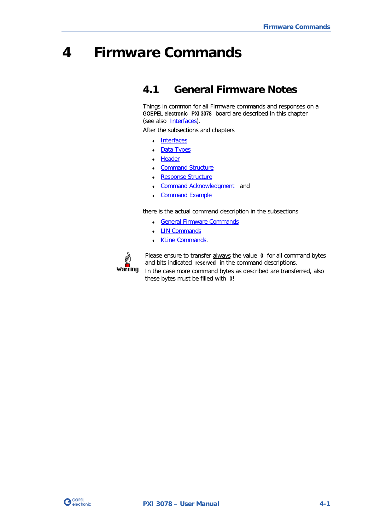## <span id="page-34-0"></span>**4 Firmware Commands**

## <span id="page-34-1"></span>**4.1 General Firmware Notes**

Things in common for all Firmware commands and responses on a **GOEPEL electronic PXI 3078** board are described in this chapter (see also **Interfaces**).

After the subsections and chapters

- Interfaces
- Data Types
- ♦ [Header](#page-36-0)
- Command Structure
- Response Structure
- [Command Acknowledgment](#page-38-0) and
- **Command Example**

there is the actual command description in the subsections

♦ [General Firmware Commands](#page-41-0) 

these bytes must be filled with **0**!

- **LIN Commands**
- ♦ [KLine Commands.](#page-84-0)



Please ensure to transfer always the value **0** for all command bytes and bits indicated **reserved** in the command descriptions. In the case more command bytes as described are transferred, also

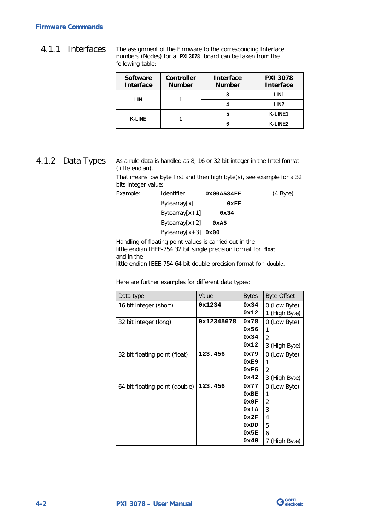<span id="page-35-0"></span>The assignment of the Firmware to the corresponding Interface numbers (Nodes) for a **PXI 3078** board can be taken from the following table: 4.1.1 Interfaces

| <b>Software</b><br><b>Interface</b> | <b>Controller</b><br><b>Number</b> | <b>Interface</b><br><b>Number</b> | <b>PXI 3078</b><br><b>Interface</b> |
|-------------------------------------|------------------------------------|-----------------------------------|-------------------------------------|
| I IN                                |                                    |                                   | I IN1                               |
|                                     |                                    |                                   | I IN <sub>2</sub>                   |
| K-I INF                             |                                    | n                                 | K-LINE1                             |
|                                     |                                    |                                   | K-I INF <sub>2</sub>                |

#### <span id="page-35-1"></span>4.1.2 Data Types

As a rule data is handled as 8, 16 or 32 bit integer in the Intel format (little endian).

That means low byte first and then high byte(s), see example for a 32 bits integer value:

| Example: | <b>Identifier</b>      | 0x00A534FE | $(4 \text{Byte})$ |
|----------|------------------------|------------|-------------------|
|          | Bytearray[x]           | 0xFE       |                   |
|          | Bytearray $[x+1]$      | 0x34       |                   |
|          | Bytearray $[x+2]$      | 0xA5       |                   |
|          | Bytearray $[x+3]$ 0x00 |            |                   |

Handling of floating point values is carried out in the little endian IEEE-754 32 bit single precision format for **float** and in the little endian IEEE-754 64 bit double precision format for **double**.

Here are further examples for different data types:

| Data type                      | Value      | <b>Bytes</b> | <b>Byte Offset</b> |
|--------------------------------|------------|--------------|--------------------|
| 16 bit integer (short)         | 0x1234     | 0x34         | 0 (Low Byte)       |
|                                |            | 0x12         | 1 (High Byte)      |
| 32 bit integer (long)          | 0x12345678 | 0x78         | 0 (Low Byte)       |
|                                |            | 0x56         |                    |
|                                |            | 0x34         | 2                  |
|                                |            | 0x12         | 3 (High Byte)      |
| 32 bit floating point (float)  | 123.456    | 0x79         | 0 (Low Byte)       |
|                                |            | 0xE9         |                    |
|                                |            | 0xF6         | $\mathfrak{p}$     |
|                                |            | 0x42         | 3 (High Byte)      |
| 64 bit floating point (double) | 123.456    | 0x77         | 0 (Low Byte)       |
|                                |            | 0xBE         | 1                  |
|                                |            | 0x9F         | 2                  |
|                                |            | 0x1A         | 3                  |
|                                |            | 0x2F         | 4                  |
|                                |            | 0xDD         | 5                  |
|                                |            | 0x5E         | 6                  |
|                                |            | 0x40         | 7<br>(High Byte)   |

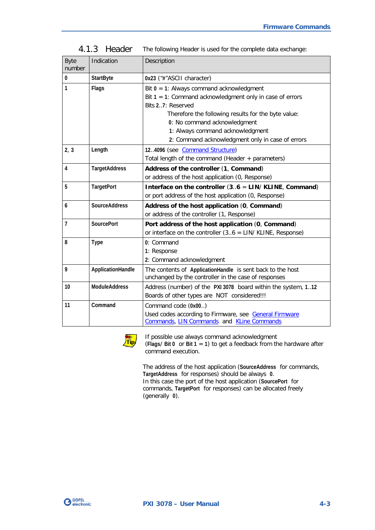| <b>Byte</b><br>number | Indication           | Description                                                                                                                                                                                                                                                                                                    |
|-----------------------|----------------------|----------------------------------------------------------------------------------------------------------------------------------------------------------------------------------------------------------------------------------------------------------------------------------------------------------------|
| 0                     | <b>StartByte</b>     | 0x23 ("#"ASCII character)                                                                                                                                                                                                                                                                                      |
| 1                     | Flags                | Bit $0 = 1$ : Always command acknowledgment<br>Bit $1 = 1$ : Command acknowledgment only in case of errors<br>Bits 27: Reserved<br>Therefore the following results for the byte value:<br>0: No command acknowledgment<br>1: Always command acknowledgment<br>2: Command acknowledgment only in case of errors |
| 2, 3                  | Length               | 12.4096 (see Command Structure)<br>Total length of the command (Header + parameters)                                                                                                                                                                                                                           |
| 4                     | <b>TargetAddress</b> | Address of the controller (1, Command)<br>or address of the host application (0, Response)                                                                                                                                                                                                                     |
| 5                     | <b>TargetPort</b>    | Interface on the controller $(36 = LIN/KLINE, Command)$<br>or port address of the host application (0, Response)                                                                                                                                                                                               |
| 6                     | <b>SourceAddress</b> | Address of the host application (0, Command)<br>or address of the controller (1, Response)                                                                                                                                                                                                                     |
| $\overline{1}$        | <b>SourcePort</b>    | Port address of the host application (0, Command)<br>or interface on the controller $(36 = LIN / KLINE, Response)$                                                                                                                                                                                             |
| 8                     | <b>Type</b>          | 0: Command<br>1: Response<br>2: Command acknowledgment                                                                                                                                                                                                                                                         |
| 9                     | ApplicationHandle    | The contents of ApplicationHandle is sent back to the host<br>unchanged by the controller in the case of responses                                                                                                                                                                                             |
| 10                    | <b>ModuleAddress</b> | Address (number) of the PXI 3078 board within the system, 112<br>Boards of other types are NOT considered!!!                                                                                                                                                                                                   |
| 11                    | Command              | Command code (0x00)<br>Used codes according to Firmware, see General Firmware<br>Commands, LIN Commands and KLine Commands                                                                                                                                                                                     |

The following Header is used for the complete data exchange: 4.1.3 Header



If possible use always command acknowledgment (**Flags**/ **Bit 0** or **Bit 1** = **1**) to get a feedback from the hardware after command execution.

The address of the host application (**SourceAddress** for commands, **TargetAddress** for responses) should be always **0**. In this case the port of the host application (**SourcePort** for commands, **TargetPort** for responses) can be allocated freely (generally **0**).

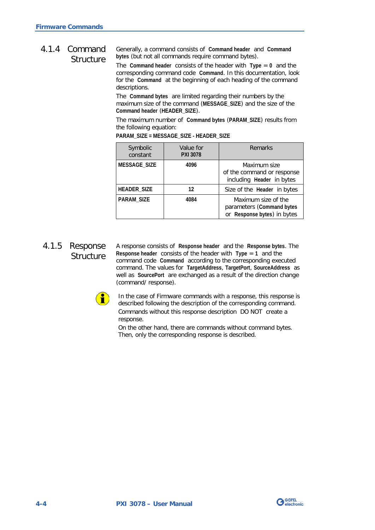#### <span id="page-37-0"></span>Generally, a command consists of **Command header** and **Command bytes** (but not all commands require command bytes). 4.1.4 Command **Structure**

The **Command header** consists of the header with **Type** = **0** and the corresponding command code **Command**. In this documentation, look for the **Command** at the beginning of each heading of the command descriptions.

The **Command bytes** are limited regarding their numbers by the maximum size of the command (**MESSAGE\_SIZE**) and the size of the **Command header** (**HEADER\_SIZE**).

The maximum number of **Command bytes** (**PARAM\_SIZE**) results from the following equation:

| Symbolic<br>constant | Value for<br><b>PXI 3078</b> | Remarks                                                                         |
|----------------------|------------------------------|---------------------------------------------------------------------------------|
| MESSAGE_SIZE         | 4096                         | Maximum size<br>of the command or response<br>including Header in bytes         |
| <b>HEADER_SIZE</b>   | 12                           | Size of the Header in bytes                                                     |
| <b>PARAM_SIZE</b>    | 4084                         | Maximum size of the<br>parameters (Command bytes<br>or Response bytes) in bytes |

**PARAM\_SIZE = MESSAGE\_SIZE - HEADER\_SIZE**

## 4.1.5 Response **Structure**

A response consists of **Response header** and the **Response bytes**. The **Response header** consists of the header with **Type** = **1** and the command code **Command** according to the corresponding executed command. The values for **TargetAddress**, **TargetPort**, **SourceAddress** as well as **SourcePort** are exchanged as a result of the direction change (command/ response).



In the case of Firmware commands with a response, this response is described following the description of the corresponding command. Commands without this response description DO NOT create a response.

On the other hand, there are commands without command bytes. Then, only the corresponding response is described.

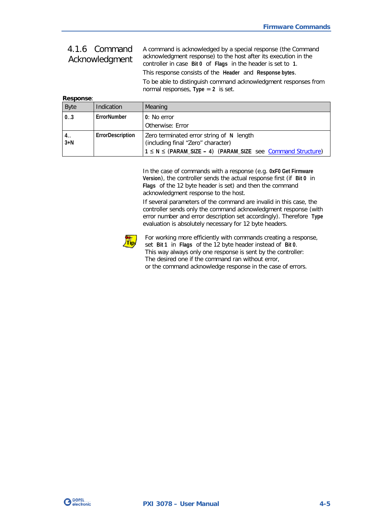## 4.1.6 Command Acknowledgment

A command is acknowledged by a special response (the Command acknowledgment response) to the host after its execution in the controller in case **Bit 0** of **Flags** in the header is set to **1**.

This response consists of the **Header** and **Response bytes**.

To be able to distinguish command acknowledgment responses from normal responses, **Type** = **2** is set.

| <b>Response:</b> |                  |                                                                                |
|------------------|------------------|--------------------------------------------------------------------------------|
| <b>Byte</b>      | Indication       | Meaning                                                                        |
| 0.3              | ErrorNumber      | 0: No error                                                                    |
|                  |                  | Otherwise: Error                                                               |
| 4. .<br>$3+N$    | ErrorDescription | Zero terminated error string of N length<br>(including final "Zero" character) |
|                  |                  | $1 \le N \le (PARM_SIZE - 4)$ (PARAM_SIZE see Command Structure)               |

In the case of commands with a response (e.g. **0xF0 Get Firmware Version**), the controller sends the actual response first (if **Bit 0** in **Flags** of the 12 byte header is set) and then the command acknowledgment response to the host.

If several parameters of the command are invalid in this case, the controller sends only the command acknowledgment response (with error number and error description set accordingly). Therefore **Type** evaluation is absolutely necessary for 12 byte headers.



For working more efficiently with commands creating a response, set **Bit 1** in **Flags** of the 12 byte header instead of **Bit 0**. This way always only one response is sent by the controller: The desired one if the command ran without error, or the command acknowledge response in the case of errors.

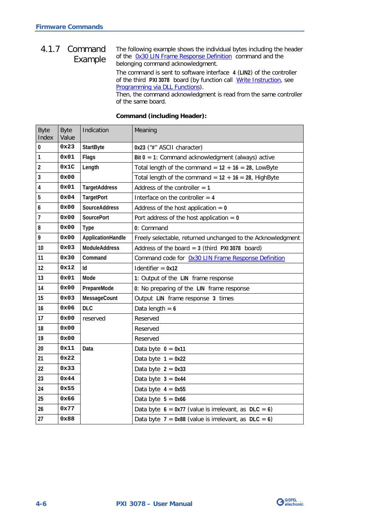#### The following example shows the individual bytes including the header of the [0x30 LIN Frame Response Definition](#page-59-0) command and the belonging command acknowledgment. 4.1.7 Command Example

The command is sent to software interface **4** (**LIN2**) of the controller of the third **PXI 3078** board (by function call **Write Instruction**, see [Programming via DLL Functions\)](#page-20-0).

Then, the command acknowledgment is read from the same controller of the same board.

| <b>Byte</b><br>Index | <b>Byte</b><br>Value | Indication           | Meaning                                                     |
|----------------------|----------------------|----------------------|-------------------------------------------------------------|
| 0                    | 0x23                 | <b>StartByte</b>     | 0x23 ("#" ASCII character)                                  |
| $\mathbf{1}$         | 0x01                 | Flags                | Bit $0 = 1$ : Command acknowledgment (always) active        |
| $\overline{c}$       | 0x1C                 | Length               | Total length of the command = $12 + 16 = 28$ , LowByte      |
| $\mathbf{3}$         | 0x00                 |                      | Total length of the command = $12 + 16 = 28$ , HighByte     |
| 4                    | 0x01                 | <b>TargetAddress</b> | Address of the controller $= 1$                             |
| $5\,$                | 0x04                 | <b>TargetPort</b>    | Interface on the controller $= 4$                           |
| 6                    | 0x00                 | <b>SourceAddress</b> | Address of the host application $= 0$                       |
| $\overline{7}$       | 0x00                 | <b>SourcePort</b>    | Port address of the host application $= 0$                  |
| 8                    | 0x00                 | <b>Type</b>          | 0: Command                                                  |
| 9                    | 0x00                 | ApplicationHandle    | Freely selectable, returned unchanged to the Acknowledgment |
| 10                   | 0x03                 | <b>ModuleAddress</b> | Address of the board = $3$ (third PXI 3078 board)           |
| 11                   | 0x30                 | Command              | Command code for 0x30 LIN Frame Response Definition         |
| 12                   | 0x12                 | Iq.                  | Identifier $= 0x12$                                         |
| 13                   | 0x01                 | Mode                 | 1: Output of the LIN frame response                         |
| 14                   | 0x00                 | PrepareMode          | 0: No preparing of the LIN frame response                   |
| 15                   | 0x03                 | MessageCount         | Output LIN frame response 3 times                           |
| 16                   | 0x06                 | <b>DLC</b>           | Data length = $6$                                           |
| 17                   | 0x00                 | reserved             | Reserved                                                    |
| 18                   | 0x00                 |                      | Reserved                                                    |
| 19                   | 0x00                 |                      | Reserved                                                    |
| 20                   | 0x11                 | Data                 | Data byte $0 = 0x11$                                        |
| 21                   | 0x22                 |                      | Data byte $1 = 0x22$                                        |
| 22                   | 0x33                 |                      | Data byte $2 = 0x33$                                        |
| 23                   | 0x44                 |                      | Data byte $3 = 0x44$                                        |
| 24                   | 0x55                 |                      | Data byte $4 = 0x55$                                        |
| 25                   | 0x66                 |                      | Data byte $5 = 0x66$                                        |
| 26                   | 0x77                 |                      | Data byte $6 = 0x77$ (value is irrelevant, as DLC = 6)      |
| 27                   | 0x88                 |                      | Data byte $7 = 0x88$ (value is irrelevant, as DLC = 6)      |

#### **Command (including Header):**

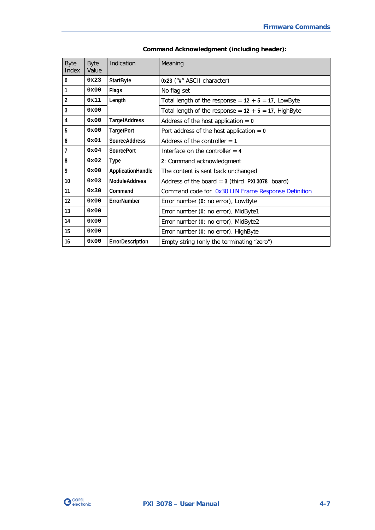| <b>Byte</b><br>Index | <b>Byte</b><br>Value | Indication           | Meaning                                                 |
|----------------------|----------------------|----------------------|---------------------------------------------------------|
| $\mathbf{0}$         | 0x23                 | <b>StartByte</b>     | 0x23 ("#" ASCII character)                              |
| 1                    | 0x00                 | Flags                | No flag set                                             |
| $\overline{2}$       | 0x11                 | Length               | Total length of the response = $12 + 5 = 17$ , LowByte  |
| 3                    | 0x00                 |                      | Total length of the response = $12 + 5 = 17$ , HighByte |
| 4                    | 0x00                 | <b>TargetAddress</b> | Address of the host application $= 0$                   |
| 5                    | 0x00                 | <b>TargetPort</b>    | Port address of the host application $= 0$              |
| 6                    | 0x01                 | <b>SourceAddress</b> | Address of the controller $= 1$                         |
| 7                    | 0x04                 | <b>SourcePort</b>    | Interface on the controller $=$ 4                       |
| 8                    | 0x02                 | Type                 | 2: Command acknowledgment                               |
| 9                    | 0x00                 | ApplicationHandle    | The content is sent back unchanged                      |
| 10                   | $0 \times 03$        | <b>ModuleAddress</b> | Address of the board $= 3$ (third PXI 3078 board)       |
| 11                   | 0x30                 | Command              | Command code for Ox30 LIN Frame Response Definition     |
| 12                   | 0x00                 | FrrorNumber          | Error number (0: no error), LowByte                     |
| 13                   | 0x00                 |                      | Error number (0: no error), MidByte1                    |
| 14                   | 0x00                 |                      | Error number (0: no error), MidByte2                    |
| 15                   | 0x00                 |                      | Error number (0: no error), HighByte                    |
| 16                   | 0x00                 | ErrorDescription     | Empty string (only the terminating "zero")              |

| <b>Command Acknowledgment (including header):</b> |  |  |
|---------------------------------------------------|--|--|
|---------------------------------------------------|--|--|

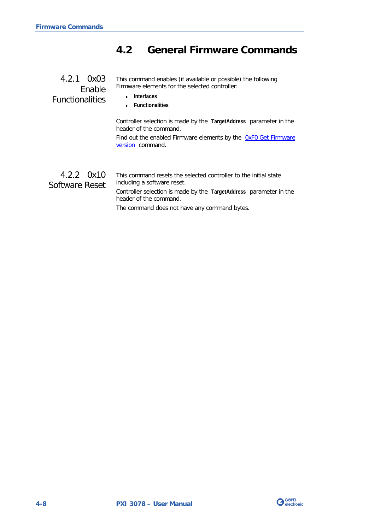## <span id="page-41-0"></span>**4.2 General Firmware Commands**

<span id="page-41-1"></span>

| 4.2.1 0x03                       | This command enables (if available or possible) the following                                |
|----------------------------------|----------------------------------------------------------------------------------------------|
| Enable<br><b>Functionalities</b> | Firmware elements for the selected controller:<br>Interfaces<br>$\leftarrow$ Functionalities |

Controller selection is made by the **TargetAddress** parameter in the header of the command.

Find out the enabled Firmware elements by the OxFO Get Firmware [version](#page-42-0) command.

This command resets the selected controller to the initial state including a software reset. Controller selection is made by the **TargetAddress** parameter in the header of the command. 4.2.2 0x10 Software Reset

The command does not have any command bytes.

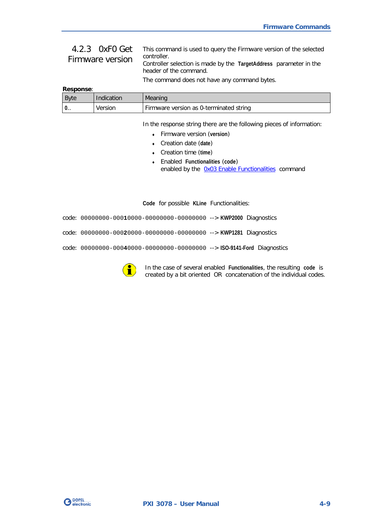## <span id="page-42-0"></span>4.2.3 0xF0 Get Firmware version

This command is used to query the Firmware version of the selected controller. Controller selection is made by the **TargetAddress** parameter in the

header of the command.

The command does not have any command bytes.

| <b>Response:</b> |
|------------------|
|------------------|

| <b>B</b> vte | Indication | Meaning                                 |
|--------------|------------|-----------------------------------------|
| $0$ .        | Version    | Firmware version as 0-terminated string |

In the response string there are the following pieces of information:

- ♦ Firmware version (**version**)
- ♦ Creation date (**date**)
- ♦ Creation time (**time**)
- ♦ Enabled **Functionalities** (**code**) enabled by the [0x03 Enable Functionalities](#page-41-1) command

**Code** for possible **KLine** Functionalities:

code: 00000000-000**1**0000-00000000-00000000 --> **KWP2000** Diagnostics

code: 00000000-000**2**0000-00000000-00000000 --> **KWP1281** Diagnostics

code: 00000000-000**4**0000-00000000-00000000 --> **ISO-9141-Ford** Diagnostics



In the case of several enabled **Functionalities**, the resulting **code** is created by a bit oriented OR concatenation of the individual codes.

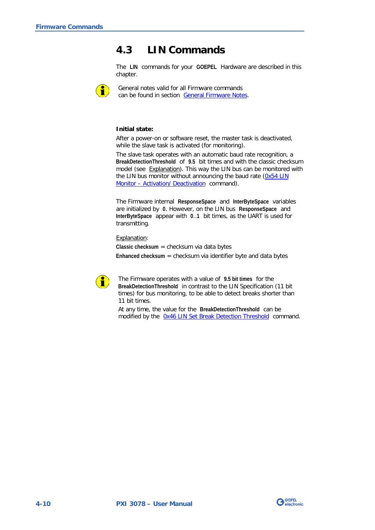## <span id="page-43-0"></span>**4.3 LIN Commands**

The **LIN** commands for your **GOEPEL** Hardware are described in this chapter.



General notes valid for all Firmware commands can be found in section [General Firmware Notes.](#page-34-0)

#### **Initial state:**

After a power-on or software reset, the master task is deactivated, while the slave task is activated (for monitoring).

The slave task operates with an automatic baud rate recognition, a **BreakDetectionThreshold** of **9.5** bit times and with the classic checksum model (see Explanation). This way the LIN bus can be monitored with the LIN bus monitor without announcing the baud rate [\(0x54 LIN](#page-65-0)  Monitor – [Activation/ Deactivation](#page-65-0) command).

The Firmware internal **ResponseSpace** and **InterByteSpace** variables are initialized by **0**. However, on the LIN bus **ResponseSpace** and **InterByteSpace** appear with **0**..**1** bit times, as the UART is used for transmitting.

Explanation:

**Classic checksum** = checksum via data bytes **Enhanced checksum** = checksum via identifier byte and data bytes



The Firmware operates with a value of **9.5 bit times** for the **BreakDetectionThreshold** in contrast to the LIN Specification (11 bit times) for bus monitoring, to be able to detect breaks shorter than 11 bit times.

At any time, the value for the **BreakDetectionThreshold** can be modified by the [0x46 LIN Set Break Detection Threshold](#page-62-0) command.

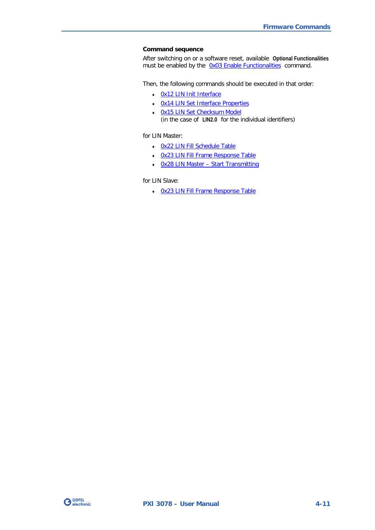#### **Command sequence**

After switching on or a software reset, available **Optional Functionalities** must be enabled by the [0x03 Enable Functionalities](#page-41-1) command.

Then, the following commands should be executed in that order:

- ♦ [0x12 LIN Init Interface](#page-47-0)
- ♦ [0x14 LIN Set Interface Properties](#page-48-0)
- ♦ [0x15 LIN Set Checksum Model](#page-50-0)  (in the case of **LIN2.0** for the individual identifiers)

for LIN Master:

- ♦ [0x22 LIN Fill Schedule Table](#page-53-0)
- ♦ [0x23 LIN Fill Frame Response Table](#page-54-0)
- ♦ 0x28 LIN Master [Start Transmitting](#page-55-0)

for LIN Slave:

♦ [0x23 LIN Fill Frame Response Table](#page-54-0) 

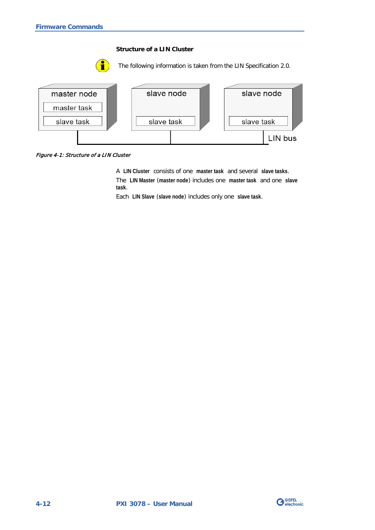#### **Structure of a LIN Cluster**





Figure 4-1: Structure of a LIN Cluster

A **LIN Cluster** consists of one **master task** and several **slave tasks**. The **LIN Master** (**master node**) includes one **master task** and one **slave task**.

Each **LIN Slave** (**slave node**) includes only one **slave task**.

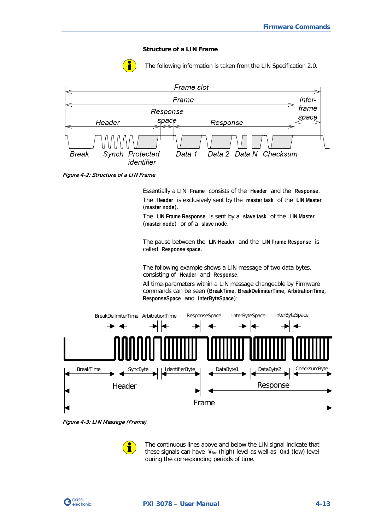#### **Structure of a LIN Frame**



The following information is taken from the LIN Specification 2.0.



<span id="page-46-1"></span>Figure 4-2: Structure of a LIN Frame

Essentially a LIN **Frame** consists of the **Header** and the **Response**. The **Header** is exclusively sent by the **master task** of the **LIN Master** (**master node**).

The **LIN Frame Response** is sent by a **slave task** of the **LIN Master** (**master node**) or of a **slave node**.

The pause between the **LIN Header** and the **LIN Frame Response** is called **Response space**.

The following example shows a LIN message of two data bytes, consisting of **Header** and **Response**.

All time-parameters within a LIN message changeable by Firmware commands can be seen (**BreakTime**, **BreakDelimiterTime**, **ArbitrationTime**, **ResponseSpace** and **InterByteSpace**):



<span id="page-46-0"></span>Figure 4-3: LIN Message (Frame)



The continuous lines above and below the LIN signal indicate that these signals can have V<sub>Bat</sub> (high) level as well as Gnd (low) level during the corresponding periods of time.

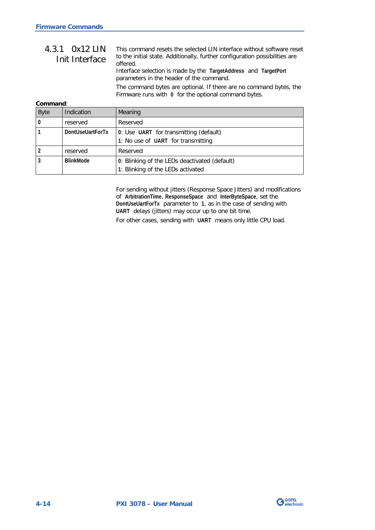#### <span id="page-47-0"></span>This command resets the selected LIN interface without software reset to the initial state. Additionally, further configuration possibilities are offered. 4.3.1 0x12 LIN Init Interface

Interface selection is made by the **TargetAddress** and **TargetPort** parameters in the header of the command.

The command bytes are optional. If there are no command bytes, the Firmware runs with **0** for the optional command bytes.

#### **Command**:

| <b>Byte</b> | Indication       | Meaning                                       |
|-------------|------------------|-----------------------------------------------|
| $\bf{0}$    | reserved         | Reserved                                      |
|             | DontUseUartForTx | 0: Use UART for transmitting (default)        |
|             |                  | 1: No use of UART for transmitting            |
|             | reserved         | Reserved                                      |
|             | <b>BlinkMode</b> | 0: Blinking of the LEDs deactivated (default) |
|             |                  | 1: Blinking of the LEDs activated             |

For sending without jitters (Response Space Jitters) and modifications of **ArbitrationTime**, **ResponseSpace** and **InterByteSpace**, set the **DontUseUartForTx** parameter to **1**, as in the case of sending with **UART** delays (jitters) may occur up to one bit time.

For other cases, sending with **UART** means only little CPU load.

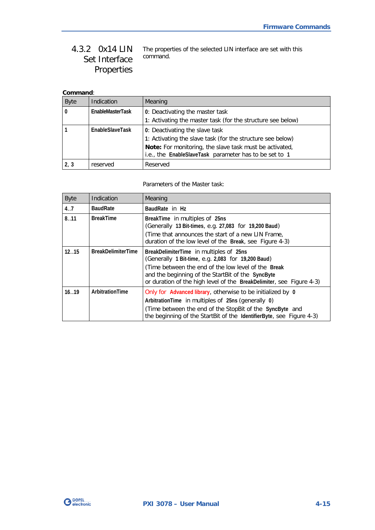#### <span id="page-48-0"></span>The properties of the selected LIN interface are set with this command. 4.3.2 0x14 LIN Set Interface Properties

### **Command**:

| <b>Byte</b> | Indication       | Meaning                                                     |
|-------------|------------------|-------------------------------------------------------------|
|             | EnableMasterTask | 0: Deactivating the master task                             |
|             |                  | 1: Activating the master task (for the structure see below) |
|             | EnableSlaveTask  | 0: Deactivating the slave task                              |
|             |                  | 1: Activating the slave task (for the structure see below)  |
|             |                  | Note: For monitoring, the slave task must be activated,     |
|             |                  | i.e., the EnableSlaveTask parameter has to be set to 1      |
| 2, 3        | reserved         | Reserved                                                    |

Parameters of the Master task:

| <b>Byte</b> | Indication                | Meaning                                                                                                                                                                                                                                                                           |
|-------------|---------------------------|-----------------------------------------------------------------------------------------------------------------------------------------------------------------------------------------------------------------------------------------------------------------------------------|
| 4.7         | <b>BaudRate</b>           | BaudRate in Hz                                                                                                                                                                                                                                                                    |
| 8.11        | <b>BreakTime</b>          | BreakTime in multiples of 25ns<br>(Generally 13 Bit-times, e.g. 27,083 for 19,200 Baud)                                                                                                                                                                                           |
|             |                           | (Time that announces the start of a new LIN Frame,<br>duration of the low level of the Break, see Figure 4-3)                                                                                                                                                                     |
| 1215        | <b>BreakDelimiterTime</b> | BreakDelimiterTime in multiples of 25ns<br>(Generally 1 Bit-time, e.g. 2,083 for 19,200 Baud)<br>(Time between the end of the low level of the Break<br>and the beginning of the StartBit of the SyncByte<br>or duration of the high level of the BreakDelimiter, see Figure 4-3) |
| 16.19       | ArbitrationTime           | Only for Advanced library, otherwise to be initialized by 0<br>Arbitration Time in multiples of 25ns (generally 0)<br>(Time between the end of the StopBit of the SyncByte and<br>the beginning of the StartBit of the IdentifierByte, see Figure 4-3)                            |

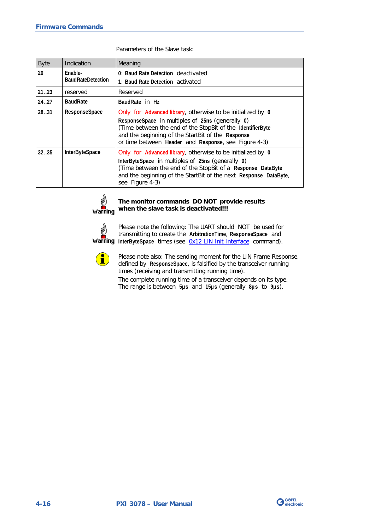| <b>Byte</b> | Indication                          | Meaning                                                                                                                                                                                                                                                                                    |
|-------------|-------------------------------------|--------------------------------------------------------------------------------------------------------------------------------------------------------------------------------------------------------------------------------------------------------------------------------------------|
| 20          | Enable-<br><b>BaudRateDetection</b> | 0: Baud Rate Detection deactivated<br>1: Baud Rate Detection activated                                                                                                                                                                                                                     |
| 2123        | reserved                            | Reserved                                                                                                                                                                                                                                                                                   |
| 24.27       | <b>BaudRate</b>                     | BaudRate in Hz                                                                                                                                                                                                                                                                             |
| 2831        | ResponseSpace                       | Only for Advanced library, otherwise to be initialized by 0<br>ResponseSpace in multiples of 25ns (generally 0)<br>(Time between the end of the StopBit of the IdentifierByte<br>and the beginning of the StartBit of the Response<br>or time between Header and Response, see Figure 4-3) |
| 3235        | <b>InterByteSpace</b>               | Only for Advanced library, otherwise to be initialized by 0<br>InterByteSpace in multiples of 25ns (generally 0)<br>(Time between the end of the StopBit of a Response DataByte<br>and the beginning of the StartBit of the next Response DataByte,<br>see Figure 4-3)                     |

#### Parameters of the Slave task:



#### **The monitor commands DO NOT provide results when the slave task is deactivated!!!**



Please note the following: The UART should NOT be used for transmitting to create the **ArbitrationTime**, **ResponseSpace** and Warning InterByteSpace times (see [0x12 LIN Init Interface](#page-47-0) command).



Please note also: The sending moment for the LIN Frame Response, defined by **ResponseSpace**, is falsified by the transceiver running times (receiving and transmitting running time).

The complete running time of a transceiver depends on its type. The range is between **5µs** and **15µs** (generally **8µs** to **9µs**).

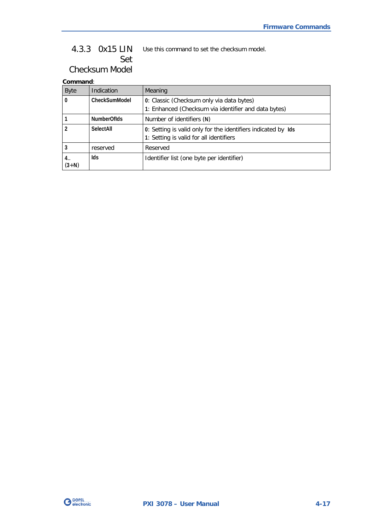#### <span id="page-50-0"></span>Use this command to set the checksum model. 4.3.3 0x15 LIN Set

Checksum Model

| <b>Byte</b>     | Indication       | Meaning                                                                                                  |
|-----------------|------------------|----------------------------------------------------------------------------------------------------------|
| $\bf{0}$        | CheckSumModel    | 0: Classic (Checksum only via data bytes)                                                                |
|                 |                  | 1: Enhanced (Checksum via identifier and data bytes)                                                     |
|                 | NumberOfIds      | Number of identifiers (N)                                                                                |
|                 | <b>SelectAll</b> | 0: Setting is valid only for the identifiers indicated by Ids<br>1: Setting is valid for all identifiers |
|                 | reserved         | Reserved                                                                                                 |
| 4. .<br>$(3+N)$ | lds              | Identifier list (one byte per identifier)                                                                |

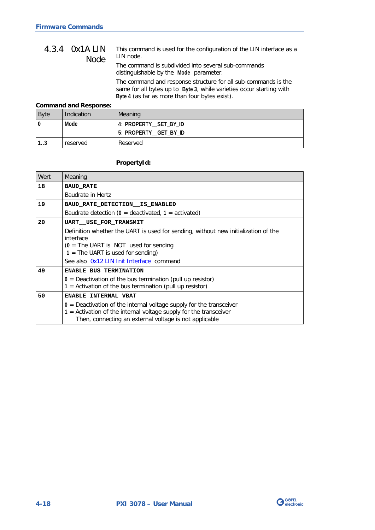#### <span id="page-51-0"></span>This command is used for the configuration of the LIN interface as a LIN node. The command is subdivided into several sub-commands distinguishable by the **Mode** parameter. The command and response structure for all sub-commands is the same for all bytes up to **Byte 3**, while varieties occur starting with **Byte 4** (as far as more than four bytes exist). 4.3.4 0x1A LIN Node

#### **Command and Response:**

| <b>Byte</b> | Indication | Meaning               |
|-------------|------------|-----------------------|
|             | Mode       | 4: PROPERTY_SET_BY_ID |
|             |            | 5: PROPERTY_GET_BY_ID |
| 1.3         | reserved   | Reserved              |

### **PropertyId:**

| Wert | Meaning                                                                                                                                                                                                |  |  |
|------|--------------------------------------------------------------------------------------------------------------------------------------------------------------------------------------------------------|--|--|
| 18   | <b>BAUD RATE</b>                                                                                                                                                                                       |  |  |
|      | Baudrate in Hertz                                                                                                                                                                                      |  |  |
| 19   | BAUD RATE DETECTION IS ENABLED                                                                                                                                                                         |  |  |
|      | Baudrate detection ( $0 =$ deactivated, $1 =$ activated)                                                                                                                                               |  |  |
| 20   | <b>UART__USE_FOR_TRANSMIT</b>                                                                                                                                                                          |  |  |
|      | Definition whether the UART is used for sending, without new initialization of the<br>interface                                                                                                        |  |  |
|      | $(0 =$ The UART is NOT used for sending<br>$1 =$ The UART is used for sending)                                                                                                                         |  |  |
|      | See also Ox12 LIN Init Interface command                                                                                                                                                               |  |  |
| 49   | ENABLE BUS TERMINATION                                                                                                                                                                                 |  |  |
|      | $0 =$ Deactivation of the bus termination (pull up resistor)<br>$1 =$ Activation of the bus termination (pull up resistor)                                                                             |  |  |
| 50   | <b>ENABLE INTERNAL VBAT</b>                                                                                                                                                                            |  |  |
|      | $0$ = Deactivation of the internal voltage supply for the transceiver<br>$1$ = Activation of the internal voltage supply for the transceiver<br>Then, connecting an external voltage is not applicable |  |  |

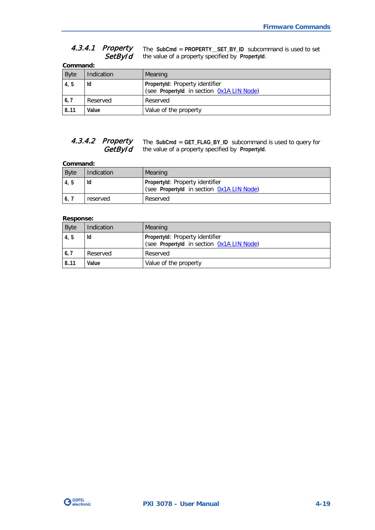#### The **SubCmd** = **PROPERTY\_\_SET\_BY\_ID** subcommand is used to set the value of a property specified by **PropertyId**. 4.3.4.1 Property **SetById**

|             | Command:   |                                                                              |  |
|-------------|------------|------------------------------------------------------------------------------|--|
| <b>Byte</b> | Indication | Meaning                                                                      |  |
| 4, 5        | Id         | Propertyld: Property identifier<br>(see Propertyld in section 0x1A LIN Node) |  |
| 6, 7        | Reserved   | Reserved                                                                     |  |
| 8.11        | Value      | Value of the property                                                        |  |

#### The **SubCmd** = **GET\_FLAG\_BY\_ID** subcommand is used to query for the value of a property specified by **PropertyId**. 4.3.4.2 Property **GetById**

#### **Command:**

| <b>Byte</b> | Indication | Meaning                                                                      |
|-------------|------------|------------------------------------------------------------------------------|
| 4, 5        | Ιd         | Propertyld: Property identifier<br>(see Propertyld in section Ox1A LIN Node) |
| 16,7        | reserved   | Reserved                                                                     |

#### **Response:**

| <b>Byte</b> | Indication | Meaning                                                                      |
|-------------|------------|------------------------------------------------------------------------------|
| 4, 5        | ld         | Propertyld: Property identifier<br>(see Propertyld in section Ox1A LIN Node) |
| 6,7         | Reserved   | Reserved                                                                     |
| 8.11        | Value      | Value of the property                                                        |

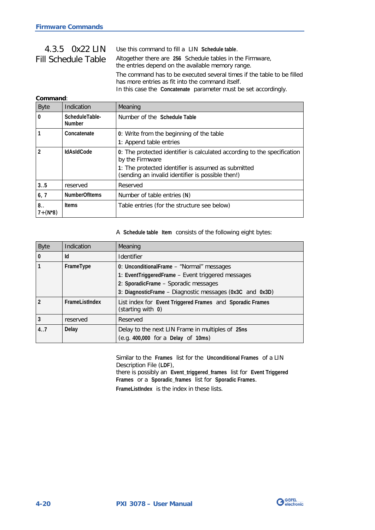## <span id="page-53-0"></span>4.3.5 0x22 LIN Fill Schedule Table

Use this command to fill a LIN **Schedule table**. Altogether there are **256** Schedule tables in the Firmware, the entries depend on the available memory range. The command has to be executed several times if the table to be filled has more entries as fit into the command itself. In this case the **Concatenate** parameter must be set accordingly.

### **Command**:

| <b>Byte</b>        | Indication                      | Meaning                                                                                                                                                                                                 |
|--------------------|---------------------------------|---------------------------------------------------------------------------------------------------------------------------------------------------------------------------------------------------------|
| $\bf{0}$           | ScheduleTable-<br><b>Number</b> | Number of the Schedule Table                                                                                                                                                                            |
|                    | Concatenate                     | 0: Write from the beginning of the table<br>1: Append table entries                                                                                                                                     |
| $\mathfrak{p}$     | <b>IdAsIdCode</b>               | 0: The protected identifier is calculated according to the specification<br>by the Firmware<br>1: The protected identifier is assumed as submitted<br>(sending an invalid identifier is possible then!) |
| 3.5                | reserved                        | Reserved                                                                                                                                                                                                |
| 6, 7               | <b>NumberOfItems</b>            | Number of table entries (N)                                                                                                                                                                             |
| 8.<br>$7 + (N^*8)$ | <b>Items</b>                    | Table entries (for the structure see below)                                                                                                                                                             |

A **Schedule table Item** consists of the following eight bytes:

| <b>Byte</b> | Indication     | Meaning                                                                                                                                                                                            |
|-------------|----------------|----------------------------------------------------------------------------------------------------------------------------------------------------------------------------------------------------|
| $\bf{0}$    | Id             | <b>Identifier</b>                                                                                                                                                                                  |
|             | FrameType      | 0: UnconditionalFrame – "Normal" messages<br>1: EventTriggeredFrame - Event triggered messages<br>2: SporadicFrame - Sporadic messages<br>3: DiagnosticFrame - Diagnostic messages (0x3C and 0x3D) |
|             | FrameListIndex | List index for Event Triggered Frames and Sporadic Frames<br>(starting with 0)                                                                                                                     |
| 3           | reserved       | Reserved                                                                                                                                                                                           |
| 4.7         | Delay          | Delay to the next LIN Frame in multiples of 25ns<br>(e.g. 400,000 for a Delay of 10ms)                                                                                                             |

Similar to the **Frames** list for the **Unconditional Frames** of a LIN Description File (**LDF**), there is possibly an **Event\_triggered\_frames** list for **Event Triggered Frames** or a **Sporadic\_frames** list for **Sporadic Frames**. **FrameListIndex** is the index in these lists.

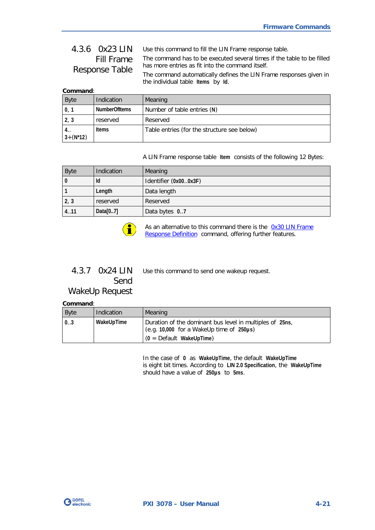## <span id="page-54-0"></span>4.3.6 0x23 LIN Fill Frame Response Table

Use this command to fill the LIN Frame response table. The command has to be executed several times if the table to be filled has more entries as fit into the command itself. The command automatically defines the LIN Frame responses given in

**Command**:

| Command.            |               |                                             |
|---------------------|---------------|---------------------------------------------|
| <b>Byte</b>         | Indication    | Meaning                                     |
| $\mathbf{0}$        | NumberOfItems | Number of table entries (N)                 |
| 2, 3                | reserved      | Reserved                                    |
| 4. .<br>$3+(N^*12)$ | <b>Items</b>  | Table entries (for the structure see below) |

the individual table **Items** by **Id**.

A LIN Frame response table **Item** consists of the following 12 Bytes:

| <b>Byte</b> | Indication | Meaning               |
|-------------|------------|-----------------------|
| -0          | ld         | Identifier (0x000x3F) |
|             | Length     | Data length           |
| 2, 3        | reserved   | Reserved              |
| 4.11        | Data[07]   | Data bytes 07         |



As an alternative to this command there is the 0x30 LIN Frame [Response Definition](#page-59-0) command, offering further features.

#### Use this command to send one wakeup request. 4.3.7 0x24 LIN Send

## WakeUp Request

**Command**:

| Byte               | Indication | Meaning                                                                                                                                           |
|--------------------|------------|---------------------------------------------------------------------------------------------------------------------------------------------------|
| $\vert 03 \rangle$ | WakeUpTime | Duration of the dominant bus level in multiples of 25ns,<br>(e.g. $10,000$ for a WakeUp time of $250\mu s$ )<br>$(0 = \text{Default MakeUpTime})$ |

In the case of **0** as **WakeUpTime**, the default **WakeUpTime** is eight bit times. According to **LIN 2.0 Specification**, the **WakeUpTime** should have a value of **250µs** to **5ms**.

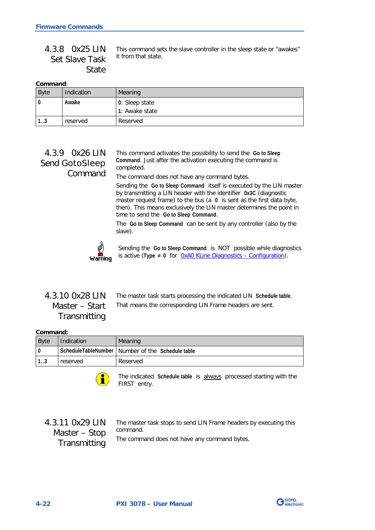|                                    | 4.3.8 OX25 LIN This command sets the slave controller in the sleep state or "awakes" |
|------------------------------------|--------------------------------------------------------------------------------------|
| Set Slave Task it from that state. |                                                                                      |
| State                              |                                                                                      |

|--|

| <b>Byte</b> | Indication | Meaning        |
|-------------|------------|----------------|
| $\bf{0}$    | Awake      | 0: Sleep state |
|             |            | 1: Awake state |
| 12<br>ن. ا  | reserved   | Reserved       |

## 4.3.9 0x26 LIN Send GotoSleep Command

This command activates the possibility to send the **Go to Sleep Command**. Just after the activation executing the command is completed.

The command does not have any command bytes.

Sending the **Go to Sleep Command** itself is executed by the LIN master by transmitting a LIN header with the identifier **0x3C** (diagnostic master request frame) to the bus (a **0** is sent as the first data byte, then). This means exclusively the LIN master determines the point in time to send the **Go to Sleep Command**.

The **Go to Sleep Command** can be sent by any controller (also by the slave).



Sending the **Go to Sleep Command** is NOT possible while diagnostics is active (**Type** ≠ **0** for [0xA0 KLine Diagnostics –](#page-94-0) Configuration).

<span id="page-55-0"></span>

| 4.3.10 0x28 LIN |
|-----------------|
| Master – Start  |
| Transmitting    |

The master task starts processing the indicated LIN **Schedule table**. That means the corresponding LIN Frame headers are sent.

#### **Command:**

| <b>Byte</b> | Indication | <b>Meaning</b>                                     |
|-------------|------------|----------------------------------------------------|
|             |            | ScheduleTableNumber   Number of the Schedule table |
| 13          | reserved   | Reserved                                           |



The indicated **Schedule table** is always processed starting with the FIRST entry.

## 4.3.11 0x29 LIN Master – Stop **Transmitting**

The master task stops to send LIN Frame headers by executing this command. The command does not have any command bytes.

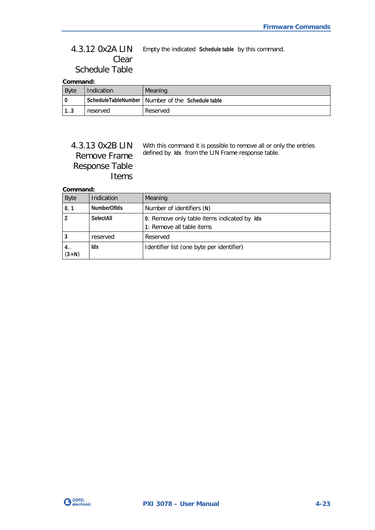#### Empty the indicated **Schedule table** by this command. 4.3.12 0x2A LIN Clear Schedule Table

#### **Command:**

| <b>Byte</b> | Indication | Meaning                                            |
|-------------|------------|----------------------------------------------------|
|             |            | ScheduleTableNumber   Number of the Schedule table |
| ົ່<br>ن. ا  | reserved   | Reserved                                           |

## 4.3.13 0x2B LIN Remove Frame Response Table Items

With this command it is possible to remove all or only the entries defined by **Ids** from the LIN Frame response table.

| <b>Byte</b>     | Indication         | Meaning                                                                  |
|-----------------|--------------------|--------------------------------------------------------------------------|
| 0, 1            | <b>NumberOfIds</b> | Number of identifiers (N)                                                |
|                 | SelectAll          | 0: Remove only table items indicated by Ids<br>1: Remove all table items |
|                 | reserved           | Reserved                                                                 |
| 4. .<br>$(3+N)$ | Ids                | Identifier list (one byte per identifier)                                |

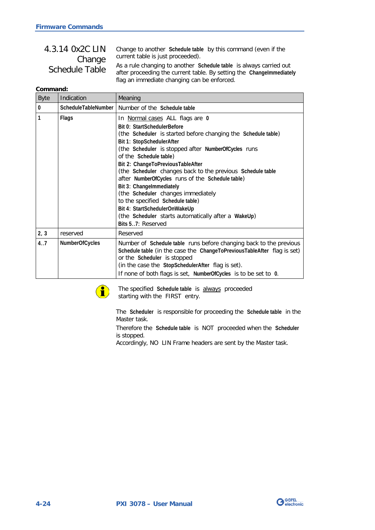| 4.3.14 0x2C LIN | Change to another Schedule table by this command (even if the                                                                                                                             |
|-----------------|-------------------------------------------------------------------------------------------------------------------------------------------------------------------------------------------|
| Change          | current table is just proceeded).                                                                                                                                                         |
| Schedule Table  | As a rule changing to another Schedule table is always carried out<br>after proceeding the current table. By setting the Changelmmediately<br>flag an immediate changing can be enforced. |

#### **Command:**

| <b>Byte</b> | Indication     | Meaning                                                                                                                                                                                                                                                                                                                                                                                                                                                                                                                                                                                                                 |
|-------------|----------------|-------------------------------------------------------------------------------------------------------------------------------------------------------------------------------------------------------------------------------------------------------------------------------------------------------------------------------------------------------------------------------------------------------------------------------------------------------------------------------------------------------------------------------------------------------------------------------------------------------------------------|
| 0           |                | ScheduleTableNumber   Number of the Schedule table                                                                                                                                                                                                                                                                                                                                                                                                                                                                                                                                                                      |
| 1           | Flags          | In Normal cases ALL flags are 0<br>Bit 0: StartSchedulerBefore<br>(the Scheduler is started before changing the Schedule table)<br>Bit 1: StopSchedulerAfter<br>(the Scheduler is stopped after NumberOfCycles runs<br>of the Schedule table)<br>Bit 2: ChangeToPreviousTableAfter<br>(the Scheduler changes back to the previous Schedule table<br>after NumberOfCycles runs of the Schedule table)<br>Bit 3: Changelmmediately<br>(the Scheduler changes immediately<br>to the specified Schedule table)<br>Bit 4: StartSchedulerOnWakeUp<br>(the Scheduler starts automatically after a WakeUp)<br>Bits 57: Reserved |
| 2, 3        | reserved       | Reserved                                                                                                                                                                                                                                                                                                                                                                                                                                                                                                                                                                                                                |
| 4.7         | NumberOfCycles | Number of Schedule table runs before changing back to the previous<br>Schedule table (in the case the ChangeToPreviousTableAfter flag is set)<br>or the Scheduler is stopped<br>(in the case the StopSchedulerAfter flag is set).<br>If none of both flags is set, NumberOfCycles is to be set to 0.                                                                                                                                                                                                                                                                                                                    |



The specified **Schedule table** is always proceeded starting with the FIRST entry.

The **Scheduler** is responsible for proceeding the **Schedule table** in the Master task.

Therefore the **Schedule table** is NOT proceeded when the **Scheduler** is stopped.

Accordingly, NO LIN Frame headers are sent by the Master task.

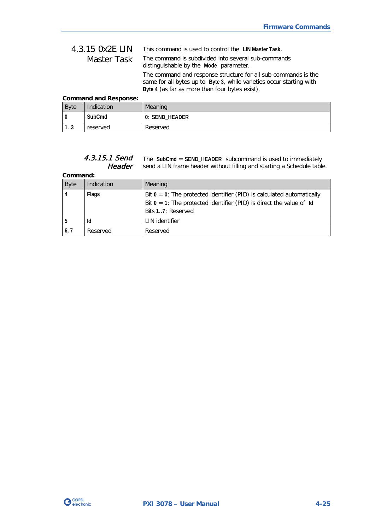| 4.3.15 0x2E LIN | This command is used to control the LIN Master Task.                                                                                                                                     |
|-----------------|------------------------------------------------------------------------------------------------------------------------------------------------------------------------------------------|
| Master Task     | The command is subdivided into several sub-commands<br>distinguishable by the Mode parameter.                                                                                            |
|                 | The command and response structure for all sub-commands is the<br>same for all bytes up to Byte 3, while varieties occur starting with<br>Byte 4 (as far as more than four bytes exist). |

### **Command and Response:**

| <b>Byte</b> | Indication | Meaning        |
|-------------|------------|----------------|
|             | SubCmd     | 0: SEND_HEADER |
| 1 2<br>د. ا | reserved   | Reserved       |

#### The **SubCmd** = **SEND\_HEADER** subcommand is used to immediately send a LIN frame header without filling and starting a Schedule table. 4.3.15.1 Send Header

| <b>Byte</b>    | Indication | Meaning                                                                                                                                                                 |
|----------------|------------|-------------------------------------------------------------------------------------------------------------------------------------------------------------------------|
| $\overline{4}$ | Flags      | Bit $0 = 0$ : The protected identifier (PID) is calculated automatically<br>Bit $0 = 1$ : The protected identifier (PID) is direct the value of Id<br>Bits 17: Reserved |
| l 5            | Id         | LIN identifier                                                                                                                                                          |
| 6,7            | Reserved   | Reserved                                                                                                                                                                |

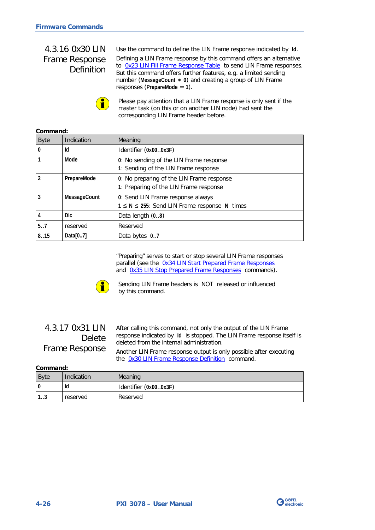## <span id="page-59-0"></span>4.3.16 0x30 LIN Frame Response Definition

**Command:**

Use the command to define the LIN Frame response indicated by **Id**. Defining a LIN Frame response by this command offers an alternative to Ox23 LIN Fill Frame Response Table to send LIN Frame responses. But this command offers further features, e.g. a limited sending number (**MessageCount** ≠ **0**) and creating a group of LIN Frame responses (**PrepareMode** = **1**).



Please pay attention that a LIN Frame response is only sent if the master task (on this or on another LIN node) had sent the corresponding LIN Frame header before.

| <u>COMMITATIO</u> . |              |                                                                                          |
|---------------------|--------------|------------------------------------------------------------------------------------------|
| <b>Byte</b>         | Indication   | Meaning                                                                                  |
| $\bf{0}$            | Id           | Identifier (0x000x3F)                                                                    |
|                     | Mode         | 0: No sending of the LIN Frame response<br>1: Sending of the LIN Frame response          |
| $\mathfrak{p}$      | PrepareMode  | 0: No preparing of the LIN Frame response<br>1: Preparing of the LIN Frame response      |
| 3                   | MessageCount | 0: Send LIN Frame response always<br>$1 \le N \le 255$ : Send LIN Frame response N times |
| 4                   | <b>DI</b> c  | Data length $(08)$                                                                       |
| 5.7                 | reserved     | Reserved                                                                                 |
| 8.15                | Data[07]     | Data bytes 0.7                                                                           |

"Preparing" serves to start or stop several LIN Frame responses parallel (see the [0x34 LIN Start Prepared Frame Responses](#page-61-0)  and [0x35 LIN Stop Prepared Frame Responses](#page-61-1) commands).



Sending LIN Frame headers is NOT released or influenced by this command.

## 4.3.17 0x31 LIN Delete Frame Response

After calling this command, not only the output of the LIN Frame response indicated by **Id** is stopped. The LIN Frame response itself is deleted from the internal administration.

Another LIN Frame response output is only possible after executing the [0x30 LIN Frame Response Definition](#page-59-0) command.

| <b>Byte</b> | Indication | Meaning               |
|-------------|------------|-----------------------|
|             | Id         | Identifier (0x000x3F) |
| ن. ا        | reserved   | Reserved              |

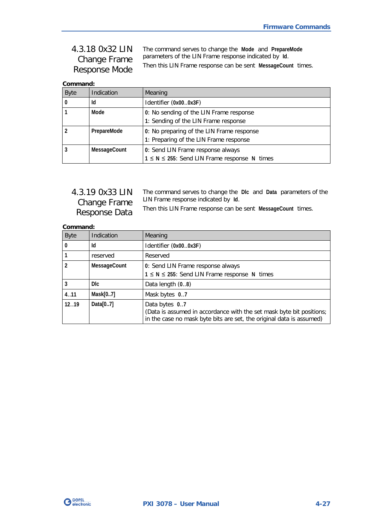4.3.18 0x32 LIN Change Frame Response Mode

The command serves to change the **Mode** and **PrepareMode** parameters of the LIN Frame response indicated by **Id**. Then this LIN Frame response can be sent **MessageCount** times.

### **Command:**

| <b>Byte</b> | Indication   | Meaning                                                                                  |
|-------------|--------------|------------------------------------------------------------------------------------------|
|             | Id           | Identifier (0x000x3F)                                                                    |
|             | Mode         | 0: No sending of the LIN Frame response<br>1: Sending of the LIN Frame response          |
|             | PrepareMode  | 0: No preparing of the LIN Frame response<br>1: Preparing of the LIN Frame response      |
|             | MessageCount | 0: Send LIN Frame response always<br>$1 \le N \le 255$ : Send LIN Frame response N times |

## 4.3.19 0x33 LIN Change Frame Response Data

The command serves to change the **Dlc** and **Data** parameters of the LIN Frame response indicated by **Id**.

Then this LIN Frame response can be sent **MessageCount** times.

| <b>Byte</b> | Indication   | Meaning                                                                                                                                                       |
|-------------|--------------|---------------------------------------------------------------------------------------------------------------------------------------------------------------|
| 0           | Id           | Identifier (0x000x3F)                                                                                                                                         |
|             | reserved     | Reserved                                                                                                                                                      |
|             | MessageCount | 0: Send LIN Frame response always<br>$1 \le N \le 255$ : Send LIN Frame response N times                                                                      |
|             | Dlc.         | Data length $(0.8)$                                                                                                                                           |
| 4.11        | Mask[07]     | Mask bytes 07                                                                                                                                                 |
| 1219        | Data $[07]$  | Data bytes 07<br>(Data is assumed in accordance with the set mask byte bit positions;<br>in the case no mask byte bits are set, the original data is assumed) |

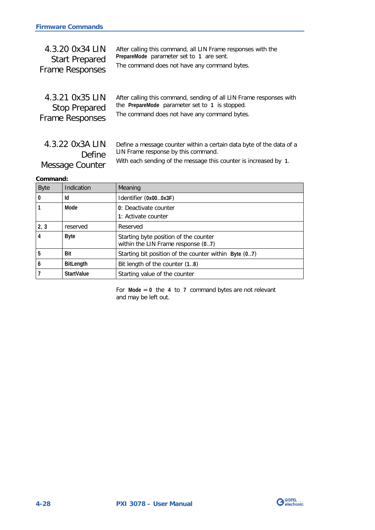<span id="page-61-0"></span>

| 4.3.20 0x34 LIN        | After calling this command, all LIN Frame responses with the |
|------------------------|--------------------------------------------------------------|
| <b>Start Prepared</b>  | PrepareMode parameter set to 1 are sent.                     |
| <b>Frame Responses</b> | The command does not have any command bytes.                 |
|                        |                                                              |
|                        |                                                              |

<span id="page-61-1"></span>

| 4.3.21 0x35 LIN        | After calling this command, sending of all LIN Frame responses with |
|------------------------|---------------------------------------------------------------------|
| <b>Stop Prepared</b>   | the PrepareMode parameter set to 1 is stopped.                      |
| <b>Frame Responses</b> | The command does not have any command bytes.                        |

Define a message counter within a certain data byte of the data of a LIN Frame response by this command. With each sending of the message this counter is increased by **1**. 4.3.22 0x3A LIN Define Message Counter

#### **Command:**

| <b>Byte</b>    | Indication        | Meaning                                                                     |
|----------------|-------------------|-----------------------------------------------------------------------------|
| $\bf{0}$       | Id                | Identifier (0x000x3F)                                                       |
|                | Mode              | 0: Deactivate counter<br>1: Activate counter                                |
| 2, 3           | reserved          | Reserved                                                                    |
| $\overline{4}$ | <b>Byte</b>       | Starting byte position of the counter<br>within the LIN Frame response (07) |
| 5              | Bit               | Starting bit position of the counter within Byte (07)                       |
| 6              | <b>BitLength</b>  | Bit length of the counter (1.8)                                             |
|                | <b>StartValue</b> | Starting value of the counter                                               |

For **Mode** = **0** the **4** to **7** command bytes are not relevant and may be left out.

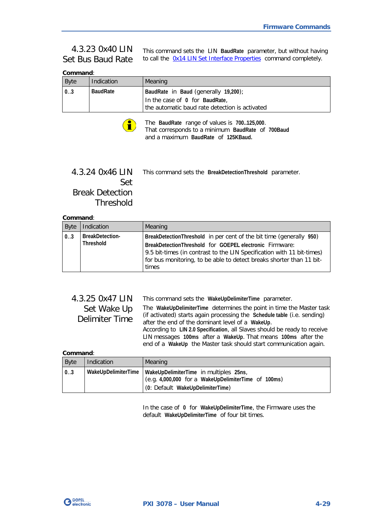#### This command sets the LIN **BaudRate** parameter, but without having to call the  $0x14$  LIN Set Interface Properties command completely. 4.3.23 0x40 LIN Set Bus Baud Rate

#### **Command**:

| <b>Byte</b> | Indication      | Meaning                                                                                                                  |
|-------------|-----------------|--------------------------------------------------------------------------------------------------------------------------|
| 0.3         | <b>BaudRate</b> | BaudRate in Baud (generally 19,200);<br>In the case of 0 for BaudRate,<br>the automatic baud rate detection is activated |



The **BaudRate** range of values is **700..125,000**. That corresponds to a minimum **BaudRate** of **700Baud** and a maximum **BaudRate** of **125KBaud.**

### <span id="page-62-0"></span>This command sets the **BreakDetectionThreshold** parameter. 4.3.24 0x46 LIN Set Break Detection Threshold

#### **Command**:

| <b>Byte</b> | Indication                                 | Meaning                                                                                                                                                                                                                                                                                   |
|-------------|--------------------------------------------|-------------------------------------------------------------------------------------------------------------------------------------------------------------------------------------------------------------------------------------------------------------------------------------------|
| 0.3         | <b>BreakDetection-</b><br><b>Threshold</b> | BreakDetectionThreshold in per cent of the bit time (generally 950)<br>BreakDetectionThreshold for GOEPEL electronic Firmware:<br>9.5 bit-times (in contrast to the LIN Specification with 11 bit-times)<br>for bus monitoring, to be able to detect breaks shorter than 11 bit-<br>times |

| 4.3.25 0x47 LIN | This command sets the WakeUpDelimiterTime parameter.                                                                                             |
|-----------------|--------------------------------------------------------------------------------------------------------------------------------------------------|
| Set Wake Up     | The WakeUpDelimiterTime determines the point in time the Master task<br>(if activated) starts again processing the Schedule table (i.e. sending) |
| Delimiter Time  | after the end of the dominant level of a WakeUp.                                                                                                 |
|                 | According to LIN 2.0 Specification, all Slaves should be ready to receive<br>LIN messages 100ms after a WakeUp. That means 100ms after the       |
|                 | end of a WakeUp the Master task should start communication again.                                                                                |

**Command**:

| <b>Byte</b> | Indication          | <b>Meaning</b>                                                                                                                    |
|-------------|---------------------|-----------------------------------------------------------------------------------------------------------------------------------|
| 0.3         | WakeUpDelimiterTime | WakeUpDelimiterTime in multiples 25ns.<br>(e.g. 4,000,000 for a WakeUpDelimiterTime of 100ms)<br>(0: Default WakeUpDelimiterTime) |

In the case of **0** for **WakeUpDelimiterTime**, the Firmware uses the default **WakeUpDelimiterTime** of four bit times.

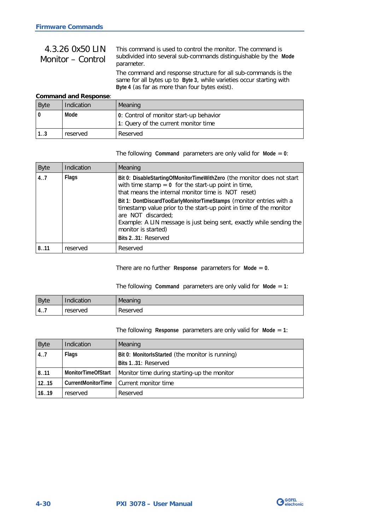| 4.3.26 0x50 LIN<br>Monitor – Control | This command is used to control the monitor. The command is<br>subdivided into several sub-commands distinguishable by the Mode<br>parameter.                                            |
|--------------------------------------|------------------------------------------------------------------------------------------------------------------------------------------------------------------------------------------|
|                                      | The command and response structure for all sub-commands is the<br>same for all bytes up to Byte 3, while varieties occur starting with<br>Byte 4 (as far as more than four bytes exist). |

#### **Command and Response**:

| <b>Byte</b> | Indication | Meaning                                 |
|-------------|------------|-----------------------------------------|
|             | Mode       | 0: Control of monitor start-up behavior |
|             |            | 1: Query of the current monitor time    |
| 13          | reserved   | Reserved                                |

The following **Command** parameters are only valid for **Mode** = **0**:

| <b>Byte</b> | Indication   | Meaning                                                                                                                                                                                                                                                                                                                                                                                                                                                                        |
|-------------|--------------|--------------------------------------------------------------------------------------------------------------------------------------------------------------------------------------------------------------------------------------------------------------------------------------------------------------------------------------------------------------------------------------------------------------------------------------------------------------------------------|
| 4.7         | <b>Flags</b> | Bit 0: DisableStartingOfMonitorTimeWithZero (the monitor does not start<br>with time stamp = $0$ for the start-up point in time,<br>that means the internal monitor time is NOT reset)<br>Bit 1: DontDiscardTooEarlyMonitorTimeStamps (monitor entries with a<br>timestamp value prior to the start-up point in time of the monitor<br>are NOT discarded;<br>Example: A LIN message is just being sent, exactly while sending the<br>monitor is started)<br>Bits 231: Reserved |
| 8.11        | reserved     | Reserved                                                                                                                                                                                                                                                                                                                                                                                                                                                                       |

There are no further **Response** parameters for **Mode** = **0**.

#### The following **Command** parameters are only valid for **Mode** = **1**:

| <b>Byte</b> | Indication | Meaning  |
|-------------|------------|----------|
| -<br>4      | reserved   | Reserved |

The following **Response** parameters are only valid for **Mode** = **1**:

| <b>Byte</b> | Indication                | Meaning                                          |
|-------------|---------------------------|--------------------------------------------------|
| 4.7         | <b>Flags</b>              | Bit 0: MonitorlsStarted (the monitor is running) |
|             |                           | Bits 131: Reserved                               |
| 8.11        | <b>MonitorTimeOfStart</b> | Monitor time during starting-up the monitor      |
| 1215        | CurrentMonitorTime        | Current monitor time                             |
| 16.19       | reserved                  | Reserved                                         |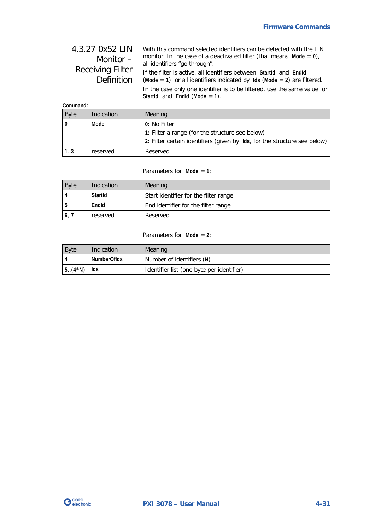| 4.3.27 0x52 LIN         | With this command selected identifiers can be detected with the LIN       |
|-------------------------|---------------------------------------------------------------------------|
| Monitor $-$             | monitor. In the case of a deactivated filter (that means Mode = $0$ ),    |
|                         | all identifiers "go through".                                             |
| <b>Receiving Filter</b> | If the filter is active, all identifiers between StartId and EndId        |
| Definition              | (Mode = 1) or all identifiers indicated by $\log$ Mode = 2) are filtered. |
|                         | In the case only one identifier is to be filtered, use the same value for |
|                         | Startld and Endld (Mode $= 1$ ).                                          |

| Command:    |            |                                                                           |
|-------------|------------|---------------------------------------------------------------------------|
| <b>Byte</b> | Indication | Meaning                                                                   |
|             | Mode       | 0: No Filter                                                              |
|             |            | 1: Filter a range (for the structure see below)                           |
|             |            | 2: Filter certain identifiers (given by Ids, for the structure see below) |
| 13          | reserved   | Reserved                                                                  |

Parameters for **Mode** = **1**:

| <b>Byte</b> | Indication | Meaning                               |
|-------------|------------|---------------------------------------|
|             | StartId    | Start identifier for the filter range |
|             | EndId      | End identifier for the filter range   |
| 6,7         | reserved   | Reserved                              |

#### Parameters for **Mode** = **2**:

| <b>Byte</b> | Indication  | Meaning                                   |
|-------------|-------------|-------------------------------------------|
|             | NumberOfIds | Number of identifiers (N)                 |
| $5.(4*N)$   | lds         | Identifier list (one byte per identifier) |

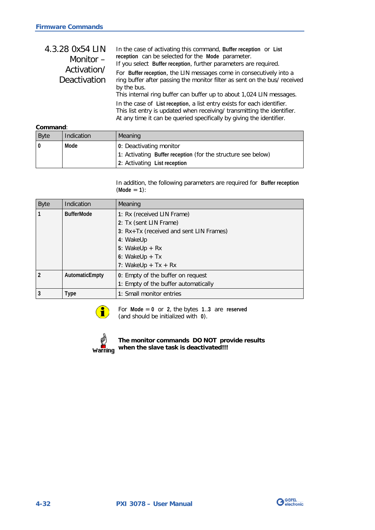<span id="page-65-0"></span>

| 4.3.28 0x54 LIN<br>Monitor $-$ | In the case of activating this command, Buffer reception or List<br>reception can be selected for the Mode parameter.<br>If you select Buffer reception, further parameters are required.                                               |
|--------------------------------|-----------------------------------------------------------------------------------------------------------------------------------------------------------------------------------------------------------------------------------------|
| Activation/<br>Deactivation    | For Buffer reception, the LIN messages come in consecutively into a<br>ring buffer after passing the monitor filter as sent on the bus/ received<br>by the bus.<br>This internal ring buffer can buffer up to about 1,024 LIN messages. |
|                                | In the case of List reception, a list entry exists for each identifier.<br>This list entry is updated when receiving/ transmitting the identifier.<br>At any time it can be queried specifically by giving the identifier.              |

#### **Command**:

| <b>Byte</b> | Indication | Meaning                                                      |
|-------------|------------|--------------------------------------------------------------|
|             | Mode       | 0: Deactivating monitor                                      |
|             |            | 1: Activating Buffer reception (for the structure see below) |
|             |            | 2: Activating List reception                                 |

In addition, the following parameters are required for **Buffer reception** (**Mode** = **1**):

| <b>Byte</b>    | Indication        | Meaning                                 |
|----------------|-------------------|-----------------------------------------|
|                | <b>BufferMode</b> | 1: Rx (received LIN Frame)              |
|                |                   | 2: Tx (sent LIN Frame)                  |
|                |                   | 3: Rx+Tx (received and sent LIN Frames) |
|                |                   | 4: WakeUp                               |
|                |                   | 5: WakeUp $+ Rx$                        |
|                |                   | 6: WakeUp $+ Tx$                        |
|                |                   | 7: WakeUp + $Tx + Rx$                   |
| $\mathfrak{p}$ | AutomaticEmpty    | 0: Empty of the buffer on request       |
|                |                   | 1: Empty of the buffer automatically    |
| 3              | Type              | 1: Small monitor entries                |



For **Mode** = **0** or **2**, the bytes **1**..**3** are **reserved** (and should be initialized with **0**).



#### **The monitor commands DO NOT provide results when the slave task is deactivated!!!**

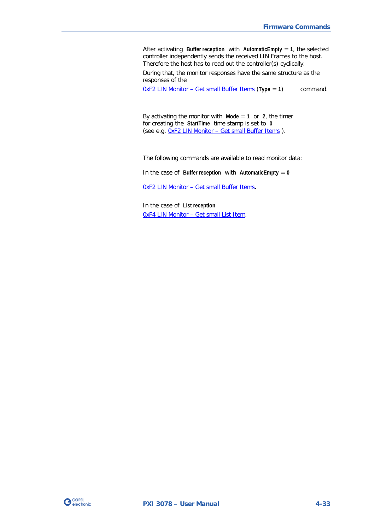After activating **Buffer reception** with **AutomaticEmpty** = **1**, the selected controller independently sends the received LIN Frames to the host. Therefore the host has to read out the controller(s) cyclically.

During that, the monitor responses have the same structure as the responses of the

0xF2 LIN Monitor – [Get small Buffer Items](#page-82-0) (**Type** = **1**) command.

By activating the monitor with  $Mode = 1$  or 2, the timer for creating the **StartTime** time stamp is set to **0** (see e.g. 0xF2 LIN Monitor – [Get small Buffer Items](#page-82-0) ).

The following commands are available to read monitor data:

In the case of **Buffer reception** with **AutomaticEmpty** = **0**

0xF2 LIN Monitor – [Get small Buffer Items.](#page-82-0)

In the case of **List reception** 0xF4 LIN Monitor – [Get small List Item.](#page-83-0)

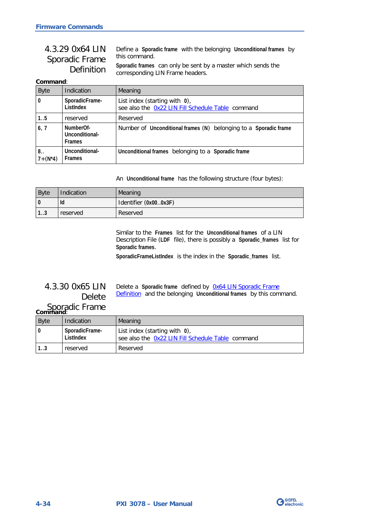<span id="page-67-0"></span>

| 4.3.29 0x64 LIN   | Define a Sporadic frame with the belonging Unconditional frames by |
|-------------------|--------------------------------------------------------------------|
| Sporadic Frame    | this command.                                                      |
| <b>Definition</b> | Sporadic frames can only be sent by a master which sends the       |
|                   | corresponding LIN Frame headers.                                   |

#### **Command**:

| <b>Byte</b>               | Indication                                   | Meaning                                                                               |
|---------------------------|----------------------------------------------|---------------------------------------------------------------------------------------|
| $\boldsymbol{0}$          | SporadicFrame-<br>ListIndex                  | List index (starting with $0$ ),<br>see also the 0x22 LIN Fill Schedule Table command |
| 1.5                       | reserved                                     | Reserved                                                                              |
| 6, 7                      | NumberOf-<br>Unconditional-<br><b>Frames</b> | Number of Unconditional frames (N) belonging to a Sporadic frame                      |
| $8_{\cdot}$<br>$7+(N^*4)$ | Unconditional-<br><b>Frames</b>              | Unconditional frames belonging to a Sporadic frame                                    |

An **Unconditional frame** has the following structure (four bytes):

| Byte | Indication | Meaning               |
|------|------------|-----------------------|
| l 0  | Id         | Identifier (0x000x3F) |
| 13   | reserved   | Reserved              |

Similar to the **Frames** list for the **Unconditional frames** of a LIN Description File (**LDF** file), there is possibly a **Sporadic\_frames** list for **Sporadic frames**.

**SporadicFrameListIndex** is the index in the **Sporadic\_frames** list.

## 4.3.30 0x65 LIN Delete

Delete a **Sporadic frame** defined by [0x64 LIN Sporadic Frame](#page-67-0)  [Definition](#page-67-0) and the belonging **Unconditional frames** by this command.

# Sporadic Frame<br> **Command:**

| <b>Byte</b> | Indication                  | Meaning                                                                            |
|-------------|-----------------------------|------------------------------------------------------------------------------------|
|             | SporadicFrame-<br>ListIndex | List index (starting with 0),<br>see also the 0x22 LIN Fill Schedule Table command |
|             | reserved                    | Reserved                                                                           |

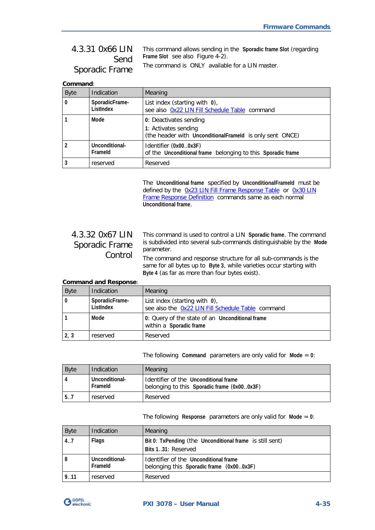## 4.3.31 0x66 LIN Send Sporadic Frame

This command allows sending in the **Sporadic frame Slot** (regarding **Frame Slot** see also [Figure 4-2\)](#page-46-1).

The command is ONLY available for a LIN master.

#### **Command**:

| <b>Byte</b>  | Indication                  | Meaning                                                                                                    |
|--------------|-----------------------------|------------------------------------------------------------------------------------------------------------|
| $\mathbf{0}$ | SporadicFrame-<br>ListIndex | List index (starting with $0$ ),<br>see also Ox22 LIN Fill Schedule Table command                          |
|              | Mode                        | 0: Deactivates sending<br>1: Activates sending<br>(the header with UnconditionalFrameld is only sent ONCE) |
|              | Unconditional-<br>Frameld   | Identifier (0x000x3F)<br>of the Unconditional frame belonging to this Sporadic frame                       |
|              | reserved                    | Reserved                                                                                                   |

The **Unconditional frame** specified by **UnconditionalFrameId** must be defined by the [0x23 LIN Fill Frame Response Table](#page-54-0) or [0x30 LIN](#page-59-0)  [Frame Response Definition](#page-59-0) commands same as each normal **Unconditional frame**.

## 4.3.32 0x67 LIN Sporadic Frame Control

This command is used to control a LIN **Sporadic frame**. The command is subdivided into several sub-commands distinguishable by the **Mode** parameter.

The command and response structure for all sub-commands is the same for all bytes up to **Byte 3**, while varieties occur starting with **Byte 4** (as far as more than four bytes exist).

#### **Command and Response**:

| <b>Byte</b> | Indication                  | Meaning                                                                            |
|-------------|-----------------------------|------------------------------------------------------------------------------------|
|             | SporadicFrame-<br>ListIndex | List index (starting with 0),<br>see also the Ox22 LIN Fill Schedule Table command |
|             | Mode                        | 0: Query of the state of an Unconditional frame<br>within a Sporadic frame         |
| 2, 3        | reserved                    | Reserved                                                                           |

The following **Command** parameters are only valid for **Mode** = **0**:

| <b>Byte</b> | Indication                | <b>Meaning</b>                                                                       |
|-------------|---------------------------|--------------------------------------------------------------------------------------|
|             | Unconditional-<br>Frameld | Identifier of the Unconditional frame<br>belonging to this Sporadic frame (0x000x3F) |
| 57          | reserved                  | Reserved                                                                             |

The following **Response** parameters are only valid for **Mode** = **0**:

| <b>Byte</b> | Indication                | Meaning                                                                           |
|-------------|---------------------------|-----------------------------------------------------------------------------------|
| 4.7         | Flags                     | Bit 0: TxPending (the Unconditional frame is still sent)<br>Bits 131: Reserved    |
| 8           | Unconditional-<br>Frameld | Identifier of the Unconditional frame<br>belonging this Sporadic frame (0x000x3F) |
| 9.11        | reserved                  | Reserved                                                                          |

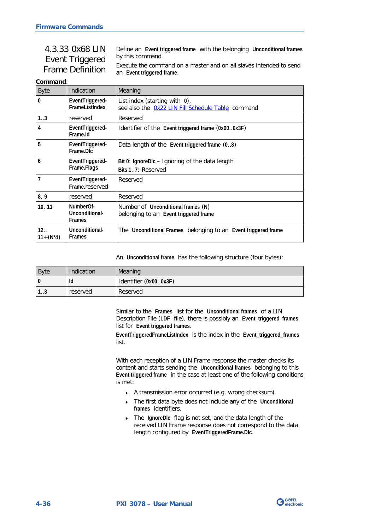<span id="page-69-0"></span>

| 4.3.33 0x68 LIN                            | Define an Event triggered frame with the belonging Unconditional frames                         |
|--------------------------------------------|-------------------------------------------------------------------------------------------------|
| Event Triggered<br><b>Frame Definition</b> | by this command.                                                                                |
|                                            | Execute the command on a master and on all slaves intended to send<br>an Event triggered frame. |

#### **Command**:

| <b>Byte</b>         | Indication                                   | Meaning                                                                               |
|---------------------|----------------------------------------------|---------------------------------------------------------------------------------------|
| $\bf{0}$            | EventTriggered-<br><b>Framel istIndex</b>    | List index (starting with $0$ ),<br>see also the Ox22 LIN Fill Schedule Table command |
| 1.3                 | reserved                                     | Reserved                                                                              |
| 4                   | EventTriggered-<br>Frame.Id                  | Identifier of the Event triggered frame (0x000x3F)                                    |
| 5                   | EventTriggered-<br>Frame.DIc                 | Data length of the Event triggered frame (08)                                         |
| 6                   | EventTriggered-<br>Frame.Flags               | Bit 0: IgnoreDIc - Ignoring of the data length<br>Bits 17: Reserved                   |
| 7                   | EventTriggered-<br>Frame.reserved            | Reserved                                                                              |
| 8,9                 | reserved                                     | Reserved                                                                              |
| 10, 11              | NumberOf-<br>Unconditional-<br><b>Frames</b> | Number of Unconditional frames (N)<br>belonging to an Event triggered frame           |
| 12<br>$11 + (N^*4)$ | Unconditional-<br><b>Frames</b>              | The Unconditional Frames belonging to an Event triggered frame                        |

An **Unconditional frame** has the following structure (four bytes):

| <b>Byte</b> | Indication | Meaning               |
|-------------|------------|-----------------------|
| $\Omega$    | ld         | Identifier (0x000x3F) |
| ن. ا        | reserved   | Reserved              |

Similar to the **Frames** list for the **Unconditional frames** of a LIN Description File (**LDF** file), there is possibly an **Event\_triggered\_frames** list for **Event triggered frames**.

**EventTriggeredFrameListIndex** is the index in the **Event\_triggered\_frames** list.

With each reception of a LIN Frame response the master checks its content and starts sending the **Unconditional frames** belonging to this **Event triggered frame** in the case at least one of the following conditions is met:

- ♦ A transmission error occurred (e.g. wrong checksum).
- ♦ The first data byte does not include any of the **Unconditional frames** identifiers.
- ♦ The **IgnoreDlc** flag is not set, and the data length of the received LIN Frame response does not correspond to the data length configured by **EventTriggeredFrame.Dlc**.

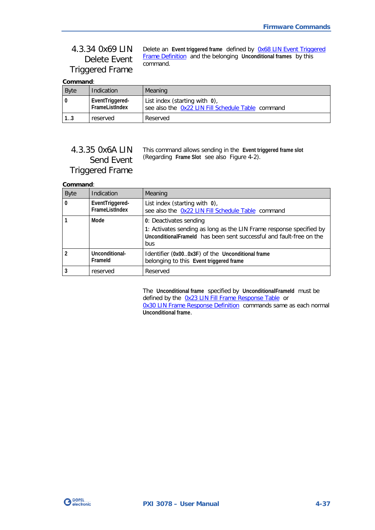## 4.3.34 0x69 LIN Delete Event Triggered Frame

Delete an **Event triggered frame** defined by [0x68 LIN Event Triggered](#page-69-0)  [Frame Definition](#page-69-0) and the belonging **Unconditional frames** by this command.

**Command**:

| <b>Byte</b> | Indication                        | Meaning                                                                            |
|-------------|-----------------------------------|------------------------------------------------------------------------------------|
|             | EventTriggered-<br>FrameListIndex | List index (starting with 0),<br>see also the Ox22 LIN Fill Schedule Table command |
| 1.3         | reserved                          | Reserved                                                                           |

## 4.3.35 0x6A LIN Send Event Triggered Frame

This command allows sending in the **Event triggered frame slot** (Regarding **Frame Slot** see also [Figure 4-2\)](#page-46-1).

### **Command**:

| <b>Byte</b> | Indication                        | Meaning                                                                                                                                                                      |
|-------------|-----------------------------------|------------------------------------------------------------------------------------------------------------------------------------------------------------------------------|
| $\Omega$    | EventTriggered-<br>FrameListIndex | List index (starting with $0$ ),<br>see also the Ox22 LIN Fill Schedule Table command                                                                                        |
|             | Mode                              | 0: Deactivates sending<br>1: Activates sending as long as the LIN Frame response specified by<br>Unconditional Frameld has been sent successful and fault-free on the<br>bus |
|             | Unconditional-<br>Frameld         | Identifier (0x000x3F) of the Unconditional frame<br>belonging to this Event triggered frame                                                                                  |
| 3           | reserved                          | Reserved                                                                                                                                                                     |

The **Unconditional frame** specified by **UnconditionalFrameId** must be defined by the [0x23 LIN Fill Frame Response Table](#page-54-0) or [0x30 LIN Frame Response Definition](#page-59-0) commands same as each normal **Unconditional frame**.

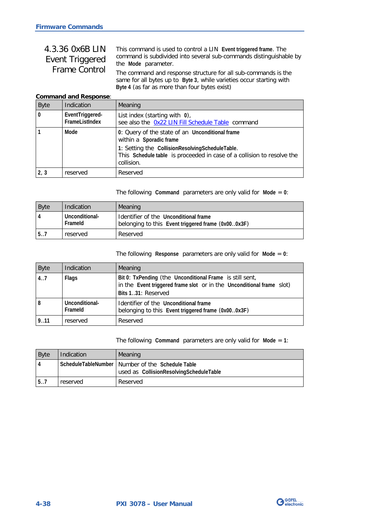## 4.3.36 0x6B LIN Event Triggered Frame Control

This command is used to control a LIN **Event triggered frame**. The command is subdivided into several sub-commands distinguishable by the **Mode** parameter.

The command and response structure for all sub-commands is the same for all bytes up to **Byte 3**, while varieties occur starting with **Byte 4** (as far as more than four bytes exist)

#### **Command and Response**:

| <b>Byte</b>  | <b>Indication</b>                 | Meaning                                                                                                                                                                                                               |
|--------------|-----------------------------------|-----------------------------------------------------------------------------------------------------------------------------------------------------------------------------------------------------------------------|
| $\mathbf{0}$ | EventTriggered-<br>FrameListIndex | List index (starting with $0$ ),<br>see also the Ox22 LIN Fill Schedule Table command                                                                                                                                 |
|              | Mode                              | 0: Query of the state of an Unconditional frame<br>within a Sporadic frame<br>1: Setting the CollisionResolvingScheduleTable.<br>This Schedule table is proceeded in case of a collision to resolve the<br>collision. |
| 2, 3         | reserved                          | Reserved                                                                                                                                                                                                              |

The following **Command** parameters are only valid for **Mode** = **0**:

| Byte | Indication                | <b>Meaning</b>                                                                              |
|------|---------------------------|---------------------------------------------------------------------------------------------|
| 4    | Unconditional-<br>Frameld | Identifier of the Unconditional frame<br>belonging to this Event triggered frame (0x000x3F) |
| 5.7  | reserved                  | Reserved                                                                                    |

#### The following **Response** parameters are only valid for **Mode** = **0**:

| <b>Byte</b> | Indication                | Meaning                                                                                                                                                 |
|-------------|---------------------------|---------------------------------------------------------------------------------------------------------------------------------------------------------|
| 4.7         | Flags                     | Bit 0: TxPending (the Unconditional Frame is still sent,<br>in the Event triggered frame slot or in the Unconditional frame slot)<br>Bits 131: Reserved |
| 8           | Unconditional-<br>Frameld | Identifier of the Unconditional frame<br>belonging to this Event triggered frame (0x000x3F)                                                             |
| 9.11        | reserved                  | Reserved                                                                                                                                                |

The following **Command** parameters are only valid for **Mode** = **1**:

| <b>Byte</b> | Indication | Meaning                                                                                       |
|-------------|------------|-----------------------------------------------------------------------------------------------|
|             |            | ScheduleTableNumber   Number of the Schedule Table<br>used as CollisionResolvingScheduleTable |
| 5.7         | reserved   | Reserved                                                                                      |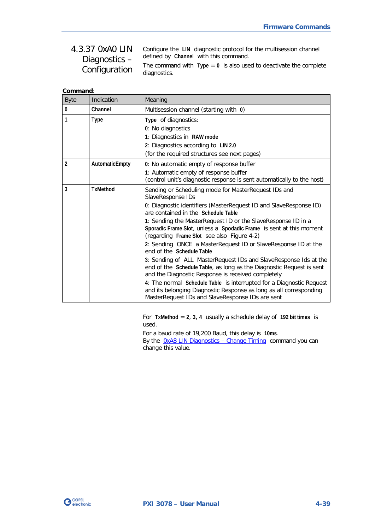#### <span id="page-72-0"></span>Configure the **LIN** diagnostic protocol for the multisession channel defined by **Channel** with this command. The command with **Type** = **0** is also used to deactivate the complete diagnostics. 4.3.37 0xA0 LIN Diagnostics – Configuration

| Command: |  |  |  |
|----------|--|--|--|
|          |  |  |  |
|          |  |  |  |

| <b>Byte</b>    | Indication      | Meaning                                                                                                                                                                                                                                                                                                                                                                                                                                                                                                                                                                                                                                                                                                                                                                                                                                                                      |
|----------------|-----------------|------------------------------------------------------------------------------------------------------------------------------------------------------------------------------------------------------------------------------------------------------------------------------------------------------------------------------------------------------------------------------------------------------------------------------------------------------------------------------------------------------------------------------------------------------------------------------------------------------------------------------------------------------------------------------------------------------------------------------------------------------------------------------------------------------------------------------------------------------------------------------|
| 0              | Channel         | Multisession channel (starting with 0)                                                                                                                                                                                                                                                                                                                                                                                                                                                                                                                                                                                                                                                                                                                                                                                                                                       |
| 1              | Type            | Type of diagnostics:<br>0: No diagnostics<br>1: Diagnostics in RAW mode<br>2: Diagnostics according to LIN 2.0<br>(for the required structures see next pages)                                                                                                                                                                                                                                                                                                                                                                                                                                                                                                                                                                                                                                                                                                               |
| $\overline{2}$ | AutomaticEmpty  | 0: No automatic empty of response buffer<br>1: Automatic empty of response buffer<br>(control unit's diagnostic response is sent automatically to the host)                                                                                                                                                                                                                                                                                                                                                                                                                                                                                                                                                                                                                                                                                                                  |
| 3              | <b>TxMethod</b> | Sending or Scheduling mode for MasterRequest IDs and<br>SlaveResponse IDs<br>0: Diagnostic identifiers (MasterRequest ID and SlaveResponse ID)<br>are contained in the Schedule Table<br>1: Sending the MasterRequest ID or the SlaveResponse ID in a<br>Sporadic Frame Slot, unless a Spodadic Frame is sent at this moment<br>(regarding Frame Slot see also Figure 4-2)<br>2: Sending ONCE a MasterRequest ID or SlaveResponse ID at the<br>end of the Schedule Table<br>3: Sending of ALL MasterRequest IDs and SlaveResponse Ids at the<br>end of the Schedule Table, as long as the Diagnostic Request is sent<br>and the Diagnostic Response is received completely<br>4: The normal Schedule Table is interrupted for a Diagnostic Request<br>and its belonging Diagnostic Response as long as all corresponding<br>MasterRequest IDs and SlaveResponse IDs are sent |

For **TxMethod** = **2**, **3**, **4** usually a schedule delay of **192 bit times** is used.

For a baud rate of 19,200 Baud, this delay is **10ms**. By the OxA8 LIN Diagnostics - Change Timing command you can change this value.

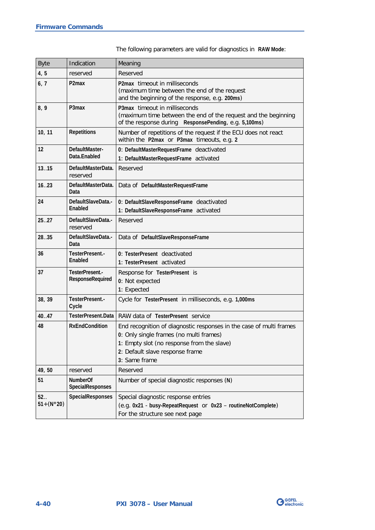| <b>Byte</b>            | Indication                                 | Meaning                                                                                                                                                                                                          |
|------------------------|--------------------------------------------|------------------------------------------------------------------------------------------------------------------------------------------------------------------------------------------------------------------|
| 4, 5                   | reserved                                   | Reserved                                                                                                                                                                                                         |
| 6, 7                   | P <sub>2</sub> max                         | P2max timeout in milliseconds<br>(maximum time between the end of the request<br>and the beginning of the response, e.g. 200ms)                                                                                  |
| 8,9                    | P3max                                      | P3max timeout in milliseconds<br>(maximum time between the end of the request and the beginning<br>of the response during ResponsePending, e.g. 5,100ms)                                                         |
| 10, 11                 | <b>Repetitions</b>                         | Number of repetitions of the request if the ECU does not react<br>within the P2max or P3max timeouts, e.g. 2                                                                                                     |
| 12                     | DefaultMaster-<br>Data.Enabled             | 0: DefaultMasterRequestFrame deactivated<br>1: DefaultMasterRequestFrame activated                                                                                                                               |
| 1315                   | DefaultMasterData.<br>reserved             | Reserved                                                                                                                                                                                                         |
| 16.023                 | DefaultMasterData.<br>Data                 | Data of DefaultMasterRequestFrame                                                                                                                                                                                |
| 24                     | DefaultSlaveData.-<br>Enabled              | 0: DefaultSlaveResponseFrame deactivated<br>1: DefaultSlaveResponseFrame activated                                                                                                                               |
| 2527                   | DefaultSlaveData -<br>reserved             | Reserved                                                                                                                                                                                                         |
| 2835                   | DefaultSlaveData.-<br>Data                 | Data of DefaultSlaveResponseFrame                                                                                                                                                                                |
| 36                     | TesterPresent.-<br>Enabled                 | 0: TesterPresent deactivated<br>1: TesterPresent activated                                                                                                                                                       |
| 37                     | TesterPresent.-<br><b>ResponseRequired</b> | Response for TesterPresent is<br>0: Not expected<br>1: Expected                                                                                                                                                  |
| 38, 39                 | TesterPresent.-<br>Cycle                   | Cycle for TesterPresent in milliseconds, e.g. 1,000ms                                                                                                                                                            |
| 40.47                  | TesterPresent.Data                         | RAW data of TesterPresent service                                                                                                                                                                                |
| 48                     | <b>RxEndCondition</b>                      | End recognition of diagnostic responses in the case of multi frames<br>0: Only single frames (no multi frames)<br>1: Empty slot (no response from the slave)<br>2: Default slave response frame<br>3: Same frame |
| 49,50                  | reserved                                   | Reserved                                                                                                                                                                                                         |
| 51                     | <b>NumberOf</b><br>SpecialResponses        | Number of special diagnostic responses (N)                                                                                                                                                                       |
| 52.<br>$51 + (N * 20)$ | SpecialResponses                           | Special diagnostic response entries<br>(e.g. 0x21 - busy-RepeatRequest or 0x23 - routineNotComplete)<br>For the structure see next page                                                                          |

The following parameters are valid for diagnostics in **RAW Mode**: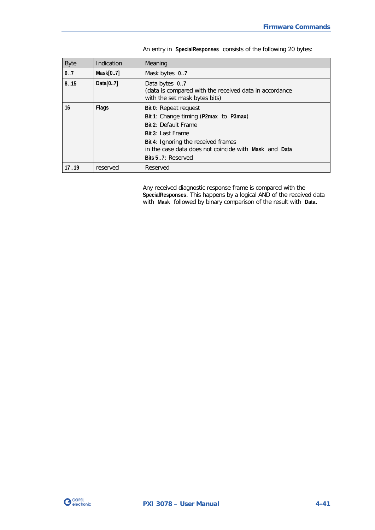| <b>Byte</b> | Indication   | Meaning                                                                                                                                                                                                                          |
|-------------|--------------|----------------------------------------------------------------------------------------------------------------------------------------------------------------------------------------------------------------------------------|
| 0.7         | Mask[07]     | Mask bytes 0.7                                                                                                                                                                                                                   |
| 8.15        | Data $[07]$  | Data bytes 0.7<br>(data is compared with the received data in accordance<br>with the set mask bytes bits)                                                                                                                        |
| 16          | <b>Flags</b> | Bit 0: Repeat request<br>Bit 1: Change timing (P2max to P3max)<br>Bit 2: Default Frame<br>Bit 3: Last Frame<br>Bit 4: Ignoring the received frames<br>in the case data does not coincide with Mask and Data<br>Bits 57: Reserved |
| 17.19       | reserved     | Reserved                                                                                                                                                                                                                         |

An entry in **SpecialResponses** consists of the following 20 bytes:

Any received diagnostic response frame is compared with the **SpecialResponses**. This happens by a logical AND of the received data with **Mask** followed by binary comparison of the result with **Data**.

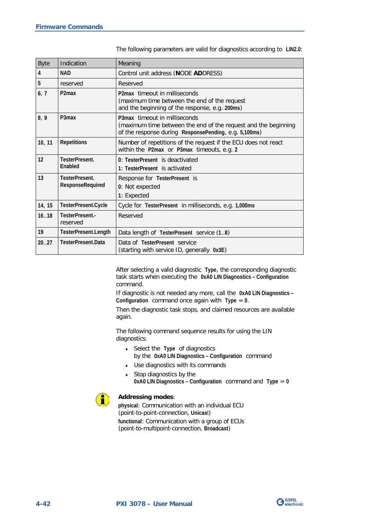| <b>Byte</b> | Indication                                | Meaning                                                                                                                                                  |
|-------------|-------------------------------------------|----------------------------------------------------------------------------------------------------------------------------------------------------------|
| 4           | <b>NAD</b>                                | Control unit address (NODE ADDRESS)                                                                                                                      |
| 5           | reserved                                  | Reserved                                                                                                                                                 |
| 6, 7        | P <sub>2</sub> m <sub>ax</sub>            | P2max timeout in milliseconds<br>(maximum time between the end of the request<br>and the beginning of the response, e.g. 200ms)                          |
| 8,9         | P3max                                     | P3max timeout in milliseconds<br>(maximum time between the end of the request and the beginning<br>of the response during ResponsePending, e.g. 5,100ms) |
| 10, 11      | <b>Repetitions</b>                        | Number of repetitions of the request if the ECU does not react<br>within the P2max or P3max timeouts, e.g. 2                                             |
| 12          | TesterPresent.<br><b>Fnabled</b>          | 0: TesterPresent is deactivated<br>1: TesterPresent is activated                                                                                         |
| 13          | TesterPresent.<br><b>ResponseRequired</b> | Response for TesterPresent is<br>0: Not expected<br>1: Expected                                                                                          |
| 14, 15      | TesterPresent.Cycle                       | Cycle for TesterPresent in milliseconds, e.g. 1,000ms                                                                                                    |
| 16.18       | TesterPresent.-<br>reserved               | Reserved                                                                                                                                                 |
| 19          | TesterPresent.Length                      | Data length of TesterPresent service (1.8)                                                                                                               |
| 20.027      | TesterPresent Data                        | Data of TesterPresent service<br>(starting with service ID, generally 0x3E)                                                                              |

The following parameters are valid for diagnostics according to **LIN2.0**:

After selecting a valid diagnostic **Type**, the corresponding diagnostic task starts when executing the **0xA0 LIN Diagnostics – Configuration** command.

If diagnostic is not needed any more, call the **0xA0 LIN Diagnostics – Configuration** command once again with **Type** = **0**.

Then the diagnostic task stops, and claimed resources are available again.

The following command sequence results for using the LIN diagnostics:

- ♦ Select the **Type** of diagnostics by the **0xA0 LIN Diagnostics – Configuration** command
- ♦ Use diagnostics with its commands
- $\bullet$  Stop diagnostics by the **0xA0 LIN Diagnostics – Configuration** command and **Type** = **0**



### **Addressing modes**:

**physical**: Communication with an individual ECU (point-to-point-connection, **Unicas**t) **functional**: Communication with a group of ECUs (point-to-multipoint-connection, **Broadcast**)

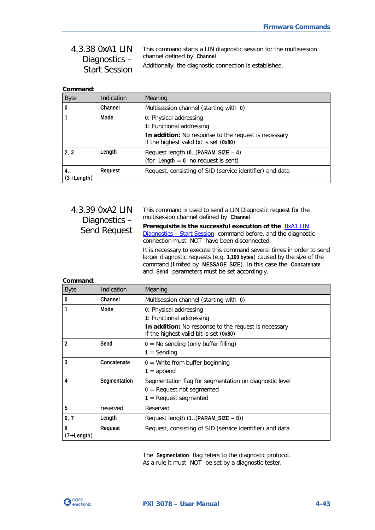#### <span id="page-76-0"></span>This command starts a LIN diagnostic session for the multisession channel defined by **Channel**. Additionally, the diagnostic connection is established. 4.3.38 0xA1 LIN Diagnostics – Start Session

| Command:             |            |                                                                                                |
|----------------------|------------|------------------------------------------------------------------------------------------------|
| <b>Byte</b>          | Indication | Meaning                                                                                        |
|                      | Channel    | Multisession channel (starting with 0)                                                         |
|                      | Mode       | 0: Physical addressing                                                                         |
|                      |            | 1: Functional addressing                                                                       |
|                      |            | In addition: No response to the request is necessary<br>if the highest valid bit is set (0x80) |
| 2, 3                 | Length     | Request length (0. (PARAM_SIZE - 4)                                                            |
|                      |            | (for Length $= 0$ no request is sent)                                                          |
| 4. .<br>$(3+Length)$ | Request    | Request, consisting of SID (service identifier) and data                                       |

# 4.3.39 0xA2 LIN Diagnostics – Send Request

This command is used to send a LIN Diagnostic request for the multisession channel defined by **Channel**.

**Prerequisite is the successful execution of the** [0xA1 LIN](#page-76-0)  Diagnostics - [Start Session](#page-76-0) command before, and the diagnostic connection must NOT have been disconnected.

It is necessary to execute this command several times in order to send larger diagnostic requests (e.g. **1,100 bytes**) caused by the size of the command (limited by **MESSAGE\_SIZE**). In this case the **Concatenate** and **Send** parameters must be set accordingly.

| Command: |  |
|----------|--|
|          |  |

| <b>Byte</b>  | Indication   | Meaning                                                                                        |
|--------------|--------------|------------------------------------------------------------------------------------------------|
| 0            | Channel      | Multisession channel (starting with 0)                                                         |
|              | Mode         | 0: Physical addressing                                                                         |
|              |              | 1: Functional addressing                                                                       |
|              |              | In addition: No response to the request is necessary<br>if the highest valid bit is set (0x80) |
| 2            | Send         | $0 = No$ sending (only buffer filling)                                                         |
|              |              | $1 =$ Sending                                                                                  |
| 3            | Concatenate  | $0 =$ Write from buffer beginning                                                              |
|              |              | $1 =$ append                                                                                   |
| 4            | Segmentation | Segmentation flag for segmentation on diagnostic level                                         |
|              |              | $0 =$ Request not segmented                                                                    |
|              |              | $1 =$ Request segmented                                                                        |
| 5            | reserved     | Reserved                                                                                       |
| 6, 7         | Length       | Request length $(1(PARAM_SIZE - 8))$                                                           |
| 8.           | Request      | Request, consisting of SID (service identifier) and data                                       |
| $(7+Length)$ |              |                                                                                                |

The **Segmentation** flag refers to the diagnostic protocol. As a rule it must NOT be set by a diagnostic tester.

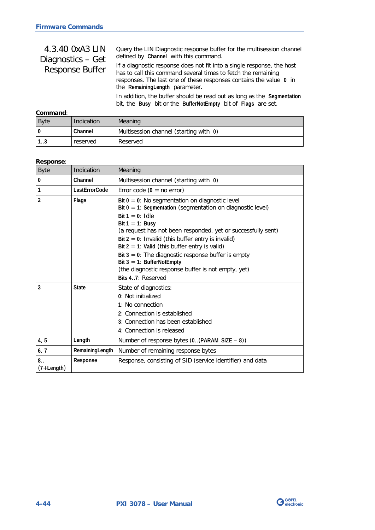| 4.3.40 0xA3 LIN<br>Diagnostics - Get<br><b>Response Buffer</b> | Query the LIN Diagnostic response buffer for the multisession channel<br>defined by Channel with this command.                                                                                                                                  |
|----------------------------------------------------------------|-------------------------------------------------------------------------------------------------------------------------------------------------------------------------------------------------------------------------------------------------|
|                                                                | If a diagnostic response does not fit into a single response, the host<br>has to call this command several times to fetch the remaining<br>responses. The last one of these responses contains the value 0 in<br>the RemainingLength parameter. |
|                                                                | In addition, the buffer should be read out as long as the Segmentation<br>bit, the Busy bit or the BufferNotEmpty bit of Flags are set.                                                                                                         |
| Command:                                                       |                                                                                                                                                                                                                                                 |

| vviiliikiiv.              |            |                                        |  |
|---------------------------|------------|----------------------------------------|--|
| <b>Byte</b>               | Indication | Meaning                                |  |
|                           | Channel    | Multisession channel (starting with 0) |  |
| $\cdot$ 1 $\cdot$<br>ن. ا | reserved   | Reserved                               |  |

### **Response**:

| <b>Byte</b>        | Indication      | Meaning                                                                                                                                                                                                                                                                                                                                                                                                                                                                                                        |
|--------------------|-----------------|----------------------------------------------------------------------------------------------------------------------------------------------------------------------------------------------------------------------------------------------------------------------------------------------------------------------------------------------------------------------------------------------------------------------------------------------------------------------------------------------------------------|
| 0                  | Channel         | Multisession channel (starting with 0)                                                                                                                                                                                                                                                                                                                                                                                                                                                                         |
| 1                  | LastErrorCode   | Error code $(0 = no error)$                                                                                                                                                                                                                                                                                                                                                                                                                                                                                    |
| 2                  | Flags           | Bit $0 = 0$ : No segmentation on diagnostic level<br>Bit $0 = 1$ : Segmentation (segmentation on diagnostic level)<br>Bit $1 = 0$ : Idle<br>Bit $1 = 1$ : Busy<br>(a request has not been responded, yet or successfully sent)<br>Bit $2 = 0$ : Invalid (this buffer entry is invalid)<br>Bit $2 = 1$ : Valid (this buffer entry is valid)<br>Bit $3 = 0$ : The diagnostic response buffer is empty<br>Bit $3 = 1$ : BufferNotEmpty<br>(the diagnostic response buffer is not empty, yet)<br>Bits 47: Reserved |
| 3                  | <b>State</b>    | State of diagnostics:<br>0: Not initialized<br>1: No connection<br>2: Connection is established<br>3: Connection has been established<br>4: Connection is released                                                                                                                                                                                                                                                                                                                                             |
| 4, 5               | Length          | Number of response bytes $(0(PARAM_SIZE - 8))$                                                                                                                                                                                                                                                                                                                                                                                                                                                                 |
| 6, 7               | RemainingLength | Number of remaining response bytes                                                                                                                                                                                                                                                                                                                                                                                                                                                                             |
| 8.<br>$(7+Length)$ | Response        | Response, consisting of SID (service identifier) and data                                                                                                                                                                                                                                                                                                                                                                                                                                                      |

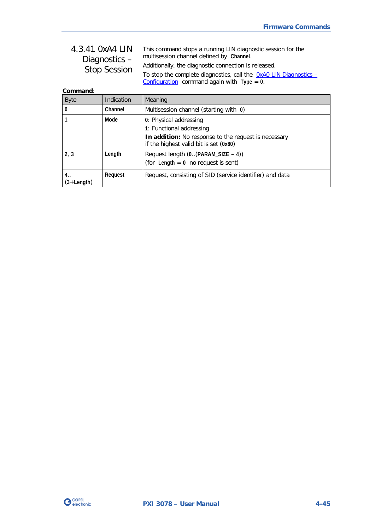#### <span id="page-78-0"></span>This command stops a running LIN diagnostic session for the multisession channel defined by **Channel**. Additionally, the diagnostic connection is released. To stop the complete diagnostics, call the  $0xA0$  LIN Diagnostics -[Configuration](#page-72-0) command again with **Type** = **0**. 4.3.41 0xA4 LIN Diagnostics – Stop Session

**Command**:

| <b>Byte</b>          | Indication | Meaning                                                                                                                                              |
|----------------------|------------|------------------------------------------------------------------------------------------------------------------------------------------------------|
| 0                    | Channel    | Multisession channel (starting with 0)                                                                                                               |
|                      | Mode       | 0: Physical addressing<br>1: Functional addressing<br>In addition: No response to the request is necessary<br>if the highest valid bit is set (0x80) |
| 2, 3                 | Length     | Request length $(0(PARAM_SIZE - 4))$<br>(for Length $= 0$ no request is sent)                                                                        |
| 4. .<br>$(3+Length)$ | Request    | Request, consisting of SID (service identifier) and data                                                                                             |

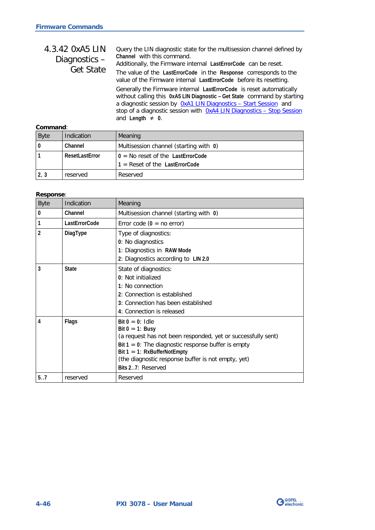| 4.3.42 0xA5 LIN<br>Diagnostics-<br><b>Get State</b> | Query the LIN diagnostic state for the multisession channel defined by<br>Channel with this command.<br>Additionally, the Firmware internal LastErrorCode can be reset.<br>The value of the LastErrorCode in the Response corresponds to the<br>value of the Firmware internal LastErrorCode before its resetting.    |
|-----------------------------------------------------|-----------------------------------------------------------------------------------------------------------------------------------------------------------------------------------------------------------------------------------------------------------------------------------------------------------------------|
|                                                     | Generally the Firmware internal LastErrorCode is reset automatically<br>without calling this 0xA5 LIN Diagnostic - Get State command by starting<br>a diagnostic session by OxA1 LIN Diagnostics - Start Session and<br>stop of a diagnostic session with OxA4 LIN Diagnostics - Stop Session<br>and Length $\neq$ 0. |
| المسمين                                             |                                                                                                                                                                                                                                                                                                                       |

### **Command**:

| <b>Byte</b> | Indication     | Meaning                                |
|-------------|----------------|----------------------------------------|
| 0           | Channel        | Multisession channel (starting with 0) |
|             | ResetLastError | $0 = No$ reset of the LastErrorCode    |
|             |                | $1 =$ Reset of the LastErrorCode       |
| 2, 3        | reserved       | Reserved                               |

### **Response**:

| <b>Byte</b>   | Indication    | Meaning                                                                                                                                                                                                                                                                        |
|---------------|---------------|--------------------------------------------------------------------------------------------------------------------------------------------------------------------------------------------------------------------------------------------------------------------------------|
| $\mathbf{0}$  | Channel       | Multisession channel (starting with 0)                                                                                                                                                                                                                                         |
| 1             | LastErrorCode | Error code $(0 = no error)$                                                                                                                                                                                                                                                    |
| $\mathfrak z$ | DiagType      | Type of diagnostics:<br>0: No diagnostics<br>1: Diagnostics in RAW Mode<br>2: Diagnostics according to LIN 2.0                                                                                                                                                                 |
| 3             | <b>State</b>  | State of diagnostics:<br>0: Not initialized<br>$1:$ No connection<br>2: Connection is established<br>3: Connection has been established<br>4: Connection is released                                                                                                           |
| 4             | Flags         | $Bit 0 = 0$ : Idle<br>Bit $0 = 1$ : Busy<br>(a request has not been responded, yet or successfully sent)<br>Bit $1 = 0$ : The diagnostic response buffer is empty<br>Bit $1 = 1$ : RxBufferNotEmpty<br>(the diagnostic response buffer is not empty, yet)<br>Bits 27: Reserved |
| 5.7           | reserved      | Reserved                                                                                                                                                                                                                                                                       |

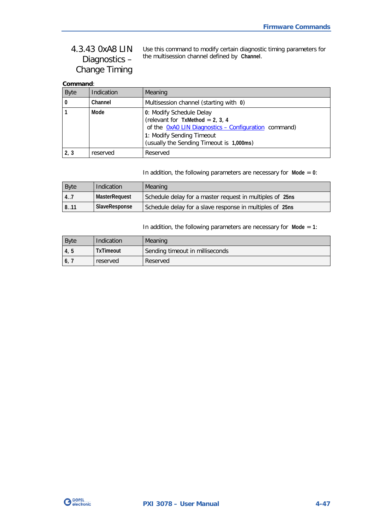# <span id="page-80-0"></span>4.3.43 0xA8 LIN Diagnostics – Change Timing

Use this command to modify certain diagnostic timing parameters for the multisession channel defined by **Channel**.

## **Command**:

| <b>Byte</b> | Indication | Meaning                                                                                                                                             |
|-------------|------------|-----------------------------------------------------------------------------------------------------------------------------------------------------|
|             | Channel    | Multisession channel (starting with 0)                                                                                                              |
|             | Mode       | 0: Modify Schedule Delay<br>(relevant for TxMethod = $2, 3, 4$<br>of the OxAO LIN Diagnostics - Configuration command)<br>1: Modify Sending Timeout |
|             |            | (usually the Sending Timeout is 1,000ms)                                                                                                            |
| 2, 3        | reserved   | Reserved                                                                                                                                            |

In addition, the following parameters are necessary for **Mode** = **0**:

| <b>Byte</b> | Indication    | Meaning                                                  |
|-------------|---------------|----------------------------------------------------------|
| 14.7        | MasterRequest | Schedule delay for a master request in multiples of 25ns |
| 18.11       | SlaveResponse | Schedule delay for a slave response in multiples of 25ns |

In addition, the following parameters are necessary for **Mode** = **1**:

| <b>Byte</b>    | Indication       | Meaning                         |
|----------------|------------------|---------------------------------|
| 4, 5           | <b>TxTimeout</b> | Sending timeout in milliseconds |
| 6 <sub>1</sub> | reserved         | Reserved                        |

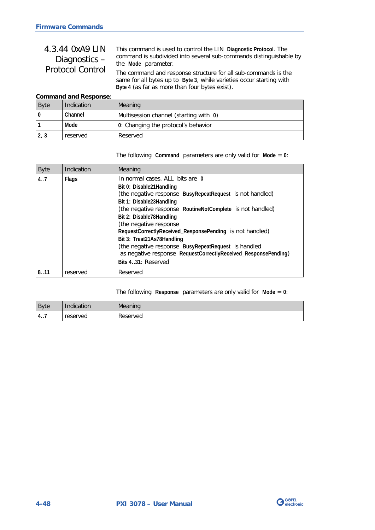# 4.3.44 0xA9 LIN Diagnostics – Protocol Control

This command is used to control the LIN **Diagnostic Protocol**. The command is subdivided into several sub-commands distinguishable by the **Mode** parameter.

The command and response structure for all sub-commands is the same for all bytes up to **Byte 3**, while varieties occur starting with **Byte 4** (as far as more than four bytes exist).

#### **Command and Response**:

| <b>Byte</b> | Indication | Meaning                                |
|-------------|------------|----------------------------------------|
| l O         | Channel    | Multisession channel (starting with 0) |
|             | Mode       | 0: Changing the protocol's behavior    |
| 2, 3        | reserved   | Reserved                               |

The following **Command** parameters are only valid for **Mode** = **0**:

| <b>Byte</b> | Indication   | Meaning                                                                                                                                                                                                                                                                                                                                                                                                                                                                                                           |
|-------------|--------------|-------------------------------------------------------------------------------------------------------------------------------------------------------------------------------------------------------------------------------------------------------------------------------------------------------------------------------------------------------------------------------------------------------------------------------------------------------------------------------------------------------------------|
| 4.7         | <b>Flags</b> | In normal cases, ALL bits are 0<br>Bit 0: Disable 21 Handling<br>(the negative response BusyRepeatRequest is not handled)<br>Bit 1: Disable23Handling<br>(the negative response RoutineNotComplete is not handled)<br>Bit 2: Disable78Handling<br>(the negative response<br>RequestCorrectlyReceived_ResponsePending is not handled)<br>Bit 3: Treat21As78Handling<br>(the negative response BusyRepeatRequest is handled<br>as negative response RequestCorrectlyReceived_ResponsePending)<br>Bits 431: Reserved |
| 811         | reserved     | Reserved                                                                                                                                                                                                                                                                                                                                                                                                                                                                                                          |

#### The following **Response** parameters are only valid for **Mode** = **0**:

| Byte | Indication | Meaning  |
|------|------------|----------|
| 4    | reserved   | Reserved |

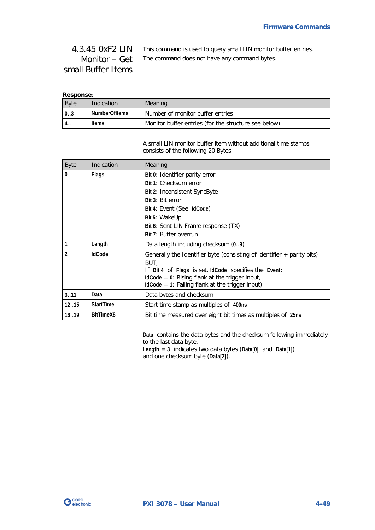This command is used to query small LIN monitor buffer entries. The command does not have any command bytes. 4.3.45 0xF2 LIN Monitor – Get small Buffer Items

### **Response**:

| <b>Byte</b> | Indication           | Meaning                                              |
|-------------|----------------------|------------------------------------------------------|
| l 03        | <b>NumberOfItems</b> | Number of monitor buffer entries                     |
| 4. .        | <b>Items</b>         | Monitor buffer entries (for the structure see below) |

A small LIN monitor buffer item without additional time stamps consists of the following 20 Bytes:

| <b>Byte</b>    | Indication       | Meaning                                                                                                 |
|----------------|------------------|---------------------------------------------------------------------------------------------------------|
| $\mathbf{0}$   | Flags            | Bit 0: Identifier parity error                                                                          |
|                |                  | Bit 1: Checksum error                                                                                   |
|                |                  | Bit 2: Inconsistent SyncByte                                                                            |
|                |                  | Bit 3: Bit error                                                                                        |
|                |                  | Bit 4: Event (See IdCode)                                                                               |
|                |                  | Bit 5: WakeUp                                                                                           |
|                |                  | Bit 6: Sent LIN Frame response (TX)                                                                     |
|                |                  | Bit 7: Buffer overrun                                                                                   |
| 1              | Length           | Data length including checksum (09)                                                                     |
| $\mathfrak{p}$ | <b>IdCode</b>    | Generally the Identifier byte (consisting of identifier $+$ parity bits)                                |
|                |                  | BUT,                                                                                                    |
|                |                  | If Bit 4 of Flags is set, IdCode specifies the Event:                                                   |
|                |                  | $IdCode = 0$ : Rising flank at the trigger input,<br>$IdCode = 1$ : Falling flank at the trigger input) |
|                |                  |                                                                                                         |
| 3.11           | Data             | Data bytes and checksum                                                                                 |
| 1215           | <b>StartTime</b> | Start time stamp as multiples of 400ns                                                                  |
| 16.19          | BitTimeX8        | Bit time measured over eight bit times as multiples of 25ns                                             |

**Data** contains the data bytes and the checksum following immediately to the last data byte. **Length** = **3** indicates two data bytes (**Data[0]** and **Data[1]**)

and one checksum byte (**Data[2]**).

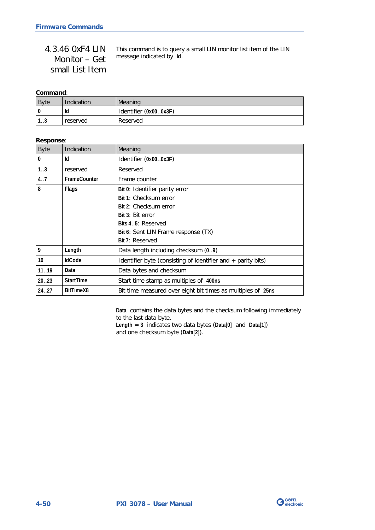| 4.3.46 OxF4 LIN | This command is to query a small LIN monitor list item of the LIN |
|-----------------|-------------------------------------------------------------------|
| Monitor – Get   | message indicated by Id.                                          |
| small List Item |                                                                   |

### **Command**:

| <b>Byte</b>        | Indication | Meaning               |
|--------------------|------------|-----------------------|
|                    | Id         | Identifier (0x000x3F) |
| $\sqrt{2}$<br>ن. ا | reserved   | Reserved              |

### **Response**:

| <b>Byte</b>     | Indication          | Meaning                                                        |  |
|-----------------|---------------------|----------------------------------------------------------------|--|
| 0               | Id                  | Identifier (0x000x3F)                                          |  |
| 1.3             | reserved            | Reserved                                                       |  |
| 4.7             | <b>FrameCounter</b> | Frame counter                                                  |  |
| 8               | Flags               | Bit 0: Identifier parity error                                 |  |
|                 |                     | Bit 1: Checksum error                                          |  |
|                 |                     | Bit 2: Checksum error                                          |  |
|                 |                     | Bit 3: Bit error                                               |  |
|                 |                     | Bits 45: Reserved                                              |  |
|                 |                     | Bit 6: Sent LIN Frame response (TX)                            |  |
|                 |                     | Bit 7: Reserved                                                |  |
| 9               | Length              | Data length including checksum (09)                            |  |
| 10 <sup>°</sup> | <b>IdCode</b>       | Identifier byte (consisting of identifier and $+$ parity bits) |  |
| 1119            | Data                | Data bytes and checksum                                        |  |
| 20.023          | <b>StartTime</b>    | Start time stamp as multiples of 400ns                         |  |
| 24.27           | BitTimeX8           | Bit time measured over eight bit times as multiples of 25ns    |  |

**Data** contains the data bytes and the checksum following immediately to the last data byte.

**Length** = **3** indicates two data bytes (**Data[0]** and **Data[1]**) and one checksum byte (**Data[2]**).

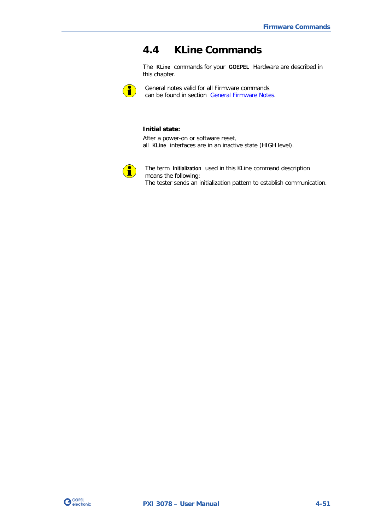# **4.4 KLine Commands**

The **KLine** commands for your **GOEPEL** Hardware are described in this chapter.



General notes valid for all Firmware commands can be found in section [General Firmware Notes.](#page-34-0)

#### **Initial state:**

After a power-on or software reset, all **KLine** interfaces are in an inactive state (HIGH level).



The term **Initialization** used in this KLine command description means the following: The tester sends an initialization pattern to establish communication.

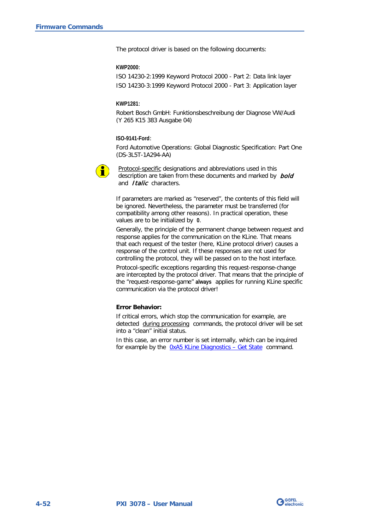The protocol driver is based on the following documents:

#### **KWP2000**:

ISO 14230-2:1999 Keyword Protocol 2000 - Part 2: Data link layer ISO 14230-3:1999 Keyword Protocol 2000 - Part 3: Application layer

#### **KWP1281**:

Robert Bosch GmbH: Funktionsbeschreibung der Diagnose VW/Audi (Y 265 K15 383 Ausgabe 04)

#### **ISO-9141-Ford**:

Ford Automotive Operations: Global Diagnostic Specification: Part One (DS-3L5T-1A294-AA)



Protocol-specific designations and abbreviations used in this description are taken from these documents and marked by **bold** and *Italic* characters.

If parameters are marked as "reserved", the contents of this field will be ignored. Nevertheless, the parameter must be transferred (for compatibility among other reasons). In practical operation, these values are to be initialized by **0**.

Generally, the principle of the permanent change between request and response applies for the communication on the KLine. That means that each request of the tester (here, KLine protocol driver) causes a response of the control unit. If these responses are not used for controlling the protocol, they will be passed on to the host interface.

Protocol-specific exceptions regarding this request-response-change are intercepted by the protocol driver. That means that the principle of the "request-response-game" **always** applies for running KLine specific communication via the protocol driver!

#### **Error Behavior:**

If critical errors, which stop the communication for example, are detected during processing commands, the protocol driver will be set into a "clean" initial status.

In this case, an error number is set internally, which can be inquired for example by the  $0xA5$  KLine Diagnostics – Get State command.

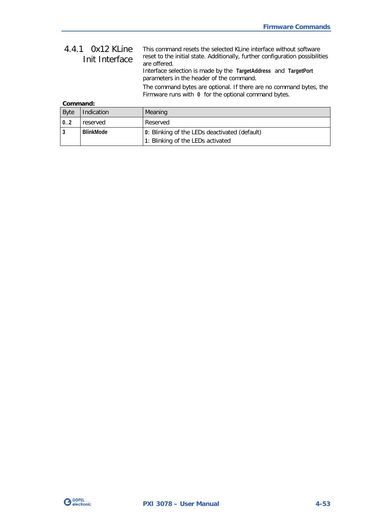| 4.4.1 0x12 KLine<br>Init Interface | This command resets the selected KLine interface without software<br>reset to the initial state. Additionally, further configuration possibilities<br>are offered.<br>Interface selection is made by the TargetAddress and TargetPort<br>parameters in the header of the command. |
|------------------------------------|-----------------------------------------------------------------------------------------------------------------------------------------------------------------------------------------------------------------------------------------------------------------------------------|
|                                    | The command bytes are optional. If there are no command bytes, the<br>Firmware runs with 0 for the optional command bytes.                                                                                                                                                        |

### **Command:**

| <b>Byte</b> | Indication       | Meaning                                       |  |
|-------------|------------------|-----------------------------------------------|--|
| $0^{0.2}$   | reserved         | Reserved                                      |  |
|             | <b>BlinkMode</b> | 0: Blinking of the LEDs deactivated (default) |  |
|             |                  | 1: Blinking of the LEDs activated             |  |

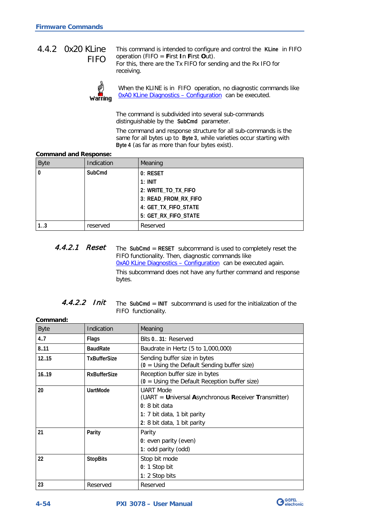## <span id="page-87-0"></span>4.4.2 0x20 KLine FIFO

This command is intended to configure and control the **KLine** in FIFO operation (FIFO = **F**irst **I**n **F**irst **O**ut). For this, there are the Tx FIFO for sending and the Rx IFO for



receiving.

When the KLINE is in FIFO operation, no diagnostic commands like [0xA0 KLine Diagnostics –](#page-94-0) Configuration can be executed.

The command is subdivided into several sub-commands distinguishable by the **SubCmd** parameter.

The command and response structure for all sub-commands is the same for all bytes up to **Byte 3**, while varieties occur starting with **Byte 4** (as far as more than four bytes exist).

#### **Command and Response:**

| <b>Byte</b>  | Indication | Meaning              |
|--------------|------------|----------------------|
| $\mathbf{0}$ | SubCmd     | 0: RESET             |
|              |            | $1:$ INIT            |
|              |            | 2: WRITE_TO_TX_FIFO  |
|              |            | 3: READ_FROM_RX_FIFO |
|              |            | 4: GET_TX_FIFO_STATE |
|              |            | 5: GET_RX_FIFO_STATE |
| 13           | reserved   | Reserved             |

The **SubCmd** = **RESET** subcommand is used to completely reset the FIFO functionality. Then, diagnostic commands like [0xA0 KLine Diagnostics –](#page-94-0) Configuration can be executed again. This subcommand does not have any further command and response bytes. 4.4.2.1 Reset

| 4.4.2.2 Init |  | The SubCmd = INIT subcommand is used for the initialization of the |
|--------------|--|--------------------------------------------------------------------|
|              |  | FIFO functionality.                                                |

| Command:    |                     |                                                                                                                                                          |
|-------------|---------------------|----------------------------------------------------------------------------------------------------------------------------------------------------------|
| <b>Byte</b> | Indication          | Meaning                                                                                                                                                  |
| 4.7         | <b>Flags</b>        | Bits 0., 31: Reserved                                                                                                                                    |
| 8.11        | <b>BaudRate</b>     | Baudrate in Hertz (5 to 1,000,000)                                                                                                                       |
| 1215        | <b>TxBufferSize</b> | Sending buffer size in bytes<br>$(0 = Using the Default Sending buffer size)$                                                                            |
| 1619        | <b>RxBufferSize</b> | Reception buffer size in bytes<br>$(0 = Using the Default Reception buffer size)$                                                                        |
| 20          | <b>UartMode</b>     | <b>UART Mode</b><br>(UART = Universal Asynchronous Receiver Transmitter)<br>$0:8$ bit data<br>1: 7 bit data, 1 bit parity<br>2: 8 bit data, 1 bit parity |
| 21          | Parity              | Parity<br>0: even parity (even)<br>1: odd parity (odd)                                                                                                   |
| 22          | <b>StopBits</b>     | Stop bit mode<br>0: 1 Stop bit<br>1: 2 Stop bits                                                                                                         |
| 23          | Reserved            | Reserved                                                                                                                                                 |

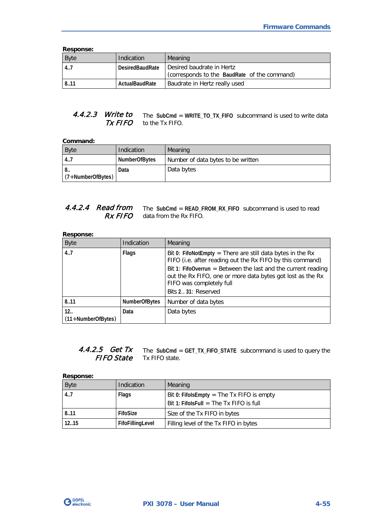**Response:**

| www.mac.    |                        |                                                                             |  |
|-------------|------------------------|-----------------------------------------------------------------------------|--|
| <b>Byte</b> | Indication             | Meaning                                                                     |  |
| 14.7        | <b>DesiredBaudRate</b> | l Desired baudrate in Hertz<br>(corresponds to the BaudRate of the command) |  |
| 8.11        | ActualBaudRate         | Baudrate in Hertz really used                                               |  |

#### The **SubCmd** = **WRITE\_TO\_TX\_FIFO** subcommand is used to write data to the Tx FIFO. 4.4.2.3 Write to Tx FIFO

## **Command:**

| Byte                | Indication           | Meaning                            |
|---------------------|----------------------|------------------------------------|
| 4.7                 | <b>NumberOfBytes</b> | Number of data bytes to be written |
| 8.5                 | Data                 | Data bytes                         |
| $(7+NumberOfBytes)$ |                      |                                    |

#### 4.4.2.4 **Read from** The SubCmd = READ\_FROM\_RX\_FIFO subcommand is used to read data from the Rx FIFO. Rx FIFO

**Response:**

| <b>Byte</b>                  | Indication           | Meaning                                                                                                                                                                        |
|------------------------------|----------------------|--------------------------------------------------------------------------------------------------------------------------------------------------------------------------------|
| 4.7                          | <b>Flags</b>         | Bit 0: FifoNotEmpty = There are still data bytes in the Rx<br>FIFO (i.e. after reading out the Rx FIFO by this command)                                                        |
|                              |                      | Bit 1: FifoOverrun = Between the last and the current reading<br>out the Rx FIFO, one or more data bytes got lost as the Rx<br>FIFO was completely full<br>Bits 2 31: Reserved |
| 8.11                         | <b>NumberOfBytes</b> | Number of data bytes                                                                                                                                                           |
| 12<br>$(11 + NumberOfBytes)$ | Data                 | Data bytes                                                                                                                                                                     |

#### The **SubCmd** = **GET\_TX\_FIFO\_STATE** subcommand is used to query the Tx FIFO state. 4.4.2.5 Get Tx FIFO State

| <b>Response:</b> |                  |                                              |
|------------------|------------------|----------------------------------------------|
| <b>Byte</b>      | Indication       | Meaning                                      |
| 4.7              | <b>Flags</b>     | Bit 0: Fifols Empty $=$ The Tx FIFO is empty |
|                  |                  | Bit 1: FifolsFull = The Tx FIFO is full      |
| 8.11             | FifoSize         | Size of the Tx FIFO in bytes                 |
| 1215             | FifoFillingLevel | Filling level of the Tx FIFO in bytes        |

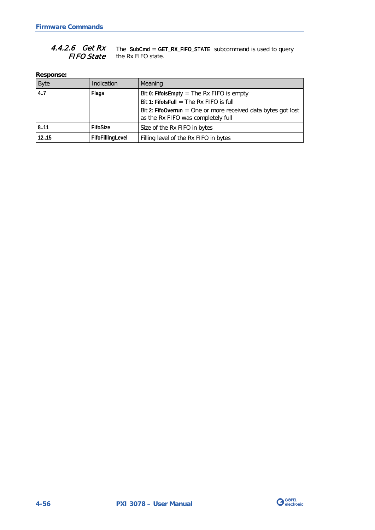#### The **SubCmd** = **GET\_RX\_FIFO\_STATE** subcommand is used to query the Rx FIFO state. 4.4.2.6 Get Rx FIFO State

**Response:**

| <b>Byte</b> | Indication       | Meaning                                                                                             |
|-------------|------------------|-----------------------------------------------------------------------------------------------------|
| 4.7         | <b>Flags</b>     | Bit 0: FifolsEmpty = The Rx FIFO is empty                                                           |
|             |                  | Bit 1: FifolsFull = The Rx FIFO is full                                                             |
|             |                  | Bit 2: FifoOverrun = One or more received data bytes got lost<br>as the Rx FIFO was completely full |
| 8.11        | FifoSize         | Size of the Rx FIFO in bytes                                                                        |
| 12.15       | FifoFillingLevel | Filling level of the Rx FIFO in bytes                                                               |

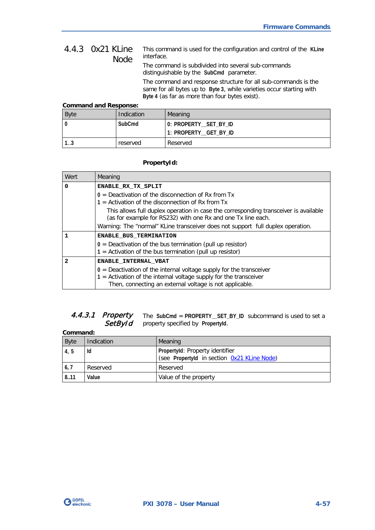#### <span id="page-90-0"></span>This command is used for the configuration and control of the **KLine** interface. 4.4.3 0x21 KLine Node

The command is subdivided into several sub-commands distinguishable by the **SubCmd** parameter.

The command and response structure for all sub-commands is the same for all bytes up to **Byte 3**, while varieties occur starting with **Byte 4** (as far as more than four bytes exist).

#### **Command and Response:**

| <b>Byte</b> | Indication | Meaning               |
|-------------|------------|-----------------------|
|             | SubCmd     | 0: PROPERTY_SET_BY_ID |
|             |            | 1: PROPERTY_GET_BY_ID |
| ن. ا        | reserved   | Reserved              |

### **PropertyId:**

| Wert | Meaning                                                                                                                                                                                                 |  |
|------|---------------------------------------------------------------------------------------------------------------------------------------------------------------------------------------------------------|--|
| 0    | ENABLE RX TX SPLIT                                                                                                                                                                                      |  |
|      | $0 =$ Deactivation of the disconnection of Rx from Tx<br>$1 =$ Activation of the disconnection of Rx from Tx                                                                                            |  |
|      | This allows full duplex operation in case the corresponding transceiver is available<br>(as for example for RS232) with one Rx and one Tx line each.                                                    |  |
|      | Warning: The "normal" KLine transceiver does not support full duplex operation.                                                                                                                         |  |
| 1    | <b>ENABLE BUS TERMINATION</b>                                                                                                                                                                           |  |
|      | $0 =$ Deactivation of the bus termination (pull up resistor)<br>$1 =$ Activation of the bus termination (pull up resistor)                                                                              |  |
| 2    | <b>ENABLE INTERNAL VBAT</b>                                                                                                                                                                             |  |
|      | $0$ = Deactivation of the internal voltage supply for the transceiver<br>$1$ = Activation of the internal voltage supply for the transceiver<br>Then, connecting an external voltage is not applicable. |  |

#### The **SubCmd** = **PROPERTY\_\_SET\_BY\_ID** subcommand is used to set a property specified by **PropertyId**. 4.4.3.1 Property **SetById**

| Command:    |                   |                                                                                |
|-------------|-------------------|--------------------------------------------------------------------------------|
| <b>Byte</b> | <b>Indication</b> | Meaning                                                                        |
| 4, 5        | ld                | Propertyld: Property identifier<br>(see Propertyld in section 0x21 KLine Node) |
| 6, 7        | Reserved          | Reserved                                                                       |
| 8.11        | Value             | Value of the property                                                          |

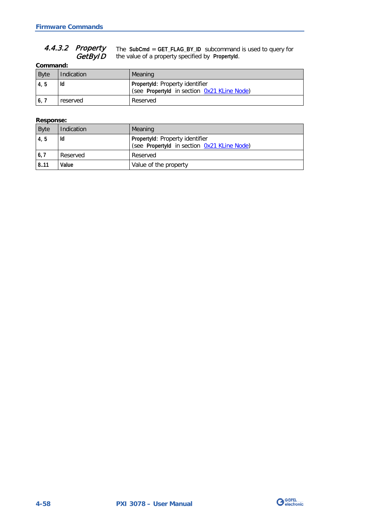#### The **SubCmd** = **GET\_FLAG\_BY\_ID** subcommand is used to query for the value of a property specified by **PropertyId**. 4.4.3.2 Property GetByID

**Command:**

| <b>Byte</b> | Indication | Meaning                                                                        |
|-------------|------------|--------------------------------------------------------------------------------|
| 4, 5        | ld         | Propertyld: Property identifier<br>(see Propertyld in section 0x21 KLine Node) |
| 6,7         | reserved   | Reserved                                                                       |

### **Response:**

| <b>Byte</b>        | Indication | Meaning                                                                        |
|--------------------|------------|--------------------------------------------------------------------------------|
| 4, 5               | ld         | Propertyld: Property identifier<br>(see Propertyld in section 0x21 KLine Node) |
| $\vert 6, 7 \vert$ | Reserved   | Reserved                                                                       |
| 8.11               | Value      | Value of the property                                                          |

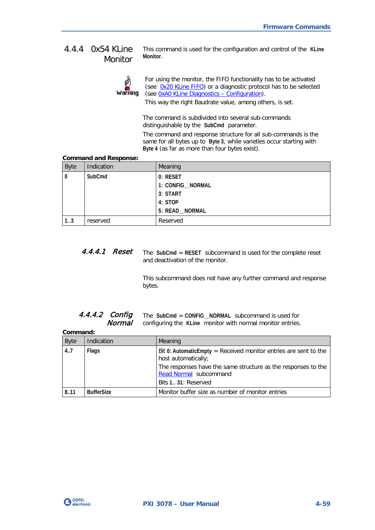# 4.4.4 0x54 KLine Monitor

This command is used for the configuration and control of the **KLine Monitor**.



For using the monitor, the FIFO functionality has to be activated (see [0x20 KLine FIFO\)](#page-87-0) or a diagnostic protocol has to be selected (see [0xA0 KLine Diagnostics –](#page-94-0) Configuration).

This way the right Baudrate value, among others, is set.

The command is subdivided into several sub-commands distinguishable by the **SubCmd** parameter.

The command and response structure for all sub-commands is the same for all bytes up to **Byte 3**, while varieties occur starting with **Byte 4** (as far as more than four bytes exist).

### **Command and Response:**

| <b>Byte</b> | Indication | Meaning          |
|-------------|------------|------------------|
| $\mathbf 0$ | SubCmd     | 0: RESET         |
|             |            | 1: CONFIG_NORMAL |
|             |            | 3: START         |
|             |            | 4: STOP          |
|             |            | 5: READ_NORMAL   |
| 13          | reserved   | Reserved         |

The **SubCmd** = **RESET** subcommand is used for the complete reset and deactivation of the monitor. 4.4.4.1 Reset

> This subcommand does not have any further command and response bytes.

<span id="page-92-0"></span>

| 4.4.4.2 Config | The SubCmd = CONFIG NORMAL subcommand is used for                        |
|----------------|--------------------------------------------------------------------------|
|                | <b>Normal</b> configuring the KLine monitor with normal monitor entries. |

|             | Command:          |                                                                                                |  |
|-------------|-------------------|------------------------------------------------------------------------------------------------|--|
| <b>Byte</b> | Indication        | Meaning                                                                                        |  |
| 4.7         | <b>Flags</b>      | Bit 0: Automatic Empty = Received monitor entries are sent to the<br>host automatically;       |  |
|             |                   | The responses have the same structure as the responses to the<br><b>Read Normal</b> subcommand |  |
|             |                   | Bits 1 31: Reserved                                                                            |  |
| 8.11        | <b>BufferSize</b> | Monitor buffer size as number of monitor entries                                               |  |

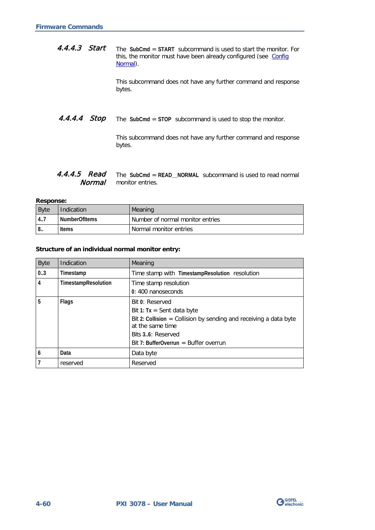The **SubCmd** = **START** subcommand is used to start the monitor. For this, the monitor must have been already configured (see Config [Normal\)](#page-92-0). 4.4.4.3 Start

> This subcommand does not have any further command and response bytes.

The **SubCmd** = **STOP** subcommand is used to stop the monitor. 4.4.4.4 Stop

> This subcommand does not have any further command and response bytes.

#### <span id="page-93-0"></span>The **SubCmd** = **READ\_\_NORMAL** subcommand is used to read normal monitor entries. 4.4.4.5 Read Normal

**Response:**

| <b>Byte</b>  | Indication           | Meaning                          |
|--------------|----------------------|----------------------------------|
| 14.7         | <b>NumberOfItems</b> | Number of normal monitor entries |
| $^{\circ}$ 8 | <b>Items</b>         | Normal monitor entries           |

#### **Structure of an individual normal monitor entry:**

| <b>Byte</b> | Indication          | Meaning                                                                                                                                                                                                 |
|-------------|---------------------|---------------------------------------------------------------------------------------------------------------------------------------------------------------------------------------------------------|
| 03          | Timestamp           | Time stamp with TimestampResolution resolution                                                                                                                                                          |
| 4           | TimestampResolution | Time stamp resolution<br>0:400 nanoseconds                                                                                                                                                              |
| 5           | <b>Flags</b>        | Bit 0: Reserved<br>Bit 1: $Tx =$ Sent data byte<br>Bit 2: Collision = Collision by sending and receiving a data byte<br>at the same time<br>Bits 3.6: Reserved<br>Bit 7: BufferOverrun = Buffer overrun |
| 6           | Data                | Data byte                                                                                                                                                                                               |
|             | reserved            | Reserved                                                                                                                                                                                                |

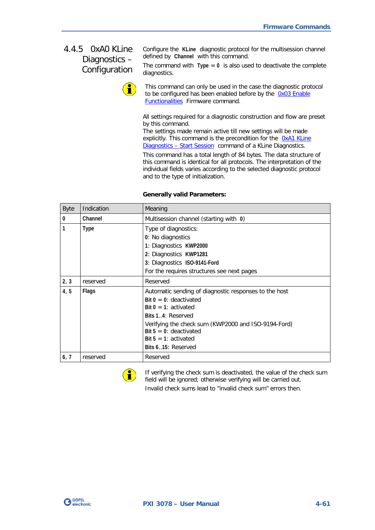# <span id="page-94-0"></span>4.4.5 0xA0 KLine Diagnostics – Configuration

Configure the **KLine** diagnostic protocol for the multisession channel defined by **Channel** with this command.

The command with  $Type = 0$  is also used to deactivate the complete diagnostics.

This command can only be used in the case the diagnostic protocol to be configured has been enabled before by the 0x03 Enable [Functionalities](#page-41-0) Firmware command.

All settings required for a diagnostic construction and flow are preset by this command.

The settings made remain active till new settings will be made explicitly. This command is the precondition for the OxA1 KLine Diagnostics - [Start Session](#page-103-0) command of a KLine Diagnostics.

This command has a total length of 84 bytes. The data structure of this command is identical for all protocols. The interpretation of the individual fields varies according to the selected diagnostic protocol and to the type of initialization.

| <b>Byte</b>    | Indication   | Meaning                                                                                                                                                                                                                                                                 |
|----------------|--------------|-------------------------------------------------------------------------------------------------------------------------------------------------------------------------------------------------------------------------------------------------------------------------|
| $\overline{0}$ | Channel      | Multisession channel (starting with 0)                                                                                                                                                                                                                                  |
| $\overline{1}$ | <b>Type</b>  | Type of diagnostics:<br>0: No diagnostics<br>1: Diagnostics KWP2000<br>2: Diagnostics KWP1281<br>3: Diagnostics ISO-9141-Ford<br>For the requires structures see next pages                                                                                             |
| 2, 3           | reserved     | Reserved                                                                                                                                                                                                                                                                |
| 4, 5           | <b>Flags</b> | Automatic sending of diagnostic responses to the host<br>Bit $0 = 0$ : deactivated<br>Bit $0 = 1$ : activated<br>Bits 14: Reserved<br>Verifying the check sum (KWP2000 and ISO-9194-Ford)<br>Bit $5 = 0$ : deactivated<br>Bit $5 = 1$ : activated<br>Bits 615: Reserved |
| 6, 7           | reserved     | Reserved                                                                                                                                                                                                                                                                |

#### **Generally valid Parameters:**



If verifying the check sum is deactivated, the value of the check sum field will be ignored; otherwise verifying will be carried out. Invalid check sums lead to "invalid check sum" errors then.

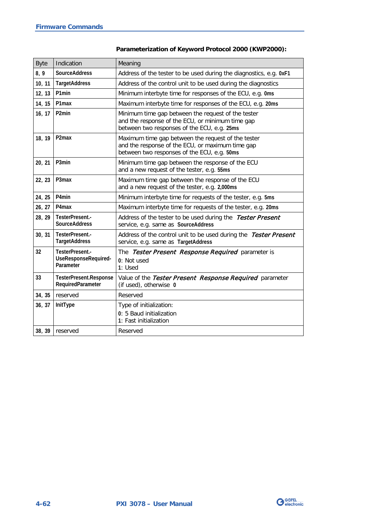| <b>Byte</b> | Indication                                           | Meaning                                                                                                                                               |
|-------------|------------------------------------------------------|-------------------------------------------------------------------------------------------------------------------------------------------------------|
| 8, 9        | <b>SourceAddress</b>                                 | Address of the tester to be used during the diagnostics, e.g. 0xF1                                                                                    |
| 10, 11      | <b>TargetAddress</b>                                 | Address of the control unit to be used during the diagnostics                                                                                         |
| 12, 13      | P1min                                                | Minimum interbyte time for responses of the ECU, e.g. 0ms                                                                                             |
| 14, 15      | P1max                                                | Maximum interbyte time for responses of the ECU, e.g. 20ms                                                                                            |
| 16, 17      | P <sub>2</sub> min                                   | Minimum time gap between the request of the tester<br>and the response of the ECU, or minimum time gap<br>between two responses of the ECU, e.g. 25ms |
| 18, 19      | P <sub>2</sub> max                                   | Maximum time gap between the request of the tester<br>and the response of the ECU, or maximum time gap<br>between two responses of the ECU, e.g. 50ms |
| 20, 21      | P3min                                                | Minimum time gap between the response of the ECU<br>and a new request of the tester, e.g. 55ms                                                        |
| 22, 23      | P3max                                                | Maximum time gap between the response of the ECU<br>and a new request of the tester, e.g. 2,000ms                                                     |
| 24, 25      | P4min                                                | Minimum interbyte time for requests of the tester, e.g. 5ms                                                                                           |
| 26, 27      | P4 <sub>max</sub>                                    | Maximum interbyte time for requests of the tester, e.g. 20ms                                                                                          |
| 28, 29      | TesterPresent.-<br><b>SourceAddress</b>              | Address of the tester to be used during the Tester Present<br>service, e.g. same as SourceAddress                                                     |
| 30, 31      | TesterPresent.-<br><b>TargetAddress</b>              | Address of the control unit to be used during the Tester Present<br>service, e.g. same as TargetAddress                                               |
| 32          | TesterPresent.-<br>UseResponseRequired-<br>Parameter | The Tester Present Response Required parameter is<br>0: Not used<br>1: Used                                                                           |
| 33          | TesterPresent.Response<br>RequiredParameter          | Value of the Tester Present Response Required parameter<br>(if used), otherwise 0                                                                     |
| 34, 35      | reserved                                             | Reserved                                                                                                                                              |
| 36, 37      | InitType                                             | Type of initialization:<br>0: 5 Baud initialization<br>1: Fast initialization                                                                         |
|             | 38, 39 reserved                                      | Reserved                                                                                                                                              |

# **Parameterization of Keyword Protocol 2000 (KWP2000):**

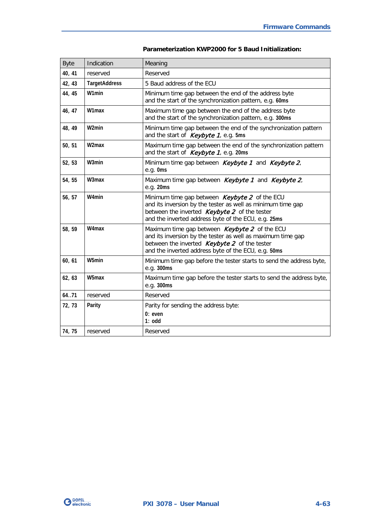| <b>Byte</b> | Indication           | Meaning                                                                                                                                                                                                                    |  |
|-------------|----------------------|----------------------------------------------------------------------------------------------------------------------------------------------------------------------------------------------------------------------------|--|
| 40, 41      | reserved             | Reserved                                                                                                                                                                                                                   |  |
| 42, 43      | <b>TargetAddress</b> | 5 Baud address of the ECU                                                                                                                                                                                                  |  |
| 44, 45      | W1min                | Minimum time gap between the end of the address byte<br>and the start of the synchronization pattern, e.g. 60ms                                                                                                            |  |
| 46, 47      | W1max                | Maximum time gap between the end of the address byte<br>and the start of the synchronization pattern, e.g. 300ms                                                                                                           |  |
| 48, 49      | W <sub>2</sub> min   | Minimum time gap between the end of the synchronization pattern<br>and the start of <i>Keybyte 1</i> , e.g. 5ms                                                                                                            |  |
| 50, 51      | W <sub>2</sub> max   | Maximum time gap between the end of the synchronization pattern<br>and the start of Keybyte 1, e.g. 20ms                                                                                                                   |  |
| 52, 53      | W3min                | Minimum time gap between Keybyte 1 and Keybyte 2,<br>e.g. Oms                                                                                                                                                              |  |
| 54, 55      | W3max                | Maximum time gap between Keybyte 1 and Keybyte 2,<br>e.g. 20ms                                                                                                                                                             |  |
| 56, 57      | W4min                | Minimum time gap between Keybyte 2 of the ECU<br>and its inversion by the tester as well as minimum time gap<br>between the inverted Keybyte 2 of the tester<br>and the inverted address byte of the ECU, e.g. 25ms        |  |
| 58, 59      | W4max                | Maximum time gap between <b>Keybyte 2</b> of the ECU<br>and its inversion by the tester as well as maximum time gap<br>between the inverted Keybyte 2 of the tester<br>and the inverted address byte of the ECU, e.g. 50ms |  |
| 60, 61      | W5min                | Minimum time gap before the tester starts to send the address byte,<br>e.g. 300ms                                                                                                                                          |  |
| 62, 63      | W5max                | Maximum time gap before the tester starts to send the address byte,<br>e.g. 300ms                                                                                                                                          |  |
| 64.71       | reserved             | Reserved                                                                                                                                                                                                                   |  |
| 72, 73      | Parity               | Parity for sending the address byte:<br>$0:$ even<br>$1:$ odd                                                                                                                                                              |  |
| 74, 75      | reserved             | Reserved                                                                                                                                                                                                                   |  |

## **Parameterization KWP2000 for 5 Baud Initialization:**

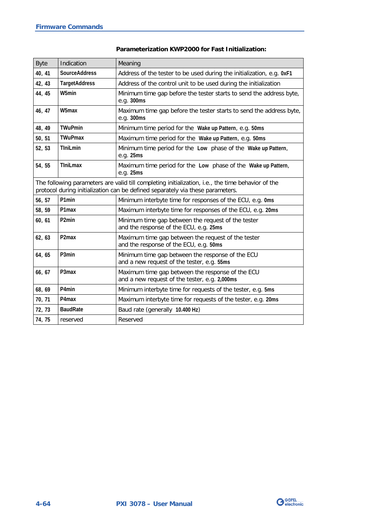| <b>Byte</b>                                                                                                                                                                         | Indication           | Meaning                                                                                           |  |
|-------------------------------------------------------------------------------------------------------------------------------------------------------------------------------------|----------------------|---------------------------------------------------------------------------------------------------|--|
| 40, 41                                                                                                                                                                              | <b>SourceAddress</b> | Address of the tester to be used during the initialization, e.g. 0xF1                             |  |
| 42, 43                                                                                                                                                                              | <b>TargetAddress</b> | Address of the control unit to be used during the initialization                                  |  |
| 44, 45                                                                                                                                                                              | W5min                | Minimum time gap before the tester starts to send the address byte,<br>e.g. 300ms                 |  |
| 46, 47                                                                                                                                                                              | W5max                | Maximum time gap before the tester starts to send the address byte,<br>e.g. 300ms                 |  |
| 48, 49                                                                                                                                                                              | <b>TWuPmin</b>       | Minimum time period for the Wake up Pattern, e.g. 50ms                                            |  |
| 50, 51                                                                                                                                                                              | <b>TWuPmax</b>       | Maximum time period for the Wake up Pattern, e.g. 50ms                                            |  |
| 52, 53                                                                                                                                                                              | <b>T</b> IniLmin     | Minimum time period for the Low phase of the Wake up Pattern,<br>e.g. 25ms                        |  |
| 54, 55                                                                                                                                                                              | <b>TIniLmax</b>      | Maximum time period for the Low phase of the Wake up Pattern,<br>e.g. 25ms                        |  |
| The following parameters are valid till completing initialization, i.e., the time behavior of the<br>protocol during initialization can be defined separately via these parameters. |                      |                                                                                                   |  |
| 56, 57                                                                                                                                                                              | P1min                | Minimum interbyte time for responses of the ECU, e.g. 0ms                                         |  |
| 58, 59                                                                                                                                                                              | P1max                | Maximum interbyte time for responses of the ECU, e.g. 20ms                                        |  |
| 60, 61                                                                                                                                                                              | P <sub>2</sub> min   | Minimum time gap between the request of the tester<br>and the response of the ECU, e.g. 25ms      |  |
| 62, 63                                                                                                                                                                              | P <sub>2</sub> max   | Maximum time gap between the request of the tester<br>and the response of the ECU, e.g. 50ms      |  |
| 64, 65                                                                                                                                                                              | P3min                | Minimum time gap between the response of the ECU<br>and a new request of the tester, e.g. 55ms    |  |
| 66, 67                                                                                                                                                                              | P3max                | Maximum time gap between the response of the ECU<br>and a new request of the tester, e.g. 2,000ms |  |
| 68, 69                                                                                                                                                                              | P4min                | Minimum interbyte time for requests of the tester, e.g. 5ms                                       |  |
| 70, 71                                                                                                                                                                              | P4max                | Maximum interbyte time for requests of the tester, e.g. 20ms                                      |  |
| 72, 73                                                                                                                                                                              | <b>BaudRate</b>      | Baud rate (generally 10.400 Hz)                                                                   |  |
| 74, 75                                                                                                                                                                              | reserved             | Reserved                                                                                          |  |

## **Parameterization KWP2000 for Fast Initialization:**

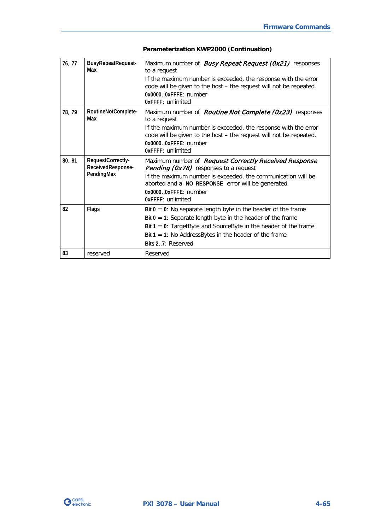| 76, 77 | BusyRepeatRequest-<br>Max                            | Maximum number of <i>Busy Repeat Request (0x21)</i> responses<br>to a request<br>If the maximum number is exceeded, the response with the error<br>code will be given to the host - the request will not be repeated.<br>0x00000xFFFE: number<br>OxFFFF: unlimited                          |  |
|--------|------------------------------------------------------|---------------------------------------------------------------------------------------------------------------------------------------------------------------------------------------------------------------------------------------------------------------------------------------------|--|
| 78, 79 | RoutineNotComplete-<br>Max                           | Maximum number of <i>Routine Not Complete (0x23)</i> responses<br>to a request<br>If the maximum number is exceeded, the response with the error<br>code will be given to the host - the request will not be repeated.<br>0x00000xFFFE: number<br>OxFFFF: unlimited                         |  |
| 80, 81 | RequestCorrectly-<br>ReceivedResponse-<br>PendingMax | Maximum number of Request Correctly Received Response<br><b>Pending (0x78)</b> responses to a request<br>If the maximum number is exceeded, the communication will be<br>aborted and a NO_RESPONSE error will be generated.<br>0x0000.0xFFFF: number<br>OxFFFF: unlimited                   |  |
| 82     | Flags                                                | Bit $0 = 0$ : No separate length byte in the header of the frame<br>Bit $0 = 1$ : Separate length byte in the header of the frame<br>Bit $1 = 0$ : Target Byte and Source Byte in the header of the frame<br>Bit $1 = 1$ : No Address Bytes in the header of the frame<br>Bits 27: Reserved |  |
| 83     | reserved                                             | Reserved                                                                                                                                                                                                                                                                                    |  |

# **Parameterization KWP2000 (Continuation)**

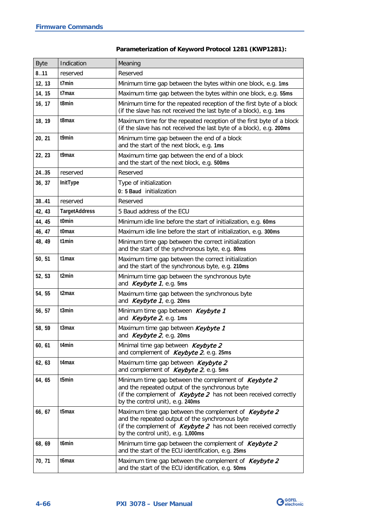| <b>Byte</b> | Indication           | Meaning                                                                                                                                                                                                            |  |
|-------------|----------------------|--------------------------------------------------------------------------------------------------------------------------------------------------------------------------------------------------------------------|--|
| 8.11        | reserved             | Reserved                                                                                                                                                                                                           |  |
| 12, 13      | t7min                | Minimum time gap between the bytes within one block, e.g. 1ms                                                                                                                                                      |  |
| 14, 15      | t7max                | Maximum time gap between the bytes within one block, e.g. 55ms                                                                                                                                                     |  |
| 16, 17      | t8min                | Minimum time for the repeated reception of the first byte of a block<br>(if the slave has not received the last byte of a block), e.g. 1ms                                                                         |  |
| 18, 19      | t8max                | Maximum time for the repeated reception of the first byte of a block<br>(if the slave has not received the last byte of a block), e.g. 200ms                                                                       |  |
| 20, 21      | t9min                | Minimum time gap between the end of a block<br>and the start of the next block, e.g. 1ms                                                                                                                           |  |
| 22, 23      | t9max                | Maximum time gap between the end of a block<br>and the start of the next block, e.g. 500ms                                                                                                                         |  |
| 24.35       | reserved             | Reserved                                                                                                                                                                                                           |  |
| 36, 37      | InitType             | Type of initialization<br>0: 5 Baud initialization                                                                                                                                                                 |  |
| 38.041      | reserved             | Reserved                                                                                                                                                                                                           |  |
| 42, 43      | <b>TargetAddress</b> | 5 Baud address of the ECU                                                                                                                                                                                          |  |
| 44, 45      | t0min                | Minimum idle line before the start of initialization, e.g. 60ms                                                                                                                                                    |  |
| 46, 47      | t0max                | Maximum idle line before the start of initialization, e.g. 300ms                                                                                                                                                   |  |
| 48, 49      | t1min                | Minimum time gap between the correct initialization<br>and the start of the synchronous byte, e.g. 80ms                                                                                                            |  |
| 50, 51      | t1max                | Maximum time gap between the correct initialization<br>and the start of the synchronous byte, e.g. 210ms                                                                                                           |  |
| 52, 53      | t2min                | Minimum time gap between the synchronous byte<br>and <i>Keybyte 1</i> , e.g. 5ms                                                                                                                                   |  |
| 54, 55      | t2max                | Maximum time gap between the synchronous byte<br>and Keybyte 1, e.g. 20ms                                                                                                                                          |  |
| 56, 57      | t3min                | Minimum time gap between Keybyte 1<br>and <i>Keybyte 2</i> , e.g. 1ms                                                                                                                                              |  |
| 58, 59      | t3max                | Maximum time gap between Keybyte 1<br>and Keybyte 2, e.g. 20ms                                                                                                                                                     |  |
| 60, 61      | t4min                | Minimal time gap between Keybyte 2<br>and complement of Keybyte 2, e.g. 25ms                                                                                                                                       |  |
| 62, 63      | t4max                | Maximum time gap between Keybyte 2<br>and complement of Keybyte 2, e.g. 5ms                                                                                                                                        |  |
| 64, 65      | t5min                | Minimum time gap between the complement of Keybyte 2<br>and the repeated output of the synchronous byte<br>(if the complement of $Keybyte 2$ has not been received correctly<br>by the control unit), e.g. 240ms   |  |
| 66, 67      | t5max                | Maximum time gap between the complement of Keybyte 2<br>and the repeated output of the synchronous byte<br>(if the complement of $Keybyte 2$ has not been received correctly<br>by the control unit), e.g. 1,000ms |  |
| 68, 69      | t6min                | Minimum time gap between the complement of Keybyte 2<br>and the start of the ECU identification, e.g. 25ms                                                                                                         |  |
| 70, 71      | t6max                | Maximum time gap between the complement of Keybyte 2<br>and the start of the ECU identification, e.g. 50ms                                                                                                         |  |

# **Parameterization of Keyword Protocol 1281 (KWP1281):**

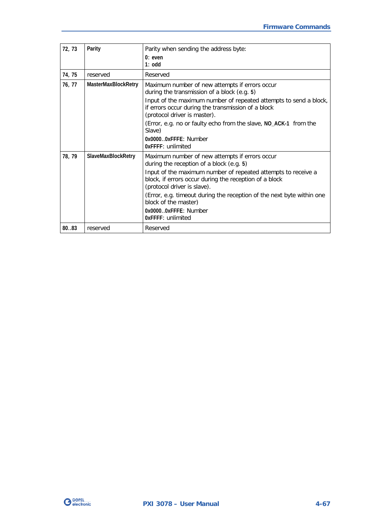| 72, 73 | Parity                    | Parity when sending the address byte:                                                                                                                   |
|--------|---------------------------|---------------------------------------------------------------------------------------------------------------------------------------------------------|
|        |                           | $0:$ even<br>$1:$ odd                                                                                                                                   |
|        |                           |                                                                                                                                                         |
| 74, 75 | reserved                  | Reserved                                                                                                                                                |
| 76, 77 | MasterMaxBlockRetry       | Maximum number of new attempts if errors occur<br>during the transmission of a block (e.g. 5)                                                           |
|        |                           | Input of the maximum number of repeated attempts to send a block,<br>if errors occur during the transmission of a block<br>(protocol driver is master). |
|        |                           | (Error, e.g. no or faulty echo from the slave, NO_ACK-1 from the<br>Slave)                                                                              |
|        |                           | $0x00000x$ FFFF: Number<br>OxFFFF: unlimited                                                                                                            |
| 78, 79 | <b>SlaveMaxBlockRetry</b> | Maximum number of new attempts if errors occur<br>during the reception of a block (e.g. 5)                                                              |
|        |                           | Input of the maximum number of repeated attempts to receive a<br>block, if errors occur during the reception of a block<br>(protocol driver is slave).  |
|        |                           | (Error, e.g. timeout during the reception of the next byte within one<br>block of the master)                                                           |
|        |                           | 0x00000xFFFE: Number<br>OxFFFF: unlimited                                                                                                               |
| 80.03  | reserved                  | Reserved                                                                                                                                                |

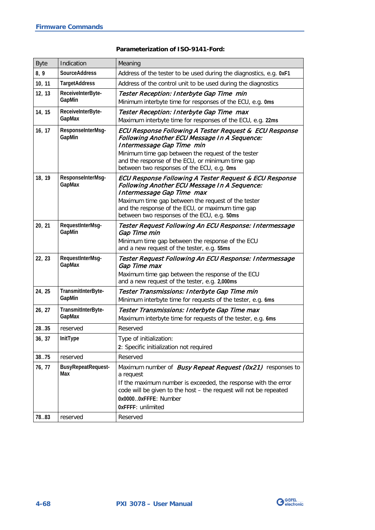### **Parameterization of ISO-9141-Ford:**

| <b>Byte</b>     | Indication                                   | Meaning                                                                                                                                                                                                                                                                                             |  |
|-----------------|----------------------------------------------|-----------------------------------------------------------------------------------------------------------------------------------------------------------------------------------------------------------------------------------------------------------------------------------------------------|--|
| 8,9             | <b>SourceAddress</b>                         | Address of the tester to be used during the diagnostics, e.g. 0xF1                                                                                                                                                                                                                                  |  |
| 10, 11          | <b>TargetAddress</b>                         | Address of the control unit to be used during the diagnostics                                                                                                                                                                                                                                       |  |
| 12, 13          | ReceiveInterByte-<br>GapMin                  | Tester Reception: Interbyte Gap Time min<br>Minimum interbyte time for responses of the ECU, e.g. 0ms                                                                                                                                                                                               |  |
| 14, 15          | ReceivelnterByte-<br>GapMax                  | Tester Reception: Interbyte Gap Time max<br>Maximum interbyte time for responses of the ECU, e.g. 22ms                                                                                                                                                                                              |  |
| 16, 17          | ResponseInterMsg-<br>GapMin                  | ECU Response Following A Tester Request & ECU Response<br>Following Another ECU Message In A Sequence:<br>Intermessage Gap Time min<br>Minimum time gap between the request of the tester<br>and the response of the ECU, or minimum time gap<br>between two responses of the ECU, e.g. 0ms         |  |
| 18, 19          | ResponseInterMsg-<br>GapMax                  | ECU Response Following A Tester Request & ECU Response<br><b>Following Another ECU Message In A Sequence:</b><br>Intermessage Gap Time max<br>Maximum time gap between the request of the tester<br>and the response of the ECU, or maximum time gap<br>between two responses of the ECU, e.g. 50ms |  |
| 20, 21          | RequestInterMsg-<br>GapMin                   | Tester Request Following An ECU Response: Intermessage<br>Gap Time min<br>Minimum time gap between the response of the ECU<br>and a new request of the tester, e.g. 55ms                                                                                                                            |  |
| 22, 23          | RequestInterMsg-<br>GapMax                   | Tester Request Following An ECU Response: Intermessage<br>Gap Time max<br>Maximum time gap between the response of the ECU<br>and a new request of the tester, e.g. 2,000ms                                                                                                                         |  |
| 24, 25          | TransmitInterByte-<br>GapMin                 | Tester Transmissions: Interbyte Gap Time min<br>Minimum interbyte time for requests of the tester, e.g. 6ms                                                                                                                                                                                         |  |
| 26, 27          | TransmitInterByte-<br>GapMax                 | Tester Transmissions: Interbyte Gap Time max<br>Maximum interbyte time for requests of the tester, e.g. 6ms                                                                                                                                                                                         |  |
| 2835            | reserved                                     | Reserved                                                                                                                                                                                                                                                                                            |  |
| 36, 37          | InitType                                     | Type of initialization:<br>2: Specific initialization not required                                                                                                                                                                                                                                  |  |
| 38.75           | reserved                                     | Reserved                                                                                                                                                                                                                                                                                            |  |
| 76, 77<br>78.83 | <b>BusyRepeatRequest-</b><br>Max<br>reserved | Maximum number of <i>Busy Repeat Request (0x21)</i> responses to<br>a request<br>If the maximum number is exceeded, the response with the error<br>code will be given to the host - the request will not be repeated<br>0x00000xFFFE: Number<br>0xFFFF: unlimited<br>Reserved                       |  |

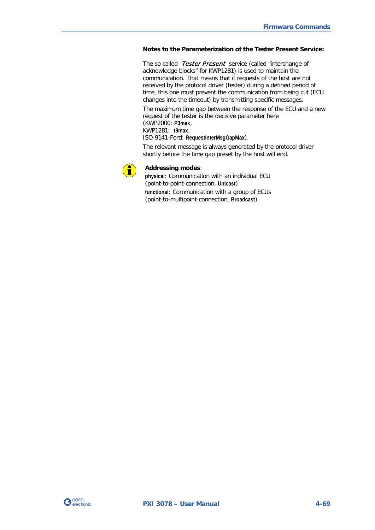#### **Notes to the Parameterization of the Tester Present Service:**

The so called Tester Present service (called "interchange of acknowledge blocks" for KWP1281) is used to maintain the communication. That means that if requests of the host are not received by the protocol driver (tester) during a defined period of time, this one must prevent the communication from being cut (ECU changes into the timeout) by transmitting specific messages.

The maximum time gap between the response of the ECU and a new request of the tester is the decisive parameter here (KWP2000: **P3max**,

KWP1281: **t9max**,

ISO-9141-Ford: **RequestInterMsgGapMax**).

The relevant message is always generated by the protocol driver shortly before the time gap preset by the host will end.



#### **Addressing modes**:

**physical**: Communication with an individual ECU (point-to-point-connection, **Unicast**) **functional**: Communication with a group of ECUs

(point-to-multipoint-connection, **Broadcast**)

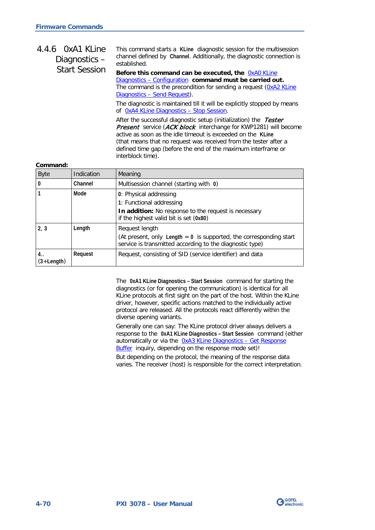#### <span id="page-103-0"></span>This command starts a **KLine** diagnostic session for the multisession channel defined by **Channel**. Additionally, the diagnostic connection is established. **Before this command can be executed, the** [0xA0 KLine](#page-94-0)  Diagnostics – [Configuration](#page-94-0) **command must be carried out.** 4.4.6 0xA1 KLine Diagnostics – Start Session

The command is the precondition for sending a request [\(0xA2 KLine](#page-105-0)  Diagnostics – [Send Request\)](#page-105-0).

The diagnostic is maintained till it will be explicitly stopped by means of [0xA4 KLine Diagnostics –](#page-109-0) Stop Session.

After the successful diagnostic setup (initialization) the Tester Present service (ACK block interchange for KWP1281) will become active as soon as the idle timeout is exceeded on the **KLine** (that means that no request was received from the tester after a defined time gap (before the end of the maximum interframe or interblock time).

#### **Command:**

| <b>Byte</b>          | Indication | Meaning                                                                                                                                              |
|----------------------|------------|------------------------------------------------------------------------------------------------------------------------------------------------------|
| 0                    | Channel    | Multisession channel (starting with 0)                                                                                                               |
|                      | Mode       | 0: Physical addressing<br>1: Functional addressing<br>In addition: No response to the request is necessary<br>if the highest valid bit is set (0x80) |
| 2, 3                 | Length     | Request length<br>(At present, only Length $= 0$ is supported, the corresponding start<br>service is transmitted according to the diagnostic type)   |
| 4. .<br>$(3+Length)$ | Request    | Request, consisting of SID (service identifier) and data                                                                                             |

The **0xA1 KLine Diagnostics – Start Session** command for starting the diagnostics (or for opening the communication) is identical for all KLine protocols at first sight on the part of the host. Within the KLine driver, however, specific actions matched to the individually active protocol are released. All the protocols react differently within the diverse opening variants.

Generally one can say: The KLine protocol driver always delivers a response to the **0xA1 KLine Diagnostics – Start Session** command (either automatically or via the OxA3 KLine Diagnostics - Get Response [Buffer](#page-108-0) inquiry, depending on the response mode set)!

But depending on the protocol, the meaning of the response data varies. The receiver (host) is responsible for the correct interpretation.

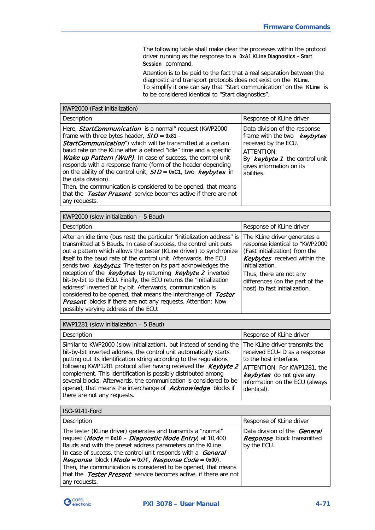The following table shall make clear the processes within the protocol driver running as the response to a **0xA1 KLine Diagnostics – Start Session** command.

Attention is to be paid to the fact that a real separation between the diagnostic and transport protocols does not exist on the **KLine**. To simplify it one can say that "Start communication" on the **KLine** is to be considered identical to "Start diagnostics".

| KWP2000 (Fast initialization)                                                                                                                                                                                                                                                                                                                                                                                                                                                                                                                                                                                                                              |                                                                                                                                                                                 |
|------------------------------------------------------------------------------------------------------------------------------------------------------------------------------------------------------------------------------------------------------------------------------------------------------------------------------------------------------------------------------------------------------------------------------------------------------------------------------------------------------------------------------------------------------------------------------------------------------------------------------------------------------------|---------------------------------------------------------------------------------------------------------------------------------------------------------------------------------|
| Description                                                                                                                                                                                                                                                                                                                                                                                                                                                                                                                                                                                                                                                | Response of KLine driver                                                                                                                                                        |
| Here, <i>StartCommunication</i> is a normal" request (KWP2000<br>frame with three bytes header, $S/D = 0x81 -$<br><b>StartCommunication</b> ") which will be transmitted at a certain<br>baud rate on the KLine after a defined "idle" time and a specific<br>Wake up Pattern (WuP). In case of success, the control unit<br>responds with a response frame (form of the header depending<br>on the ability of the control unit, $S/D = 0 \times C1$ , two keybytes in<br>the data division).<br>Then, the communication is considered to be opened, that means<br>that the <i>Tester Present</i> service becomes active if there are not<br>any requests. | Data division of the response<br>frame with the two keybytes<br>received by the ECU.<br>ATTENTION:<br>By $keybyte 1$ the control unit<br>gives information on its<br>abilities. |
| KWP2000 (slow initialization $-5$ Baud)                                                                                                                                                                                                                                                                                                                                                                                                                                                                                                                                                                                                                    |                                                                                                                                                                                 |

| Description                                                                                                                                                                                                                                                                                                                                                                                                                                                                                                                                                                                                                                                                                                                                       | Response of KLine driver                                                                                                                                                                                                                           |
|---------------------------------------------------------------------------------------------------------------------------------------------------------------------------------------------------------------------------------------------------------------------------------------------------------------------------------------------------------------------------------------------------------------------------------------------------------------------------------------------------------------------------------------------------------------------------------------------------------------------------------------------------------------------------------------------------------------------------------------------------|----------------------------------------------------------------------------------------------------------------------------------------------------------------------------------------------------------------------------------------------------|
| After an idle time (bus rest) the particular "initialization address" is<br>transmitted at 5 Bauds. In case of success, the control unit puts<br>out a pattern which allows the tester (KLine driver) to synchronize<br>itself to the baud rate of the control unit. Afterwards, the ECU<br>sends two <b>keybytes</b> . The tester on its part acknowledges the<br>reception of the keybytes by returning keybyte 2 inverted<br>bit-by-bit to the ECU. Finally, the ECU returns the "initialization<br>address" inverted bit by bit. Afterwards, communication is<br>considered to be opened, that means the interchange of Tester<br><b>Present</b> blocks if there are not any requests. Attention: Now<br>possibly varying address of the ECU. | The KLine driver generates a<br>response identical to "KWP2000<br>(Fast initialization) from the<br>Keybytes received within the<br>initialization.<br>Thus, there are not any<br>differences (on the part of the<br>host) to fast initialization. |

KWP1281 (slow initialization – 5 Baud)

| Description                                                                                                                                                                                                                                                                                                                                                                                                                                                                                                                   | Response of KLine driver                                                                                                                                                                              |
|-------------------------------------------------------------------------------------------------------------------------------------------------------------------------------------------------------------------------------------------------------------------------------------------------------------------------------------------------------------------------------------------------------------------------------------------------------------------------------------------------------------------------------|-------------------------------------------------------------------------------------------------------------------------------------------------------------------------------------------------------|
| Similar to KWP2000 (slow initialization), but instead of sending the<br>bit-by-bit inverted address, the control unit automatically starts<br>putting out its identification string according to the regulations<br>following KWP1281 protocol after having received the Keybyte 2<br>complement. This identification is possibly distributed among<br>several blocks. Afterwards, the communication is considered to be<br>opened, that means the interchange of <b>Acknowledge</b> blocks if<br>there are not any requests. | The KLine driver transmits the<br>received ECU-ID as a response<br>to the host interface.<br>ATTENTION: For KWP1281, the<br>keybytes do not give any<br>information on the ECU (always<br>identical). |

| ISO-9141-Ford                                                                                                                                                                                                                                                                                                                                                                                                                                                                                                  |                                                                                  |
|----------------------------------------------------------------------------------------------------------------------------------------------------------------------------------------------------------------------------------------------------------------------------------------------------------------------------------------------------------------------------------------------------------------------------------------------------------------------------------------------------------------|----------------------------------------------------------------------------------|
| Description                                                                                                                                                                                                                                                                                                                                                                                                                                                                                                    | Response of KLine driver                                                         |
| The tester (KLine driver) generates and transmits a "normal"<br>request (Mode = 0x10 - Diagnostic Mode Entry) at 10,400<br>Bauds and with the preset address parameters on the KLine.<br>In case of success, the control unit responds with a <b>General</b><br><i>Response</i> block ( <i>Mode</i> = $0x$ <i>TF</i> , <i>Response Code</i> = $0x00$ ).<br>Then, the communication is considered to be opened, that means<br>that the Tester Present service becomes active, if there are not<br>any requests. | Data division of the <b>General</b><br>Response block transmitted<br>by the ECU. |

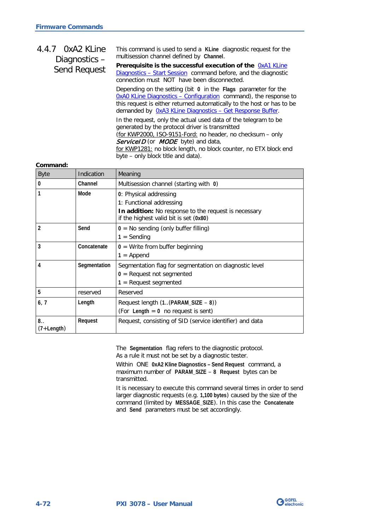#### <span id="page-105-0"></span>This command is used to send a **KLine** diagnostic request for the multisession channel defined by **Channel**. Prerequisite is the successful execution of the **OxA1 KLine** Diagnostics – [Start Session](#page-103-0) command before, and the diagnostic connection must NOT have been disconnected. Depending on the setting (bit **0** in the **Flags** parameter for the [0xA0 KLine Diagnostics –](#page-94-0) Configuration command), the response to this request is either returned automatically to the host or has to be demanded by [0xA3 KLine Diagnostics –](#page-108-0) Get Response Buffer. In the request, only the actual used data of the telegram to be generated by the protocol driver is transmitted (for KWP2000, ISO-9151-Ford: no header, no checksum – only ServiceID (or MODE byte) and data, 4.4.7 0xA2 KLine Diagnostics – Send Request

for KWP1281: no block length, no block counter, no ETX block end byte – only block title and data).

#### **Command:**

| <b>Byte</b>        | Indication   | Meaning                                                                                        |
|--------------------|--------------|------------------------------------------------------------------------------------------------|
| $\mathbf{0}$       | Channel      | Multisession channel (starting with 0)                                                         |
|                    | Mode         | 0: Physical addressing                                                                         |
|                    |              | 1: Functional addressing                                                                       |
|                    |              | In addition: No response to the request is necessary<br>if the highest valid bit is set (0x80) |
|                    | Send         | $0 = No$ sending (only buffer filling)                                                         |
|                    |              | $1 =$ Sending                                                                                  |
| 3                  | Concatenate  | $0 =$ Write from buffer beginning                                                              |
|                    |              | $1 =$ Append                                                                                   |
| 4                  | Segmentation | Segmentation flag for segmentation on diagnostic level                                         |
|                    |              | $0 =$ Request not segmented                                                                    |
|                    |              | $1 =$ Request segmented                                                                        |
| 5                  | reserved     | Reserved                                                                                       |
| 6, 7               | Length       | Request length (1(PARAM_SIZE - 8))                                                             |
|                    |              | (For Length $= 0$ no request is sent)                                                          |
| 8.<br>$(7+Length)$ | Request      | Request, consisting of SID (service identifier) and data                                       |

The **Segmentation** flag refers to the diagnostic protocol. As a rule it must not be set by a diagnostic tester.

Within ONE **0xA2 Kline Diagnostics – Send Request** command, a maximum number of **PARAM\_SIZE** – **8 Request** bytes can be transmitted.

It is necessary to execute this command several times in order to send larger diagnostic requests (e.g. **1,100 bytes**) caused by the size of the command (limited by **MESSAGE\_SIZE**). In this case the **Concatenate** and **Send** parameters must be set accordingly.

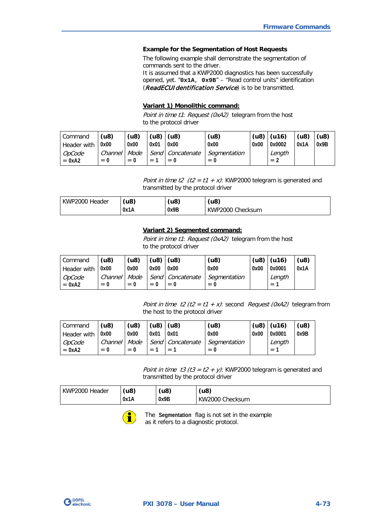#### **Example for the Segmentation of Host Requests**

The following example shall demonstrate the segmentation of commands sent to the driver.

It is assumed that a KWP2000 diagnostics has been successfully opened, yet. "**0x1A**, **0x9B**" – "Read control units" identification (ReadECUIdentification Service) is to be transmitted.

#### **Variant 1) Monolithic command:**

Point in time t1: Request (0xA2) telegram from the host to the protocol driver

| Command            | (u8)                       | (u8)                    |      | (u8)   (u8)             | (48)                          |      | $(48)$ $(416)$           | (48) | (48) |
|--------------------|----------------------------|-------------------------|------|-------------------------|-------------------------------|------|--------------------------|------|------|
| <b>Header with</b> | 0x00                       | 0x00                    | 0x01 | 0x00                    | 0x00                          | 0x00 | 0x0002                   | 0x1A | 0x9B |
| OpCode<br>$= 0xA2$ | Channel<br>$\Omega$<br>$=$ | Mode<br>$\Omega$<br>$=$ | $=$  | Send Concatenate<br>$=$ | Seamentation<br>$_{0}$<br>$=$ |      | Length<br>$=$ $\epsilon$ |      |      |

Point in time t2 (t2 = t1 + x): KWP2000 telegram is generated and transmitted by the protocol driver

| l KWP2000 Header | ′u8) | (48) | (u8              |
|------------------|------|------|------------------|
| 0x1A             |      | 0x9B | KWP2000 Checksum |

### **Variant 2) Segmented command:**

Point in time t1: Request (0xA2) telegram from the host to the protocol driver

| Command                   | (48)             | (48)                    | (u8) l       | (18)                      | (48)                  |      | $(48)$ $(416)$ | (0.8) |
|---------------------------|------------------|-------------------------|--------------|---------------------------|-----------------------|------|----------------|-------|
| Header with               | 0x00             | 0x00                    | 0x00         | 0x00                      | 0x00                  | 0x00 | 0x0001         | 0x1A  |
| <i>OpCode</i><br>$= 0xA2$ | Channel<br>$= 0$ | Mode<br>$\bf{0}$<br>$=$ | $\mathbf{0}$ | Send Concatenate<br>$= 0$ | Segmentation<br>$= 0$ |      | Length<br>$=$  |       |

Point in time  $t2$  (t2 = t1 + x): second Request (0xA2) telegram from the host to the protocol driver

| Command            | (48)             | (48)          |       | (u8)   (u8)                 | (48)                  |      | $ $ (u8) $ $ (u16) | (48) |
|--------------------|------------------|---------------|-------|-----------------------------|-----------------------|------|--------------------|------|
| Header with        | 0x00             | 0x00          | 0x01  | 0x01                        | 0x00                  | 0x00 | 0x0001             | 0x9B |
| OpCode<br>$= 0xA2$ | Channel<br>$= 0$ | Mode<br>$= 0$ | $= 1$ | Send   Concatenate<br>$= 1$ | Segmentation<br>$= 0$ |      | Length<br>$= 1$    |      |

Point in time t3 (t3 = t2 + y): KWP2000 telegram is generated and transmitted by the protocol driver

| KWP2000 Header | (u8) | (u8  | (u8)            |
|----------------|------|------|-----------------|
|                | 0x1A | 0x9B | KW2000 Checksum |



The **Segmentation** flag is not set in the example as it refers to a diagnostic protocol.

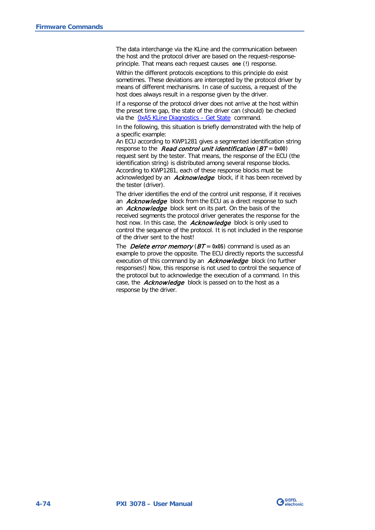The data interchange via the KLine and the communication between the host and the protocol driver are based on the request-responseprinciple. That means each request causes **one** (!) response.

Within the different protocols exceptions to this principle do exist sometimes. These deviations are intercepted by the protocol driver by means of different mechanisms. In case of success, a request of the host does always result in a response given by the driver.

If a response of the protocol driver does not arrive at the host within the preset time gap, the state of the driver can (should) be checked via the [0xA5 KLine Diagnostics –](#page-111-0) Get State command.

In the following, this situation is briefly demonstrated with the help of a specific example:

An ECU according to KWP1281 gives a segmented identification string response to the Read control unit identification (BT = **0x00**) request sent by the tester. That means, the response of the ECU (the identification string) is distributed among several response blocks. According to KWP1281, each of these response blocks must be acknowledged by an **Acknowledge** block, if it has been received by the tester (driver).

The driver identifies the end of the control unit response, if it receives an **Acknowledge** block from the ECU as a direct response to such an **Acknowledge** block sent on its part. On the basis of the received segments the protocol driver generates the response for the host now. In this case, the **Acknowledge** block is only used to control the sequence of the protocol. It is not included in the response of the driver sent to the host!

The **Delete error memory** ( $BT = 0x05$ ) command is used as an example to prove the opposite. The ECU directly reports the successful execution of this command by an **Acknowledge** block (no further responses!) Now, this response is not used to control the sequence of the protocol but to acknowledge the execution of a command. In this case, the **Acknowledge** block is passed on to the host as a response by the driver.

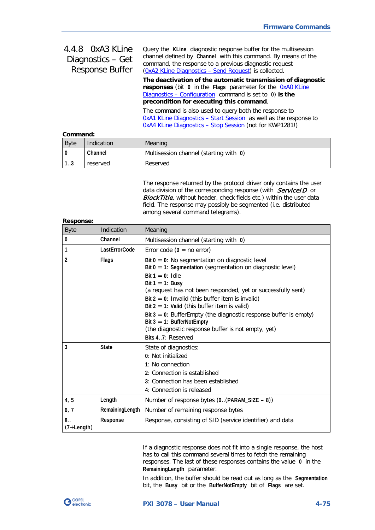<span id="page-108-0"></span>

| 4.4.8 OxA3 KLine<br>Diagnostics - Get<br><b>Response Buffer</b> | Query the KLine diagnostic response buffer for the multisession<br>channel defined by Channel with this command. By means of the<br>command, the response to a previous diagnostic request<br>(0xA2 KLine Diagnostics - Send Request) is collected. |
|-----------------------------------------------------------------|-----------------------------------------------------------------------------------------------------------------------------------------------------------------------------------------------------------------------------------------------------|
|                                                                 | The deactivation of the automatic transmission of diagnostic<br>responses (bit 0 in the Flags parameter for the OxAO KLine<br>Diagnostics – Configuration command is set to $0$ ) is the<br>precondition for executing this command.                |
|                                                                 | The command is also used to query both the response to<br><b>OxA1 KLine Diagnostics - Start Session</b> as well as the response to<br><b>OxA4 KLine Diagnostics - Stop Session (not for KWP1281!)</b>                                               |
| Command:                                                        |                                                                                                                                                                                                                                                     |

| Command: |  |  |  |
|----------|--|--|--|
|          |  |  |  |

| ------------- |            |                                        |
|---------------|------------|----------------------------------------|
| <b>Byte</b>   | Indication | Meaning                                |
|               | Channel    | Multisession channel (starting with 0) |
| 1 2<br>د. ا   | reserved   | Reserved                               |

The response returned by the protocol driver only contains the user data division of the corresponding response (with ServiceID or Block Title, without header, check fields etc.) within the user data field. The response may possibly be segmented (i.e. distributed among several command telegrams).

| <b>Response:</b>     |                 |                                                                                                                                                                                                                                                                                                                                                                                                                                                                                                                             |
|----------------------|-----------------|-----------------------------------------------------------------------------------------------------------------------------------------------------------------------------------------------------------------------------------------------------------------------------------------------------------------------------------------------------------------------------------------------------------------------------------------------------------------------------------------------------------------------------|
| <b>Byte</b>          | Indication      | Meaning                                                                                                                                                                                                                                                                                                                                                                                                                                                                                                                     |
| 0                    | Channel         | Multisession channel (starting with 0)                                                                                                                                                                                                                                                                                                                                                                                                                                                                                      |
| 1                    | LastErrorCode   | Error code $(0 = no error)$                                                                                                                                                                                                                                                                                                                                                                                                                                                                                                 |
| $\overline{2}$       | Flags           | Bit $0 = 0$ : No segmentation on diagnostic level<br>Bit $0 = 1$ : Segmentation (segmentation on diagnostic level)<br>Bit $1 = 0$ : Idle<br>Bit $1 = 1$ : Busy<br>(a request has not been responded, yet or successfully sent)<br>Bit $2 = 0$ : Invalid (this buffer item is invalid)<br>Bit $2 = 1$ : Valid (this buffer item is valid)<br>Bit $3 = 0$ : BufferEmpty (the diagnostic response buffer is empty)<br>Bit $3 = 1$ : BufferNotEmpty<br>(the diagnostic response buffer is not empty, yet)<br>Bits 4.7: Reserved |
| 3                    | <b>State</b>    | State of diagnostics:<br>0: Not initialized<br>1: No connection<br>2: Connection is established<br>3: Connection has been established<br>4: Connection is released                                                                                                                                                                                                                                                                                                                                                          |
| 4, 5                 | Length          | Number of response bytes $(0(PARAM_SIZE - 8))$                                                                                                                                                                                                                                                                                                                                                                                                                                                                              |
| 6, 7                 | RemainingLength | Number of remaining response bytes                                                                                                                                                                                                                                                                                                                                                                                                                                                                                          |
| 8.<br>$(7 + Length)$ | Response        | Response, consisting of SID (service identifier) and data                                                                                                                                                                                                                                                                                                                                                                                                                                                                   |

If a diagnostic response does not fit into a single response, the host has to call this command several times to fetch the remaining responses. The last of these responses contains the value **0** in the **RemainingLength** parameter.

In addition, the buffer should be read out as long as the **Segmentation** bit, the **Busy** bit or the **BufferNotEmpty** bit of **Flags** are set.

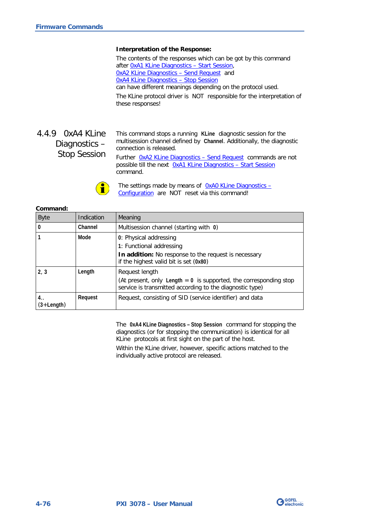#### **Interpretation of the Response:**

The contents of the responses which can be got by this command after [0xA1 KLine Diagnostics –](#page-103-0) Start Session, [0xA2 KLine Diagnostics –](#page-105-0) Send Request and [0xA4 KLine Diagnostics –](#page-109-0) Stop Session can have different meanings depending on the protocol used.

The KLine protocol driver is NOT responsible for the interpretation of these responses!

<span id="page-109-0"></span>4.4.9 0xA4 KLine Diagnostics – Stop Session This command stops a running **KLine** diagnostic session for the multisession channel defined by **Channel**. Additionally, the diagnostic connection is released.

Further [0xA2 KLine Diagnostics –](#page-105-0) Send Request commands are not possible till the next [0xA1 KLine Diagnostics –](#page-103-0) Start Session command.



The settings made by means of [0xA0 KLine Diagnostics –](#page-94-0) [Configuration](#page-94-0) are NOT reset via this command!

#### **Command:**

| <b>Byte</b>          | Indication | Meaning                                                                                                                                           |
|----------------------|------------|---------------------------------------------------------------------------------------------------------------------------------------------------|
| $\mathbf{0}$         | Channel    | Multisession channel (starting with 0)                                                                                                            |
|                      | Mode       | 0: Physical addressing<br>1: Functional addressing<br>In addition: No response to the request is necessary                                        |
|                      |            | if the highest valid bit is set (0x80)                                                                                                            |
| 2, 3                 | Length     | Request length<br>(At present, only Length $= 0$ is supported, the corresponding stop<br>service is transmitted according to the diagnostic type) |
| 4. .<br>$(3+Length)$ | Request    | Request, consisting of SID (service identifier) and data                                                                                          |

The **0xA4 KLine Diagnostics – Stop Session** command for stopping the diagnostics (or for stopping the communication) is identical for all KLine protocols at first sight on the part of the host.

Within the KLine driver, however, specific actions matched to the individually active protocol are released.

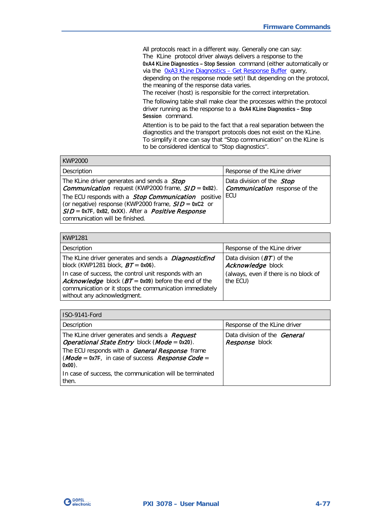All protocols react in a different way. Generally one can say: The KLine protocol driver always delivers a response to the **0xA4 KLine Diagnostics – Stop Session** command (either automatically or via the OxA3 KLine Diagnostics - Get Response Buffer query, depending on the response mode set)! But depending on the protocol, the meaning of the response data varies.

The receiver (host) is responsible for the correct interpretation.

The following table shall make clear the processes within the protocol driver running as the response to a **0xA4 KLine Diagnostics – Stop Session** command.

Attention is to be paid to the fact that a real separation between the diagnostics and the transport protocols does not exist on the KLine. To simplify it one can say that "Stop communication" on the KLine is to be considered identical to "Stop diagnostics".

| <b>KWP2000</b>                                                                                                                                                                                                                                                                                                                                |                                                                                 |
|-----------------------------------------------------------------------------------------------------------------------------------------------------------------------------------------------------------------------------------------------------------------------------------------------------------------------------------------------|---------------------------------------------------------------------------------|
| Description                                                                                                                                                                                                                                                                                                                                   | Response of the KLine driver                                                    |
| The KLine driver generates and sends a <i>Stop</i><br><b>Communication</b> request (KWP2000 frame, $SID = 0x82$ ).<br>The ECU responds with a <b>Stop Communication</b> positive<br>(or negative) response (KWP2000 frame, $S/D = 0xC2$ or<br>$SID = 0x7F$ , 0x82, 0xXX). After a <i>Positive Response</i><br>communication will be finished. | Data division of the <i>Stop</i><br><b>Communication</b> response of the<br>ECU |

| KWP1281                                                                                                                                                                                                           |                                                   |
|-------------------------------------------------------------------------------------------------------------------------------------------------------------------------------------------------------------------|---------------------------------------------------|
| Description                                                                                                                                                                                                       | Response of the KLine driver                      |
| The KLine driver generates and sends a <i>DiagnosticEnd</i><br>block (KWP1281 block, $BT = 0x06$ ).                                                                                                               | Data division $(BT)$ of the<br>Acknowledge block  |
| In case of success, the control unit responds with an<br><b>Acknowledge</b> block ( $BT = 0x09$ ) before the end of the<br>communication or it stops the communication immediately<br>without any acknowledgment. | (always, even if there is no block of<br>the ECU) |

| <b>ISO-9141-Ford</b>                                                                                                                                                  |                                                              |
|-----------------------------------------------------------------------------------------------------------------------------------------------------------------------|--------------------------------------------------------------|
| Description                                                                                                                                                           | Response of the KLine driver                                 |
| The KLine driver generates and sends a <b>Request</b><br><b>Operational State Entry block (Mode = 0x20).</b><br>The ECU responds with a <b>General Response</b> frame | Data division of the <b>General</b><br><i>Response</i> block |
| $(Mode = 0x7F)$ , in case of success <i>Response Code</i> =<br>$0x00$ ).                                                                                              |                                                              |
| In case of success, the communication will be terminated<br>then.                                                                                                     |                                                              |

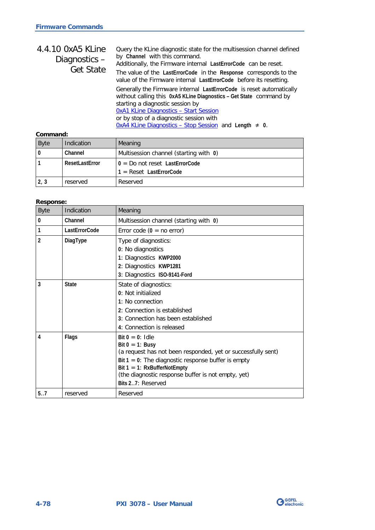| 4.4.10 0xA5 KLine<br>Diagnostics- | Query the KLine diagnostic state for the multisession channel defined<br>by Channel with this command.<br>Additionally, the Firmware internal LastErrorCode can be reset.                                                       |
|-----------------------------------|---------------------------------------------------------------------------------------------------------------------------------------------------------------------------------------------------------------------------------|
| <b>Get State</b>                  | The value of the LastErrorCode in the Response corresponds to the<br>value of the Firmware internal LastErrorCode before its resetting.                                                                                         |
|                                   | Generally the Firmware internal LastErrorCode is reset automatically<br>without calling this 0xA5 KLine Diagnostics - Get State command by<br>starting a diagnostic session by<br><b>OxA1 KLine Diagnostics - Start Session</b> |
|                                   | or by stop of a diagnostic session with<br>$0xA4$ KLine Diagnostics - Stop Session and Length $\neq 0$ .                                                                                                                        |

#### **Command:**

| <b>Byte</b> | Indication     | Meaning                                                       |
|-------------|----------------|---------------------------------------------------------------|
|             | Channel        | Multisession channel (starting with 0)                        |
|             | ResetLastError | $0 = Do$ not reset LastErrorCode<br>$1 =$ Reset LastErrorCode |
| 2, 3        | reserved       | Reserved                                                      |

#### **Response:**

| <b>Byte</b>    | Indication    | Meaning                                                                                                                                                                                                                                                                        |
|----------------|---------------|--------------------------------------------------------------------------------------------------------------------------------------------------------------------------------------------------------------------------------------------------------------------------------|
| $\bf{0}$       | Channel       | Multisession channel (starting with 0)                                                                                                                                                                                                                                         |
| $\mathbf{1}$   | LastErrorCode | Error code $(0 = no error)$                                                                                                                                                                                                                                                    |
| $\overline{2}$ | DiagType      | Type of diagnostics:<br>0: No diagnostics<br>1: Diagnostics KWP2000<br>2: Diagnostics KWP1281<br>3: Diagnostics ISO-9141-Ford                                                                                                                                                  |
| 3              | <b>State</b>  | State of diagnostics:<br>0: Not initialized<br>1: No connection<br>2: Connection is established<br>3: Connection has been established<br>4: Connection is released                                                                                                             |
| 4              | Flags         | $Bit 0 = 0$ : Idle<br>Bit $0 = 1$ : Busy<br>(a request has not been responded, yet or successfully sent)<br>Bit $1 = 0$ : The diagnostic response buffer is empty<br>Bit $1 = 1$ : RxBufferNotEmpty<br>(the diagnostic response buffer is not empty, yet)<br>Bits 27: Reserved |
| 5.7            | reserved      | Reserved                                                                                                                                                                                                                                                                       |

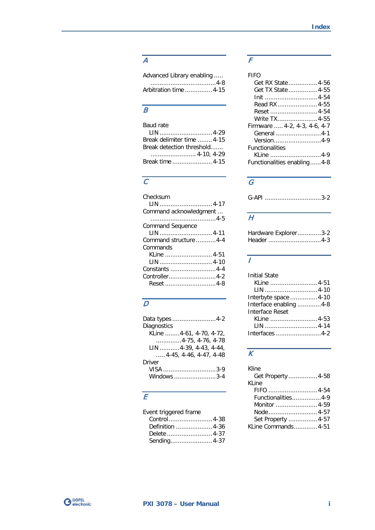# A

| Advanced Library enabling |  |
|---------------------------|--|
|                           |  |
| Arbitration time  4-15    |  |

# $\overline{B}$

| Baud rate                 |  |
|---------------------------|--|
|                           |  |
| Break delimiter time 4-15 |  |
| Break detection threshold |  |
|                           |  |
| Break time 4-15           |  |

### $\overline{C}$

| Checksum                |
|-------------------------|
| LIN  4-17               |
| Command acknowledgment  |
|                         |
| <b>Command Sequence</b> |
| LIN  4-11               |
| Command structure 4-4   |
| Commands                |
| KLine  4-51             |
| LIN  4-10               |
| Constants 4-4           |
| Controller4-2           |
| Reset 4-8               |

## $\overline{D}$

| Data types 4-2                    |
|-----------------------------------|
| Diagnostics                       |
| KLine 4-61, 4-70, 4-72,           |
| $\ldots$ 4-75, 4-76, 4-78         |
| LIN 4-39, 4-43, 4-44,             |
| $\ldots$ , 4-45, 4-46, 4-47, 4-48 |
| Driver                            |
| VISA 3-9                          |
| Windows 3-4                       |

## $\overline{E}$

| Event triggered frame |  |
|-----------------------|--|
|                       |  |
| Definition  4-36      |  |
|                       |  |
| Sending 4-37          |  |

## $\overline{F}$

| FIFO                         |
|------------------------------|
| Get RX State 4-56            |
| Get TX State 4-55            |
| Init 4-54                    |
| Read RX 4-55                 |
| Reset  4-54                  |
| Write TX4-55                 |
| Firmware  4-2, 4-3, 4-6, 4-7 |
| General 4-1                  |
| Version4-9                   |
| <b>Functionalities</b>       |
| KLine 4-9                    |
| Functionalities enabling4-8  |

# $\overline{G}$

# $\overline{H}$

| Hardware Explorer3-2 |  |
|----------------------|--|
|                      |  |

#### $\overline{I}$

| <b>Initial State</b>   |  |
|------------------------|--|
| KLine 4-51             |  |
| LIN 4-10               |  |
| Interbyte space 4-10   |  |
| Interface enabling 4-8 |  |
| Interface Reset        |  |
| KLine 4-53             |  |
| LIN 4-14               |  |
| Interfaces 4-2         |  |

# $\overline{K}$

| <b>Kline</b>        |  |
|---------------------|--|
| Get Property 4-58   |  |
| KLine               |  |
| FIFO 4-54           |  |
| Functionalities4-9  |  |
| Monitor 4-59        |  |
|                     |  |
| Set Property  4-57  |  |
| KLine Commands 4-51 |  |
|                     |  |

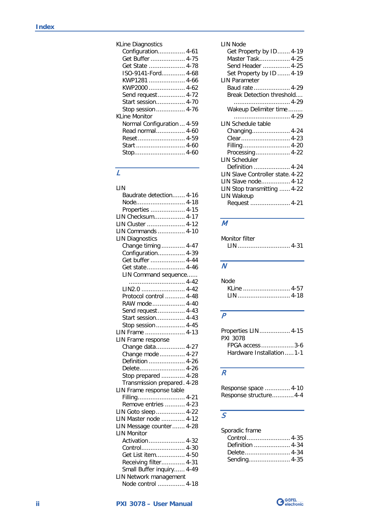KLine Diagnostics

| <b>NLIFE DIAGITUSTIUS</b>  |
|----------------------------|
| Configuration 4-61         |
| Get Buffer  4-75           |
| Get State  4-78            |
| ISO-9141-Ford 4-68         |
| KWP1281  4-66              |
| KWP2000  4-62              |
| Send request 4-72          |
| Start session 4-70         |
| Stop session 4-76          |
| <b>KLine Monitor</b>       |
| Normal Configuration  4-59 |
| Read normal 4-60           |
|                            |
| Start  4-60                |
|                            |
|                            |

## $\overline{L}$

| LIN                         |  |  |
|-----------------------------|--|--|
| Baudrate detection 4-16     |  |  |
| Node 4-18                   |  |  |
| Properties  4-15            |  |  |
| LIN Checksum 4-17           |  |  |
| LIN Cluster  4-12           |  |  |
| LIN Commands  4-10          |  |  |
| <b>LIN Diagnostics</b>      |  |  |
| Change timing  4-47         |  |  |
| Configuration 4-39          |  |  |
| Get buffer  4-44            |  |  |
| Get state 4-46              |  |  |
| LIN Command sequence        |  |  |
|                             |  |  |
| LIN2.0  4-42                |  |  |
| Protocol control  4-48      |  |  |
| RAW mode  4-40              |  |  |
| Send request  4-43          |  |  |
| Start session 4-43          |  |  |
| Stop session  4-45          |  |  |
| LIN Frame  4-13             |  |  |
| LIN Frame response          |  |  |
| Change data 4-27            |  |  |
| Change mode  4-27           |  |  |
| Definition  4-26            |  |  |
| Delete 4-26                 |  |  |
| Stop prepared  4-28         |  |  |
| Transmission prepared. 4-28 |  |  |
| LIN Frame response table    |  |  |
| Filling 4-21                |  |  |
| Remove entries  4-23        |  |  |
| LIN Goto sleep 4-22         |  |  |
| LIN Master node  4-12       |  |  |
| LIN Message counter 4-28    |  |  |
| <b>LIN Monitor</b>          |  |  |
| Activation  4-32            |  |  |
| Control 4-30                |  |  |
| Get List item 4-50          |  |  |
| Receiving filter 4-31       |  |  |
| Small Buffer inquiry 4-49   |  |  |
| LIN Network management      |  |  |
| Node control  4-18          |  |  |

#### LIN Node

| гни моае                         |
|----------------------------------|
| Get Property by ID 4-19          |
| Master Task 4-25                 |
| Send Header  4-25                |
| Set Property by ID  4-19         |
| <b>LIN Parameter</b>             |
| Baud rate  4-29                  |
| Break Detection threshold        |
|                                  |
| Wakeup Delimiter time            |
|                                  |
| LIN Schedule table               |
| Changing 4-24                    |
| Clear 4-23                       |
| Filling  4-20                    |
| Processing 4-22                  |
| <b>LIN Scheduler</b>             |
| Definition  4-24                 |
| LIN Slave Controller state. 4-22 |
| LIN Slave node 4-12              |
| LIN Stop transmitting  4-22      |
| LIN Wakeup                       |
| Request  4-21                    |
|                                  |

## M

| Monitor filter |  |
|----------------|--|
|                |  |

### $\overline{\mathcal{N}}$

| Node |             |  |
|------|-------------|--|
|      | KLine  4-57 |  |
|      | LIN  4-18   |  |

## $\overline{P}$

| Properties LIN  4-15       |
|----------------------------|
| PXI 3078                   |
| FPGA access 3-6            |
| Hardware Installation  1-1 |

# $\overline{R}$

Response space .............. 4-10 Response structure............ 4-4

# $\overline{s}$

| Sporadic frame |  |
|----------------|--|
|                |  |
|                |  |
|                |  |
| Sending 4-35   |  |